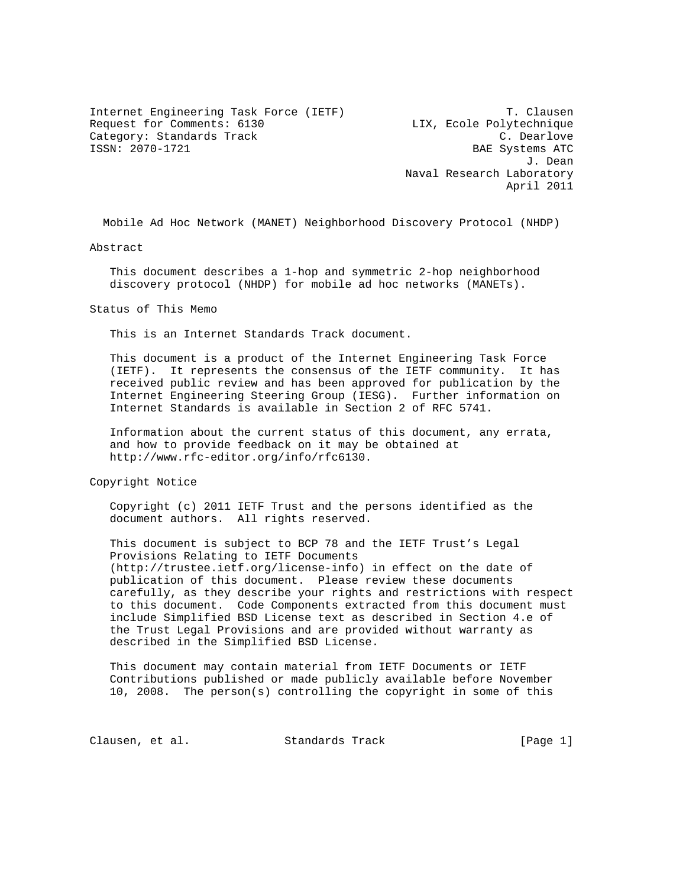Internet Engineering Task Force (IETF) T. Clausen Request for Comments: 6130 LIX, Ecole Polytechnique Category: Standards Track C. Dearlove<br>
ISSN: 2070-1721 C. Dearlove<br>
ISSN: 2070-1721

BAE Systems ATC J. Dean Naval Research Laboratory April 2011

Mobile Ad Hoc Network (MANET) Neighborhood Discovery Protocol (NHDP)

Abstract

 This document describes a 1-hop and symmetric 2-hop neighborhood discovery protocol (NHDP) for mobile ad hoc networks (MANETs).

Status of This Memo

This is an Internet Standards Track document.

 This document is a product of the Internet Engineering Task Force (IETF). It represents the consensus of the IETF community. It has received public review and has been approved for publication by the Internet Engineering Steering Group (IESG). Further information on Internet Standards is available in Section 2 of RFC 5741.

 Information about the current status of this document, any errata, and how to provide feedback on it may be obtained at http://www.rfc-editor.org/info/rfc6130.

Copyright Notice

 Copyright (c) 2011 IETF Trust and the persons identified as the document authors. All rights reserved.

 This document is subject to BCP 78 and the IETF Trust's Legal Provisions Relating to IETF Documents (http://trustee.ietf.org/license-info) in effect on the date of publication of this document. Please review these documents carefully, as they describe your rights and restrictions with respect to this document. Code Components extracted from this document must include Simplified BSD License text as described in Section 4.e of the Trust Legal Provisions and are provided without warranty as described in the Simplified BSD License.

 This document may contain material from IETF Documents or IETF Contributions published or made publicly available before November 10, 2008. The person(s) controlling the copyright in some of this

Clausen, et al. Standards Track [Page 1]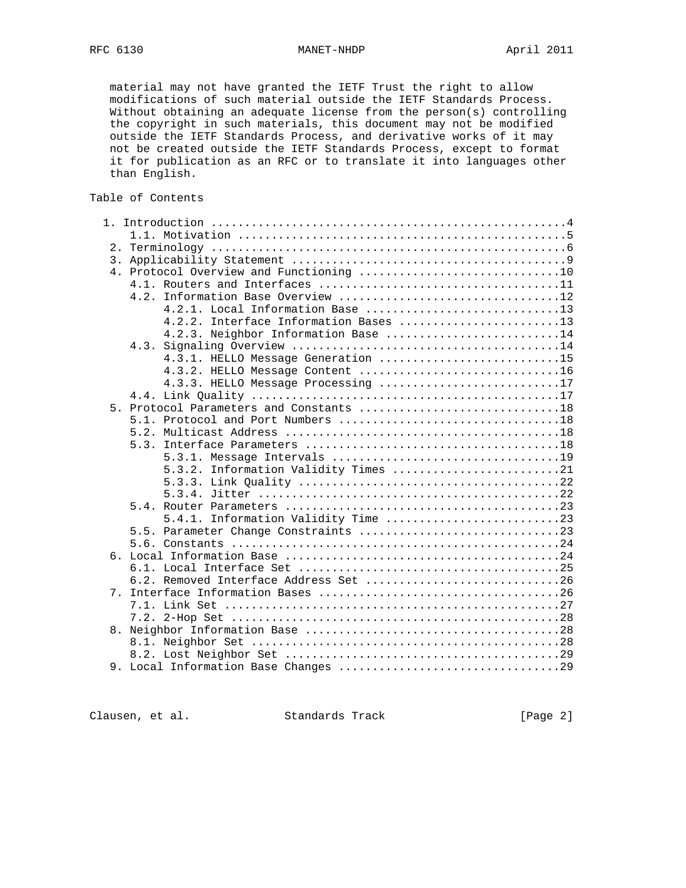material may not have granted the IETF Trust the right to allow modifications of such material outside the IETF Standards Process. Without obtaining an adequate license from the person(s) controlling the copyright in such materials, this document may not be modified outside the IETF Standards Process, and derivative works of it may not be created outside the IETF Standards Process, except to format it for publication as an RFC or to translate it into languages other than English.

Table of Contents

|    | Information Base Overview 12<br>4.2.    |
|----|-----------------------------------------|
|    | 4.2.1. Local Information Base 13        |
|    | 4.2.2. Interface Information Bases 13   |
|    | 4.2.3. Neighbor Information Base 14     |
|    |                                         |
|    | 4.3.1. HELLO Message Generation 15      |
|    |                                         |
|    | 4.3.3. HELLO Message Processing 17      |
|    |                                         |
|    | 5. Protocol Parameters and Constants 18 |
|    |                                         |
|    |                                         |
|    |                                         |
|    |                                         |
|    | 5.3.2. Information Validity Times 21    |
|    |                                         |
|    |                                         |
|    |                                         |
|    | 5.4.1. Information Validity Time 23     |
|    | 5.5. Parameter Change Constraints 23    |
|    |                                         |
|    |                                         |
|    |                                         |
|    | 6.2. Removed Interface Address Set 26   |
| 7. |                                         |
|    |                                         |
|    |                                         |
| 8. |                                         |
|    |                                         |
|    |                                         |
|    |                                         |

Clausen, et al. Standards Track [Page 2]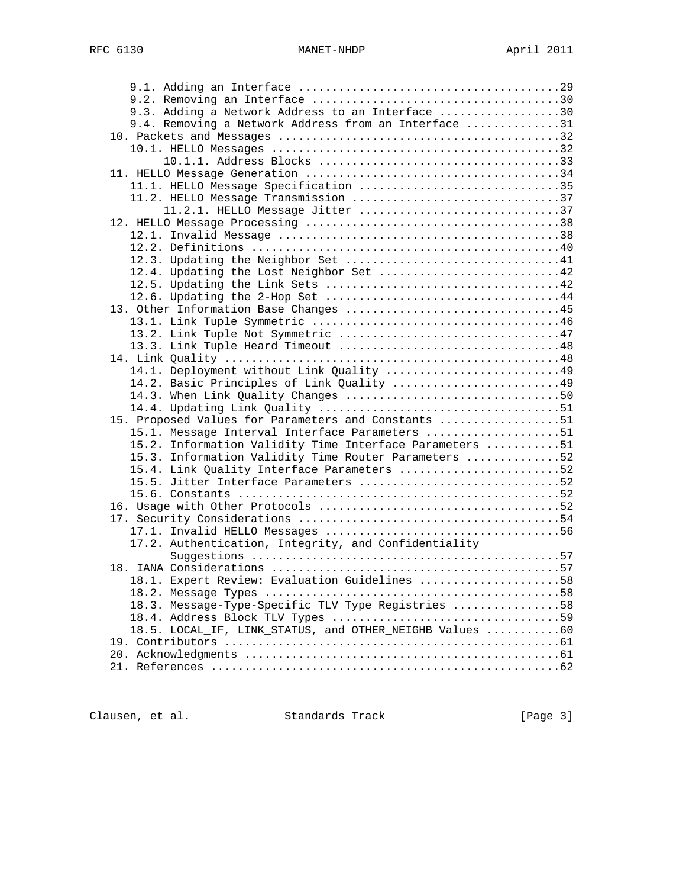| 9.3. Adding a Network Address to an Interface 30        |  |
|---------------------------------------------------------|--|
| 9.4. Removing a Network Address from an Interface 31    |  |
|                                                         |  |
|                                                         |  |
|                                                         |  |
|                                                         |  |
| 11.1. HELLO Message Specification 35                    |  |
| 11.2. HELLO Message Transmission 37                     |  |
| 11.2.1. HELLO Message Jitter 37                         |  |
|                                                         |  |
|                                                         |  |
|                                                         |  |
|                                                         |  |
| 12.4. Updating the Lost Neighbor Set 42                 |  |
|                                                         |  |
|                                                         |  |
|                                                         |  |
| 13. Other Information Base Changes 45                   |  |
|                                                         |  |
|                                                         |  |
|                                                         |  |
|                                                         |  |
| 14.1. Deployment without Link Quality 49                |  |
| 14.2. Basic Principles of Link Quality 49               |  |
|                                                         |  |
|                                                         |  |
| 15. Proposed Values for Parameters and Constants 51     |  |
| 15.1. Message Interval Interface Parameters 51          |  |
| 15.2. Information Validity Time Interface Parameters 51 |  |
| 15.3. Information Validity Time Router Parameters 52    |  |
| 15.4. Link Quality Interface Parameters 52              |  |
| 15.5. Jitter Interface Parameters 52                    |  |
|                                                         |  |
|                                                         |  |
|                                                         |  |
|                                                         |  |
| 17.2. Authentication, Integrity, and Confidentiality    |  |
|                                                         |  |
|                                                         |  |
| 18.1. Expert Review: Evaluation Guidelines 58           |  |
|                                                         |  |
| 18.3. Message-Type-Specific TLV Type Registries 58      |  |
|                                                         |  |
| 18.5. LOCAL IF, LINK STATUS, and OTHER NEIGHB Values 60 |  |
|                                                         |  |
|                                                         |  |
|                                                         |  |
|                                                         |  |

Clausen, et al. Standards Track [Page 3]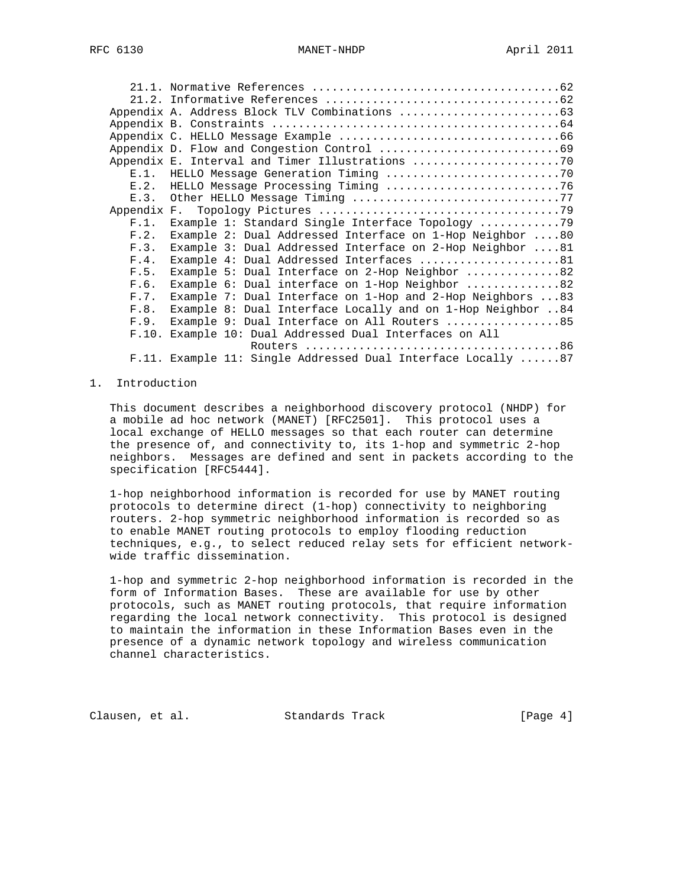| $E.1$ . |                                                                    |
|---------|--------------------------------------------------------------------|
| F.2.    |                                                                    |
| E.3.    | Other HELLO Message Timing 77                                      |
|         |                                                                    |
| F.1.    | Example 1: Standard Single Interface Topology 79                   |
| F.2.    | Example 2: Dual Addressed Interface on 1-Hop Neighbor 80           |
| F.3.    | Example 3: Dual Addressed Interface on 2-Hop Neighbor 81           |
| F.4.    | Example 4: Dual Addressed Interfaces 81                            |
| F.5.    | Example 5: Dual Interface on 2-Hop Neighbor 82                     |
| F.6.    | Example 6: Dual interface on 1-Hop Neighbor 82                     |
| F.7.    | Example 7: Dual Interface on 1-Hop and 2-Hop Neighbors $\ldots$ 83 |
| F.8.    | Example 8: Dual Interface Locally and on 1-Hop Neighbor 84         |
| F.9.    | Example 9: Dual Interface on All Routers 85                        |
|         | F.10. Example 10: Dual Addressed Dual Interfaces on All            |
|         |                                                                    |
|         | F.11. Example 11: Single Addressed Dual Interface Locally 87       |

# 1. Introduction

 This document describes a neighborhood discovery protocol (NHDP) for a mobile ad hoc network (MANET) [RFC2501]. This protocol uses a local exchange of HELLO messages so that each router can determine the presence of, and connectivity to, its 1-hop and symmetric 2-hop neighbors. Messages are defined and sent in packets according to the specification [RFC5444].

 1-hop neighborhood information is recorded for use by MANET routing protocols to determine direct (1-hop) connectivity to neighboring routers. 2-hop symmetric neighborhood information is recorded so as to enable MANET routing protocols to employ flooding reduction techniques, e.g., to select reduced relay sets for efficient network wide traffic dissemination.

 1-hop and symmetric 2-hop neighborhood information is recorded in the form of Information Bases. These are available for use by other protocols, such as MANET routing protocols, that require information regarding the local network connectivity. This protocol is designed to maintain the information in these Information Bases even in the presence of a dynamic network topology and wireless communication channel characteristics.

Clausen, et al. Standards Track [Page 4]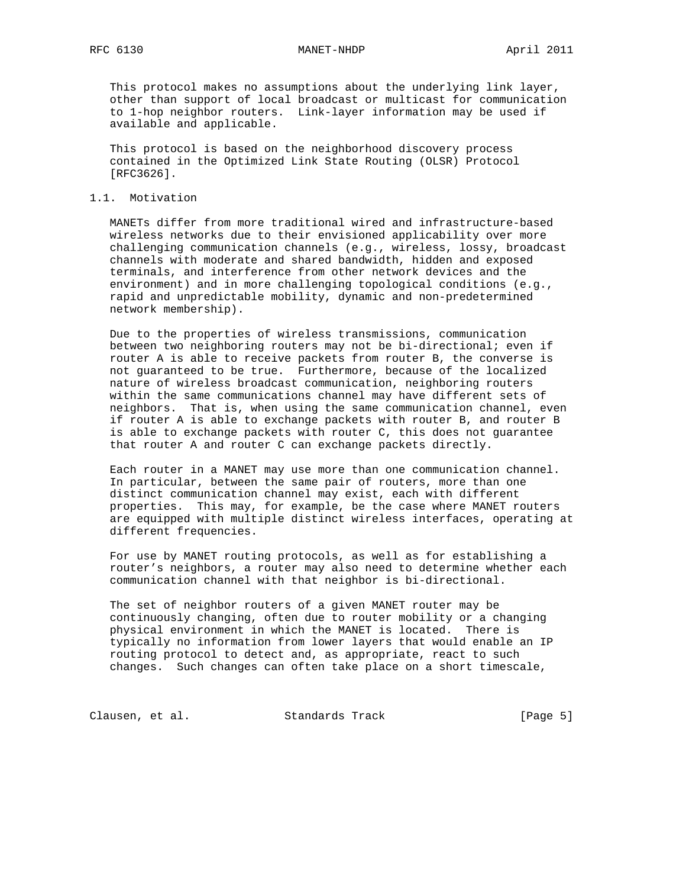RFC 6130 MANET-NHDP April 2011

 This protocol makes no assumptions about the underlying link layer, other than support of local broadcast or multicast for communication to 1-hop neighbor routers. Link-layer information may be used if available and applicable.

 This protocol is based on the neighborhood discovery process contained in the Optimized Link State Routing (OLSR) Protocol [RFC3626].

## 1.1. Motivation

 MANETs differ from more traditional wired and infrastructure-based wireless networks due to their envisioned applicability over more challenging communication channels (e.g., wireless, lossy, broadcast channels with moderate and shared bandwidth, hidden and exposed terminals, and interference from other network devices and the environment) and in more challenging topological conditions (e.g., rapid and unpredictable mobility, dynamic and non-predetermined network membership).

 Due to the properties of wireless transmissions, communication between two neighboring routers may not be bi-directional; even if router A is able to receive packets from router B, the converse is not guaranteed to be true. Furthermore, because of the localized nature of wireless broadcast communication, neighboring routers within the same communications channel may have different sets of neighbors. That is, when using the same communication channel, even if router A is able to exchange packets with router B, and router B is able to exchange packets with router C, this does not guarantee that router A and router C can exchange packets directly.

 Each router in a MANET may use more than one communication channel. In particular, between the same pair of routers, more than one distinct communication channel may exist, each with different properties. This may, for example, be the case where MANET routers are equipped with multiple distinct wireless interfaces, operating at different frequencies.

 For use by MANET routing protocols, as well as for establishing a router's neighbors, a router may also need to determine whether each communication channel with that neighbor is bi-directional.

 The set of neighbor routers of a given MANET router may be continuously changing, often due to router mobility or a changing physical environment in which the MANET is located. There is typically no information from lower layers that would enable an IP routing protocol to detect and, as appropriate, react to such changes. Such changes can often take place on a short timescale,

Clausen, et al. Standards Track (Page 5)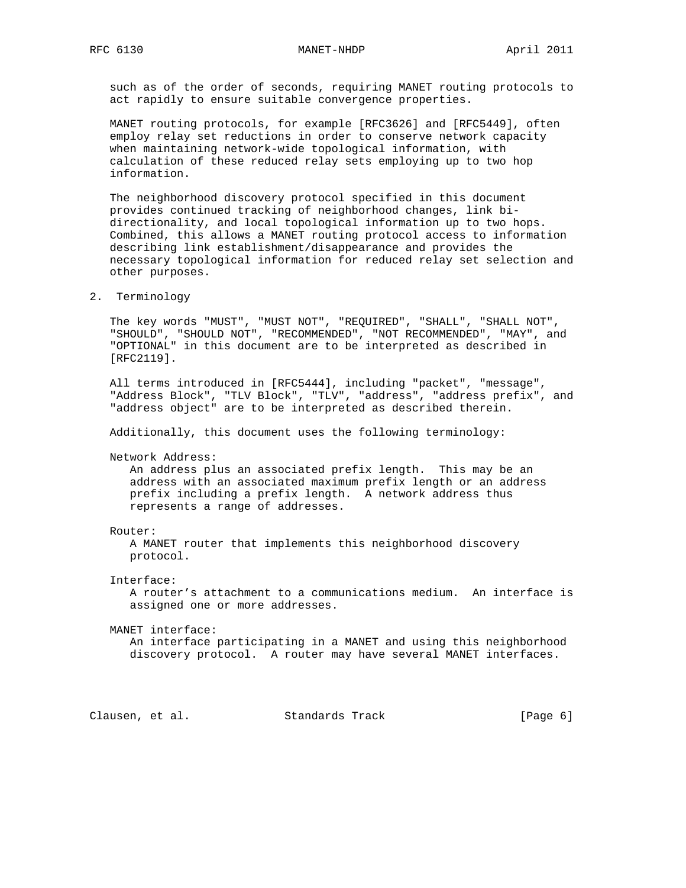such as of the order of seconds, requiring MANET routing protocols to act rapidly to ensure suitable convergence properties.

 MANET routing protocols, for example [RFC3626] and [RFC5449], often employ relay set reductions in order to conserve network capacity when maintaining network-wide topological information, with calculation of these reduced relay sets employing up to two hop information.

 The neighborhood discovery protocol specified in this document provides continued tracking of neighborhood changes, link bi directionality, and local topological information up to two hops. Combined, this allows a MANET routing protocol access to information describing link establishment/disappearance and provides the necessary topological information for reduced relay set selection and other purposes.

2. Terminology

 The key words "MUST", "MUST NOT", "REQUIRED", "SHALL", "SHALL NOT", "SHOULD", "SHOULD NOT", "RECOMMENDED", "NOT RECOMMENDED", "MAY", and "OPTIONAL" in this document are to be interpreted as described in [RFC2119].

 All terms introduced in [RFC5444], including "packet", "message", "Address Block", "TLV Block", "TLV", "address", "address prefix", and "address object" are to be interpreted as described therein.

Additionally, this document uses the following terminology:

Network Address:

 An address plus an associated prefix length. This may be an address with an associated maximum prefix length or an address prefix including a prefix length. A network address thus represents a range of addresses.

#### Router:

 A MANET router that implements this neighborhood discovery protocol.

Interface:

 A router's attachment to a communications medium. An interface is assigned one or more addresses.

MANET interface:

 An interface participating in a MANET and using this neighborhood discovery protocol. A router may have several MANET interfaces.

Clausen, et al. Standards Track [Page 6]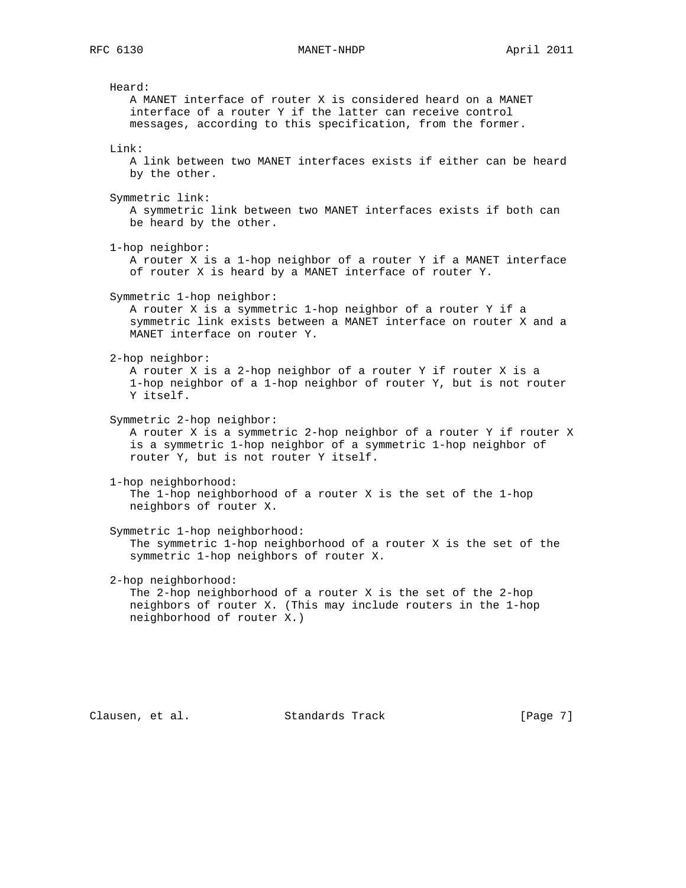### RFC 6130 MANET-NHDP April 2011

 Heard: A MANET interface of router X is considered heard on a MANET interface of a router Y if the latter can receive control messages, according to this specification, from the former. Link: A link between two MANET interfaces exists if either can be heard by the other. Symmetric link: A symmetric link between two MANET interfaces exists if both can be heard by the other. 1-hop neighbor: A router X is a 1-hop neighbor of a router Y if a MANET interface of router X is heard by a MANET interface of router Y. Symmetric 1-hop neighbor: A router X is a symmetric 1-hop neighbor of a router Y if a symmetric link exists between a MANET interface on router X and a MANET interface on router Y. 2-hop neighbor: A router X is a 2-hop neighbor of a router Y if router X is a 1-hop neighbor of a 1-hop neighbor of router Y, but is not router Y itself. Symmetric 2-hop neighbor: A router X is a symmetric 2-hop neighbor of a router Y if router X is a symmetric 1-hop neighbor of a symmetric 1-hop neighbor of router Y, but is not router Y itself. 1-hop neighborhood: The 1-hop neighborhood of a router X is the set of the 1-hop neighbors of router X. Symmetric 1-hop neighborhood: The symmetric 1-hop neighborhood of a router X is the set of the symmetric 1-hop neighbors of router X. 2-hop neighborhood: The 2-hop neighborhood of a router X is the set of the 2-hop neighbors of router X. (This may include routers in the 1-hop neighborhood of router X.)

Clausen, et al. Standards Track [Page 7]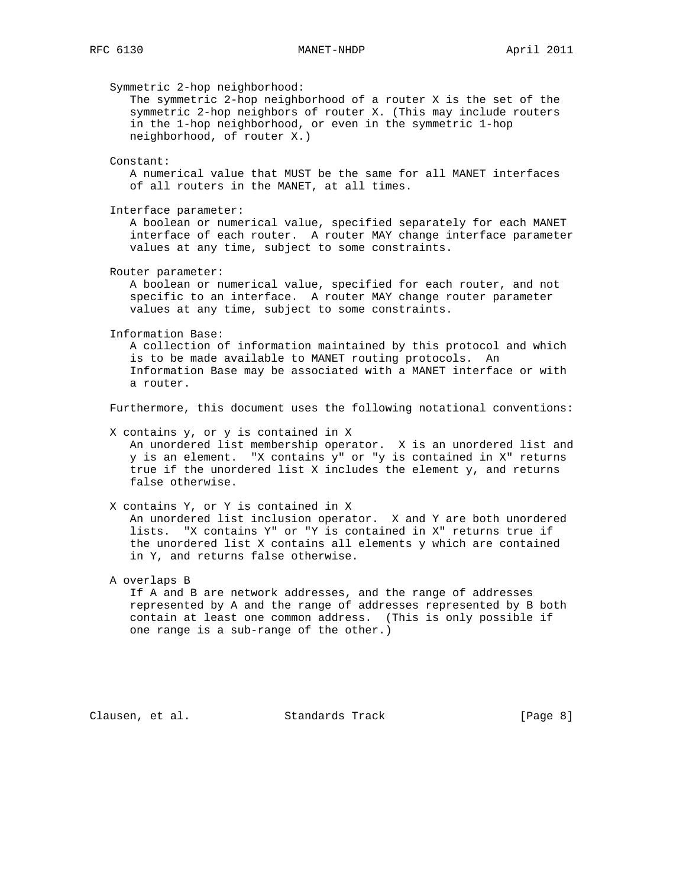Symmetric 2-hop neighborhood: The symmetric 2-hop neighborhood of a router X is the set of the symmetric 2-hop neighbors of router X. (This may include routers in the 1-hop neighborhood, or even in the symmetric 1-hop neighborhood, of router X.) Constant: A numerical value that MUST be the same for all MANET interfaces of all routers in the MANET, at all times. Interface parameter: A boolean or numerical value, specified separately for each MANET interface of each router. A router MAY change interface parameter values at any time, subject to some constraints. Router parameter: A boolean or numerical value, specified for each router, and not specific to an interface. A router MAY change router parameter values at any time, subject to some constraints. Information Base: A collection of information maintained by this protocol and which is to be made available to MANET routing protocols. An Information Base may be associated with a MANET interface or with a router. Furthermore, this document uses the following notational conventions: X contains y, or y is contained in X An unordered list membership operator. X is an unordered list and y is an element. "X contains y" or "y is contained in X" returns true if the unordered list X includes the element y, and returns false otherwise. X contains Y, or Y is contained in X An unordered list inclusion operator. X and Y are both unordered lists. "X contains Y" or "Y is contained in X" returns true if the unordered list X contains all elements y which are contained in Y, and returns false otherwise. A overlaps B If A and B are network addresses, and the range of addresses represented by A and the range of addresses represented by B both contain at least one common address. (This is only possible if

Clausen, et al. Standards Track [Page 8]

one range is a sub-range of the other.)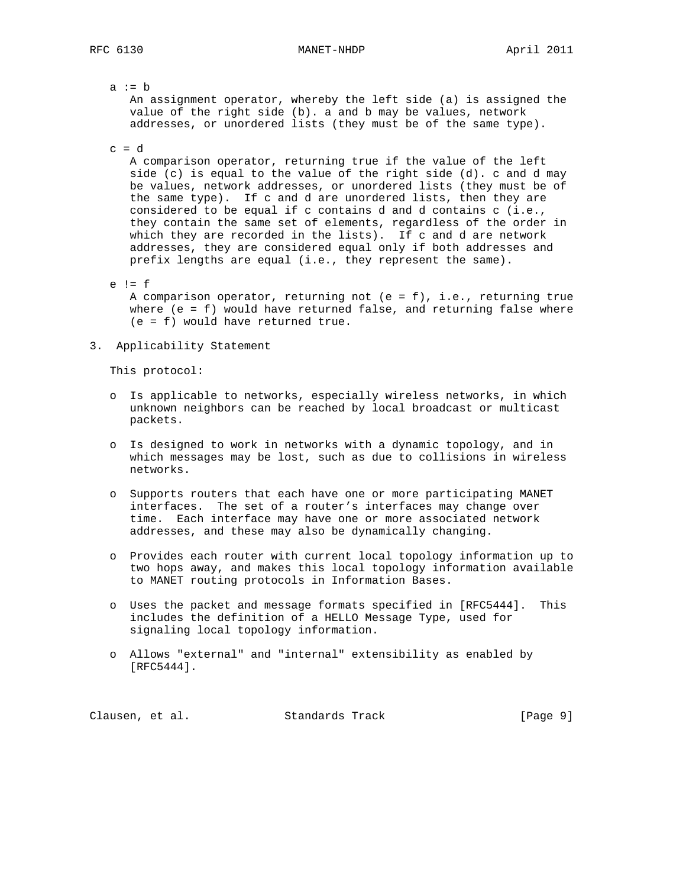a  $:= b$  An assignment operator, whereby the left side (a) is assigned the value of the right side (b). a and b may be values, network addresses, or unordered lists (they must be of the same type).

 $c = d$ 

 A comparison operator, returning true if the value of the left side (c) is equal to the value of the right side (d). c and d may be values, network addresses, or unordered lists (they must be of the same type). If c and d are unordered lists, then they are considered to be equal if c contains d and d contains c (i.e., they contain the same set of elements, regardless of the order in which they are recorded in the lists). If c and d are network addresses, they are considered equal only if both addresses and prefix lengths are equal (i.e., they represent the same).

- e != f A comparison operator, returning not (e = f), i.e., returning true where (e = f) would have returned false, and returning false where (e = f) would have returned true.
- 3. Applicability Statement

This protocol:

- o Is applicable to networks, especially wireless networks, in which unknown neighbors can be reached by local broadcast or multicast packets.
- o Is designed to work in networks with a dynamic topology, and in which messages may be lost, such as due to collisions in wireless networks.
- o Supports routers that each have one or more participating MANET interfaces. The set of a router's interfaces may change over time. Each interface may have one or more associated network addresses, and these may also be dynamically changing.
- o Provides each router with current local topology information up to two hops away, and makes this local topology information available to MANET routing protocols in Information Bases.
- o Uses the packet and message formats specified in [RFC5444]. This includes the definition of a HELLO Message Type, used for signaling local topology information.
- o Allows "external" and "internal" extensibility as enabled by [RFC5444].

Clausen, et al. Standards Track [Page 9]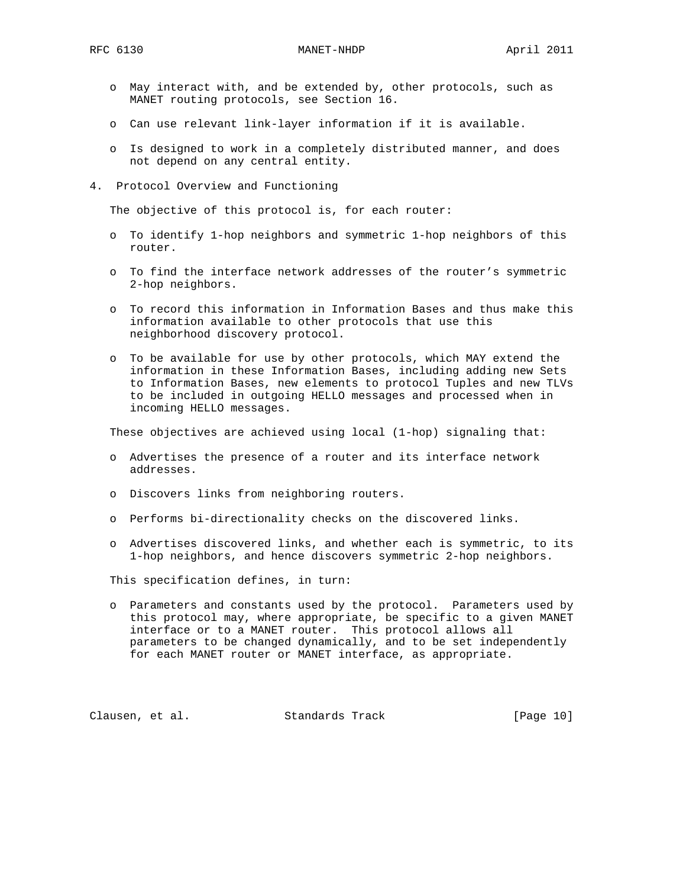- o May interact with, and be extended by, other protocols, such as MANET routing protocols, see Section 16.
- o Can use relevant link-layer information if it is available.
- o Is designed to work in a completely distributed manner, and does not depend on any central entity.
- 4. Protocol Overview and Functioning

The objective of this protocol is, for each router:

- o To identify 1-hop neighbors and symmetric 1-hop neighbors of this router.
- o To find the interface network addresses of the router's symmetric 2-hop neighbors.
- o To record this information in Information Bases and thus make this information available to other protocols that use this neighborhood discovery protocol.
- o To be available for use by other protocols, which MAY extend the information in these Information Bases, including adding new Sets to Information Bases, new elements to protocol Tuples and new TLVs to be included in outgoing HELLO messages and processed when in incoming HELLO messages.

These objectives are achieved using local (1-hop) signaling that:

- o Advertises the presence of a router and its interface network addresses.
- o Discovers links from neighboring routers.
- o Performs bi-directionality checks on the discovered links.
- o Advertises discovered links, and whether each is symmetric, to its 1-hop neighbors, and hence discovers symmetric 2-hop neighbors.

This specification defines, in turn:

 o Parameters and constants used by the protocol. Parameters used by this protocol may, where appropriate, be specific to a given MANET interface or to a MANET router. This protocol allows all parameters to be changed dynamically, and to be set independently for each MANET router or MANET interface, as appropriate.

Clausen, et al. Standards Track [Page 10]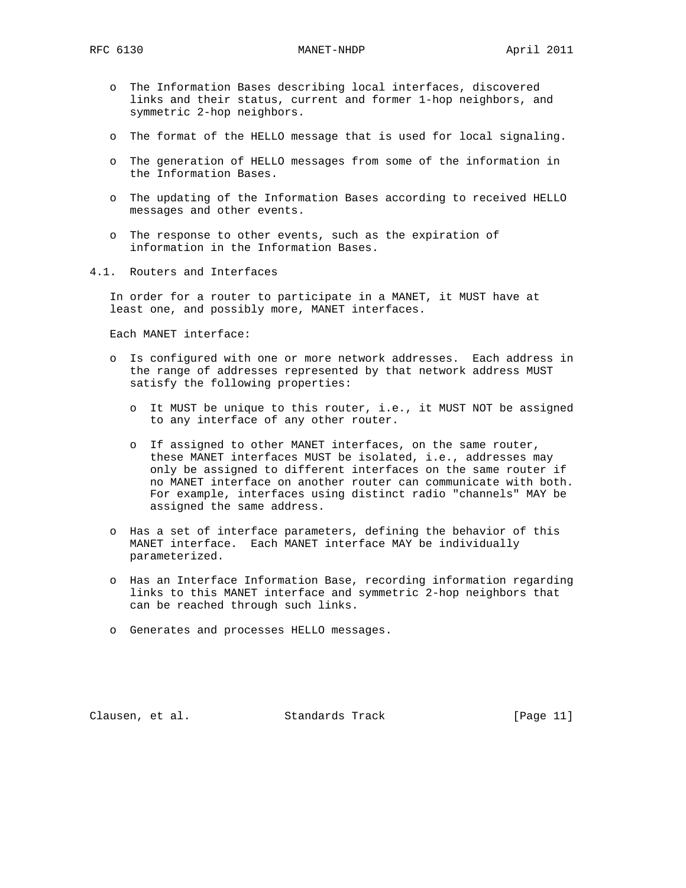- o The Information Bases describing local interfaces, discovered links and their status, current and former 1-hop neighbors, and symmetric 2-hop neighbors.
- o The format of the HELLO message that is used for local signaling.
- o The generation of HELLO messages from some of the information in the Information Bases.
- o The updating of the Information Bases according to received HELLO messages and other events.
- o The response to other events, such as the expiration of information in the Information Bases.
- 4.1. Routers and Interfaces

 In order for a router to participate in a MANET, it MUST have at least one, and possibly more, MANET interfaces.

Each MANET interface:

- o Is configured with one or more network addresses. Each address in the range of addresses represented by that network address MUST satisfy the following properties:
	- o It MUST be unique to this router, i.e., it MUST NOT be assigned to any interface of any other router.
	- o If assigned to other MANET interfaces, on the same router, these MANET interfaces MUST be isolated, i.e., addresses may only be assigned to different interfaces on the same router if no MANET interface on another router can communicate with both. For example, interfaces using distinct radio "channels" MAY be assigned the same address.
- o Has a set of interface parameters, defining the behavior of this MANET interface. Each MANET interface MAY be individually parameterized.
- o Has an Interface Information Base, recording information regarding links to this MANET interface and symmetric 2-hop neighbors that can be reached through such links.
- o Generates and processes HELLO messages.

Clausen, et al. Standards Track [Page 11]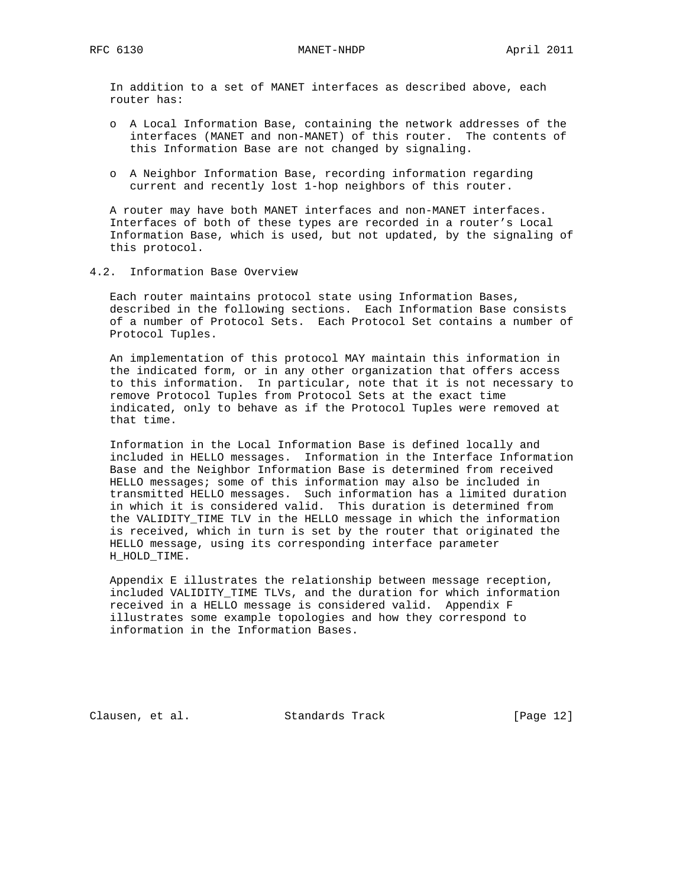In addition to a set of MANET interfaces as described above, each router has:

- o A Local Information Base, containing the network addresses of the interfaces (MANET and non-MANET) of this router. The contents of this Information Base are not changed by signaling.
- o A Neighbor Information Base, recording information regarding current and recently lost 1-hop neighbors of this router.

 A router may have both MANET interfaces and non-MANET interfaces. Interfaces of both of these types are recorded in a router's Local Information Base, which is used, but not updated, by the signaling of this protocol.

4.2. Information Base Overview

 Each router maintains protocol state using Information Bases, described in the following sections. Each Information Base consists of a number of Protocol Sets. Each Protocol Set contains a number of Protocol Tuples.

 An implementation of this protocol MAY maintain this information in the indicated form, or in any other organization that offers access to this information. In particular, note that it is not necessary to remove Protocol Tuples from Protocol Sets at the exact time indicated, only to behave as if the Protocol Tuples were removed at that time.

 Information in the Local Information Base is defined locally and included in HELLO messages. Information in the Interface Information Base and the Neighbor Information Base is determined from received HELLO messages; some of this information may also be included in transmitted HELLO messages. Such information has a limited duration in which it is considered valid. This duration is determined from the VALIDITY\_TIME TLV in the HELLO message in which the information is received, which in turn is set by the router that originated the HELLO message, using its corresponding interface parameter H\_HOLD\_TIME.

 Appendix E illustrates the relationship between message reception, included VALIDITY\_TIME TLVs, and the duration for which information received in a HELLO message is considered valid. Appendix F illustrates some example topologies and how they correspond to information in the Information Bases.

Clausen, et al. Standards Track [Page 12]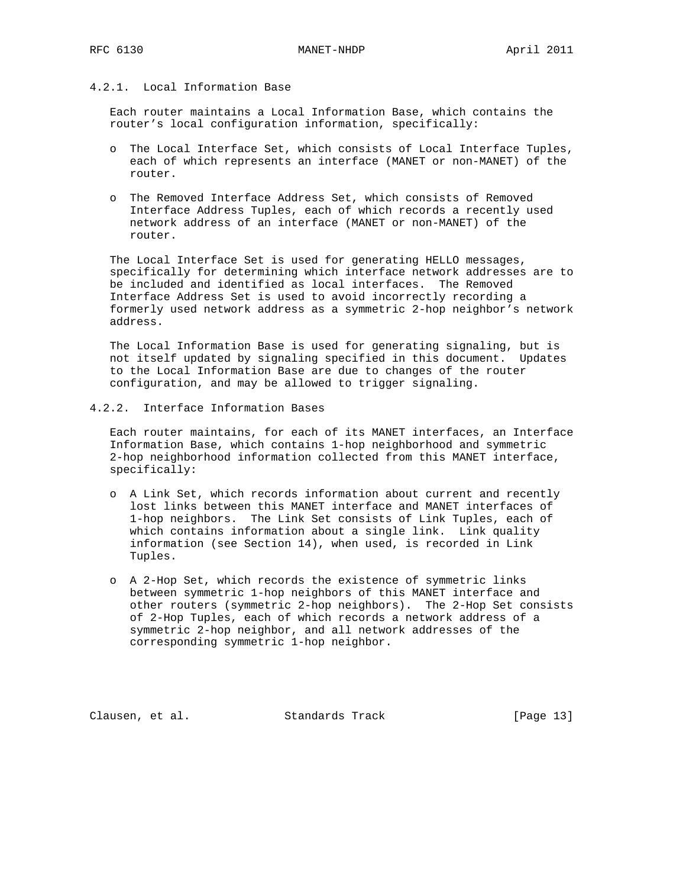# 4.2.1. Local Information Base

 Each router maintains a Local Information Base, which contains the router's local configuration information, specifically:

- o The Local Interface Set, which consists of Local Interface Tuples, each of which represents an interface (MANET or non-MANET) of the router.
- o The Removed Interface Address Set, which consists of Removed Interface Address Tuples, each of which records a recently used network address of an interface (MANET or non-MANET) of the router.

 The Local Interface Set is used for generating HELLO messages, specifically for determining which interface network addresses are to be included and identified as local interfaces. The Removed Interface Address Set is used to avoid incorrectly recording a formerly used network address as a symmetric 2-hop neighbor's network address.

 The Local Information Base is used for generating signaling, but is not itself updated by signaling specified in this document. Updates to the Local Information Base are due to changes of the router configuration, and may be allowed to trigger signaling.

4.2.2. Interface Information Bases

 Each router maintains, for each of its MANET interfaces, an Interface Information Base, which contains 1-hop neighborhood and symmetric 2-hop neighborhood information collected from this MANET interface, specifically:

- o A Link Set, which records information about current and recently lost links between this MANET interface and MANET interfaces of 1-hop neighbors. The Link Set consists of Link Tuples, each of which contains information about a single link. Link quality information (see Section 14), when used, is recorded in Link Tuples.
- o A 2-Hop Set, which records the existence of symmetric links between symmetric 1-hop neighbors of this MANET interface and other routers (symmetric 2-hop neighbors). The 2-Hop Set consists of 2-Hop Tuples, each of which records a network address of a symmetric 2-hop neighbor, and all network addresses of the corresponding symmetric 1-hop neighbor.

Clausen, et al. Standards Track [Page 13]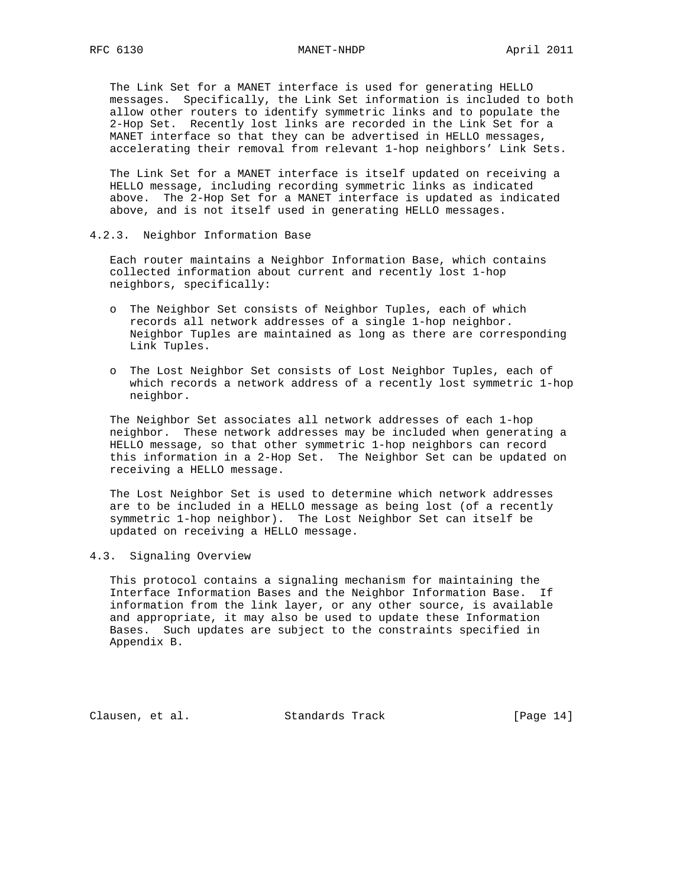The Link Set for a MANET interface is used for generating HELLO messages. Specifically, the Link Set information is included to both allow other routers to identify symmetric links and to populate the 2-Hop Set. Recently lost links are recorded in the Link Set for a MANET interface so that they can be advertised in HELLO messages, accelerating their removal from relevant 1-hop neighbors' Link Sets.

 The Link Set for a MANET interface is itself updated on receiving a HELLO message, including recording symmetric links as indicated above. The 2-Hop Set for a MANET interface is updated as indicated above, and is not itself used in generating HELLO messages.

4.2.3. Neighbor Information Base

 Each router maintains a Neighbor Information Base, which contains collected information about current and recently lost 1-hop neighbors, specifically:

- o The Neighbor Set consists of Neighbor Tuples, each of which records all network addresses of a single 1-hop neighbor. Neighbor Tuples are maintained as long as there are corresponding Link Tuples.
- o The Lost Neighbor Set consists of Lost Neighbor Tuples, each of which records a network address of a recently lost symmetric 1-hop neighbor.

 The Neighbor Set associates all network addresses of each 1-hop neighbor. These network addresses may be included when generating a HELLO message, so that other symmetric 1-hop neighbors can record this information in a 2-Hop Set. The Neighbor Set can be updated on receiving a HELLO message.

 The Lost Neighbor Set is used to determine which network addresses are to be included in a HELLO message as being lost (of a recently symmetric 1-hop neighbor). The Lost Neighbor Set can itself be updated on receiving a HELLO message.

## 4.3. Signaling Overview

 This protocol contains a signaling mechanism for maintaining the Interface Information Bases and the Neighbor Information Base. If information from the link layer, or any other source, is available and appropriate, it may also be used to update these Information Bases. Such updates are subject to the constraints specified in Appendix B.

Clausen, et al. Standards Track [Page 14]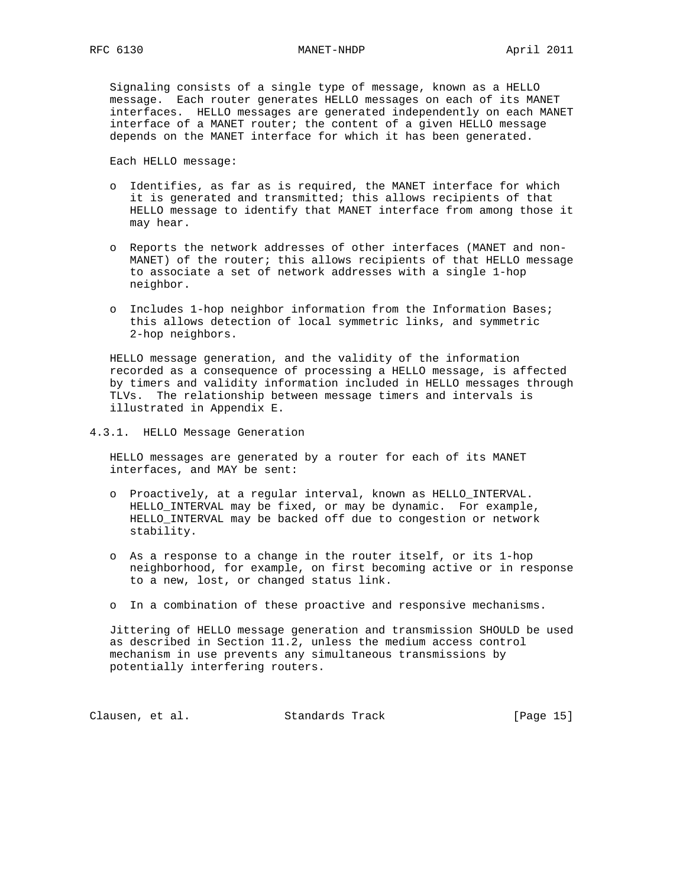# RFC 6130 MANET-NHDP April 2011

 Signaling consists of a single type of message, known as a HELLO message. Each router generates HELLO messages on each of its MANET interfaces. HELLO messages are generated independently on each MANET interface of a MANET router; the content of a given HELLO message depends on the MANET interface for which it has been generated.

Each HELLO message:

- o Identifies, as far as is required, the MANET interface for which it is generated and transmitted; this allows recipients of that HELLO message to identify that MANET interface from among those it may hear.
- o Reports the network addresses of other interfaces (MANET and non- MANET) of the router; this allows recipients of that HELLO message to associate a set of network addresses with a single 1-hop neighbor.
- o Includes 1-hop neighbor information from the Information Bases; this allows detection of local symmetric links, and symmetric 2-hop neighbors.

 HELLO message generation, and the validity of the information recorded as a consequence of processing a HELLO message, is affected by timers and validity information included in HELLO messages through TLVs. The relationship between message timers and intervals is illustrated in Appendix E.

4.3.1. HELLO Message Generation

 HELLO messages are generated by a router for each of its MANET interfaces, and MAY be sent:

- o Proactively, at a regular interval, known as HELLO\_INTERVAL. HELLO\_INTERVAL may be fixed, or may be dynamic. For example, HELLO\_INTERVAL may be backed off due to congestion or network stability.
- o As a response to a change in the router itself, or its 1-hop neighborhood, for example, on first becoming active or in response to a new, lost, or changed status link.
- o In a combination of these proactive and responsive mechanisms.

 Jittering of HELLO message generation and transmission SHOULD be used as described in Section 11.2, unless the medium access control mechanism in use prevents any simultaneous transmissions by potentially interfering routers.

Clausen, et al. Standards Track [Page 15]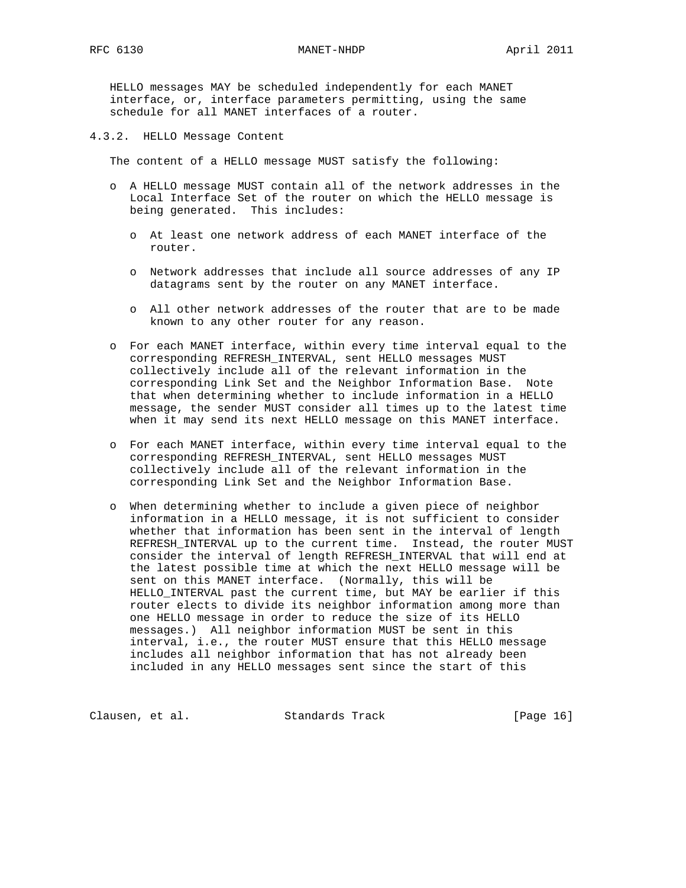HELLO messages MAY be scheduled independently for each MANET interface, or, interface parameters permitting, using the same schedule for all MANET interfaces of a router.

4.3.2. HELLO Message Content

The content of a HELLO message MUST satisfy the following:

- o A HELLO message MUST contain all of the network addresses in the Local Interface Set of the router on which the HELLO message is being generated. This includes:
	- o At least one network address of each MANET interface of the router.
	- o Network addresses that include all source addresses of any IP datagrams sent by the router on any MANET interface.
	- o All other network addresses of the router that are to be made known to any other router for any reason.
- o For each MANET interface, within every time interval equal to the corresponding REFRESH\_INTERVAL, sent HELLO messages MUST collectively include all of the relevant information in the corresponding Link Set and the Neighbor Information Base. Note that when determining whether to include information in a HELLO message, the sender MUST consider all times up to the latest time when it may send its next HELLO message on this MANET interface.
- o For each MANET interface, within every time interval equal to the corresponding REFRESH\_INTERVAL, sent HELLO messages MUST collectively include all of the relevant information in the corresponding Link Set and the Neighbor Information Base.
- o When determining whether to include a given piece of neighbor information in a HELLO message, it is not sufficient to consider whether that information has been sent in the interval of length REFRESH\_INTERVAL up to the current time. Instead, the router MUST consider the interval of length REFRESH\_INTERVAL that will end at the latest possible time at which the next HELLO message will be sent on this MANET interface. (Normally, this will be HELLO\_INTERVAL past the current time, but MAY be earlier if this router elects to divide its neighbor information among more than one HELLO message in order to reduce the size of its HELLO messages.) All neighbor information MUST be sent in this interval, i.e., the router MUST ensure that this HELLO message includes all neighbor information that has not already been included in any HELLO messages sent since the start of this

Clausen, et al. Standards Track [Page 16]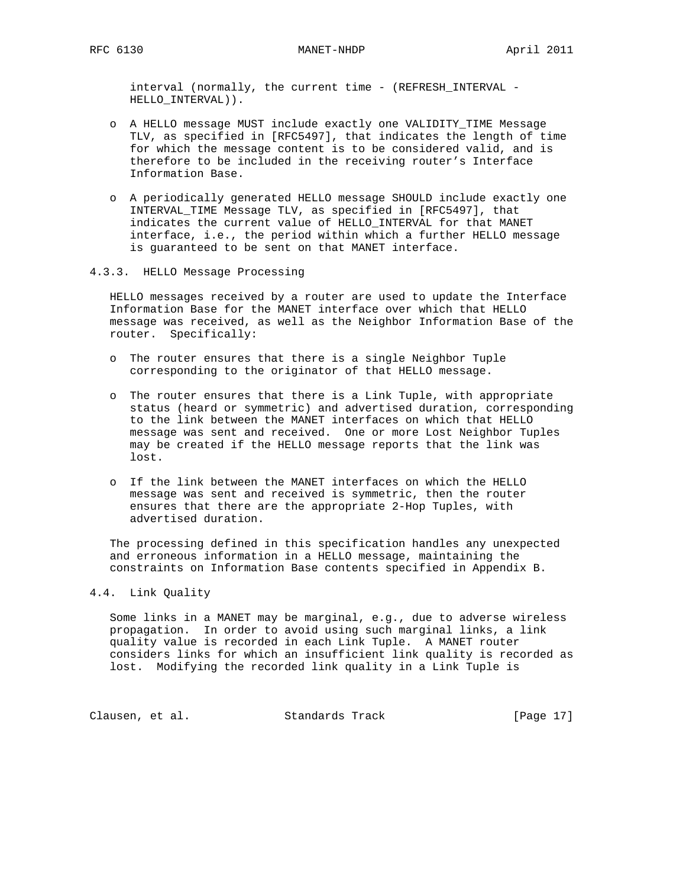interval (normally, the current time - (REFRESH\_INTERVAL -HELLO\_INTERVAL)).

- o A HELLO message MUST include exactly one VALIDITY\_TIME Message TLV, as specified in [RFC5497], that indicates the length of time for which the message content is to be considered valid, and is therefore to be included in the receiving router's Interface Information Base.
- o A periodically generated HELLO message SHOULD include exactly one INTERVAL\_TIME Message TLV, as specified in [RFC5497], that indicates the current value of HELLO\_INTERVAL for that MANET interface, i.e., the period within which a further HELLO message is guaranteed to be sent on that MANET interface.

## 4.3.3. HELLO Message Processing

 HELLO messages received by a router are used to update the Interface Information Base for the MANET interface over which that HELLO message was received, as well as the Neighbor Information Base of the router. Specifically:

- o The router ensures that there is a single Neighbor Tuple corresponding to the originator of that HELLO message.
- o The router ensures that there is a Link Tuple, with appropriate status (heard or symmetric) and advertised duration, corresponding to the link between the MANET interfaces on which that HELLO message was sent and received. One or more Lost Neighbor Tuples may be created if the HELLO message reports that the link was lost.
- o If the link between the MANET interfaces on which the HELLO message was sent and received is symmetric, then the router ensures that there are the appropriate 2-Hop Tuples, with advertised duration.

 The processing defined in this specification handles any unexpected and erroneous information in a HELLO message, maintaining the constraints on Information Base contents specified in Appendix B.

## 4.4. Link Quality

 Some links in a MANET may be marginal, e.g., due to adverse wireless propagation. In order to avoid using such marginal links, a link quality value is recorded in each Link Tuple. A MANET router considers links for which an insufficient link quality is recorded as lost. Modifying the recorded link quality in a Link Tuple is

Clausen, et al. Standards Track [Page 17]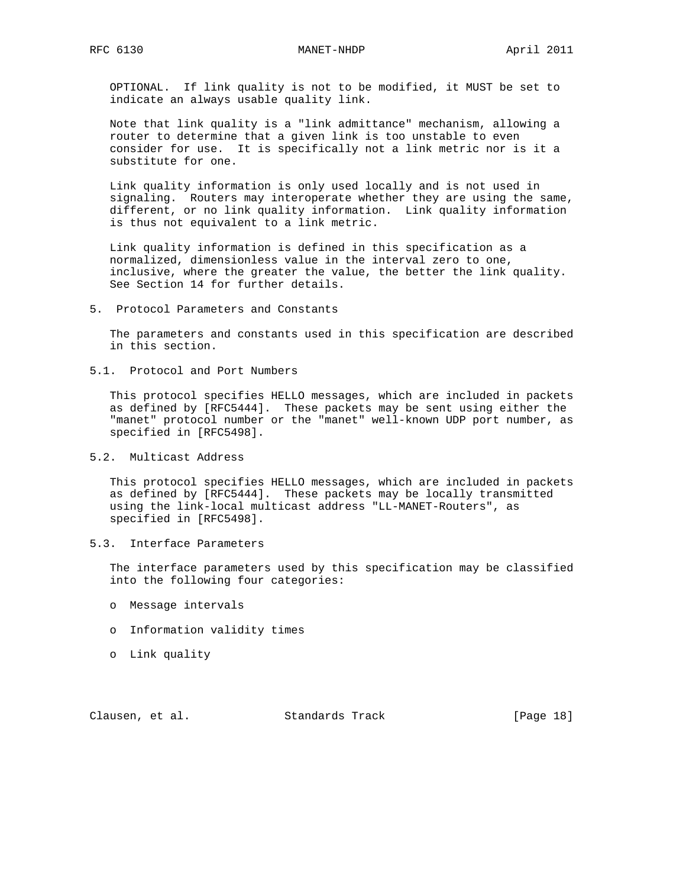OPTIONAL. If link quality is not to be modified, it MUST be set to indicate an always usable quality link.

 Note that link quality is a "link admittance" mechanism, allowing a router to determine that a given link is too unstable to even consider for use. It is specifically not a link metric nor is it a substitute for one.

 Link quality information is only used locally and is not used in signaling. Routers may interoperate whether they are using the same, different, or no link quality information. Link quality information is thus not equivalent to a link metric.

 Link quality information is defined in this specification as a normalized, dimensionless value in the interval zero to one, inclusive, where the greater the value, the better the link quality. See Section 14 for further details.

### 5. Protocol Parameters and Constants

 The parameters and constants used in this specification are described in this section.

5.1. Protocol and Port Numbers

 This protocol specifies HELLO messages, which are included in packets as defined by [RFC5444]. These packets may be sent using either the "manet" protocol number or the "manet" well-known UDP port number, as specified in [RFC5498].

5.2. Multicast Address

 This protocol specifies HELLO messages, which are included in packets as defined by [RFC5444]. These packets may be locally transmitted using the link-local multicast address "LL-MANET-Routers", as specified in [RFC5498].

5.3. Interface Parameters

 The interface parameters used by this specification may be classified into the following four categories:

- o Message intervals
- o Information validity times
- o Link quality

Clausen, et al. Standards Track [Page 18]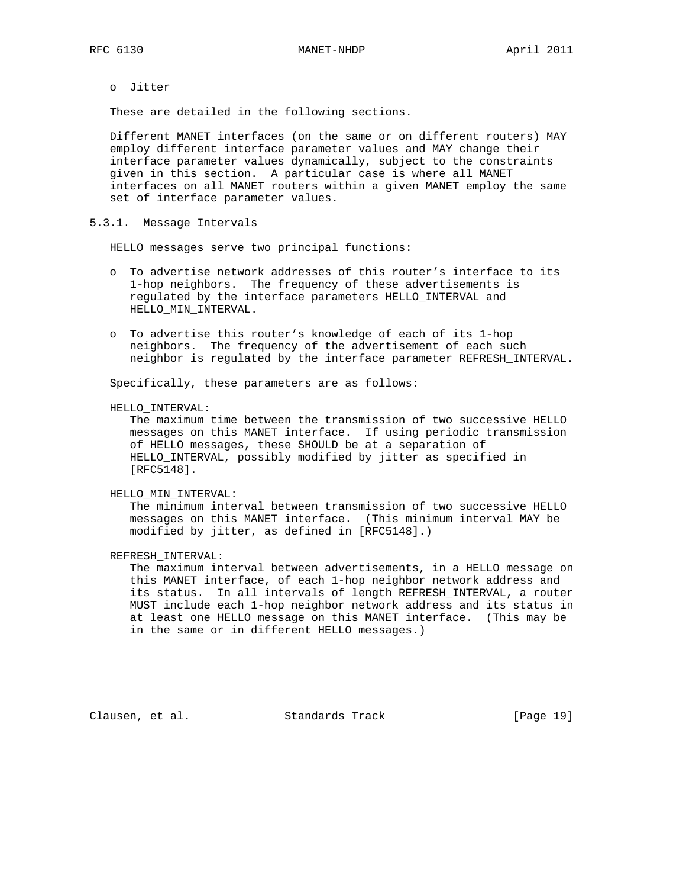o Jitter

These are detailed in the following sections.

 Different MANET interfaces (on the same or on different routers) MAY employ different interface parameter values and MAY change their interface parameter values dynamically, subject to the constraints given in this section. A particular case is where all MANET interfaces on all MANET routers within a given MANET employ the same set of interface parameter values.

5.3.1. Message Intervals

HELLO messages serve two principal functions:

- o To advertise network addresses of this router's interface to its 1-hop neighbors. The frequency of these advertisements is regulated by the interface parameters HELLO\_INTERVAL and HELLO\_MIN\_INTERVAL.
- o To advertise this router's knowledge of each of its 1-hop neighbors. The frequency of the advertisement of each such neighbor is regulated by the interface parameter REFRESH\_INTERVAL.

Specifically, these parameters are as follows:

HELLO\_INTERVAL:

 The maximum time between the transmission of two successive HELLO messages on this MANET interface. If using periodic transmission of HELLO messages, these SHOULD be at a separation of HELLO\_INTERVAL, possibly modified by jitter as specified in [RFC5148].

#### HELLO\_MIN\_INTERVAL:

 The minimum interval between transmission of two successive HELLO messages on this MANET interface. (This minimum interval MAY be modified by jitter, as defined in [RFC5148].)

REFRESH\_INTERVAL:

 The maximum interval between advertisements, in a HELLO message on this MANET interface, of each 1-hop neighbor network address and its status. In all intervals of length REFRESH\_INTERVAL, a router MUST include each 1-hop neighbor network address and its status in at least one HELLO message on this MANET interface. (This may be in the same or in different HELLO messages.)

Clausen, et al. Standards Track [Page 19]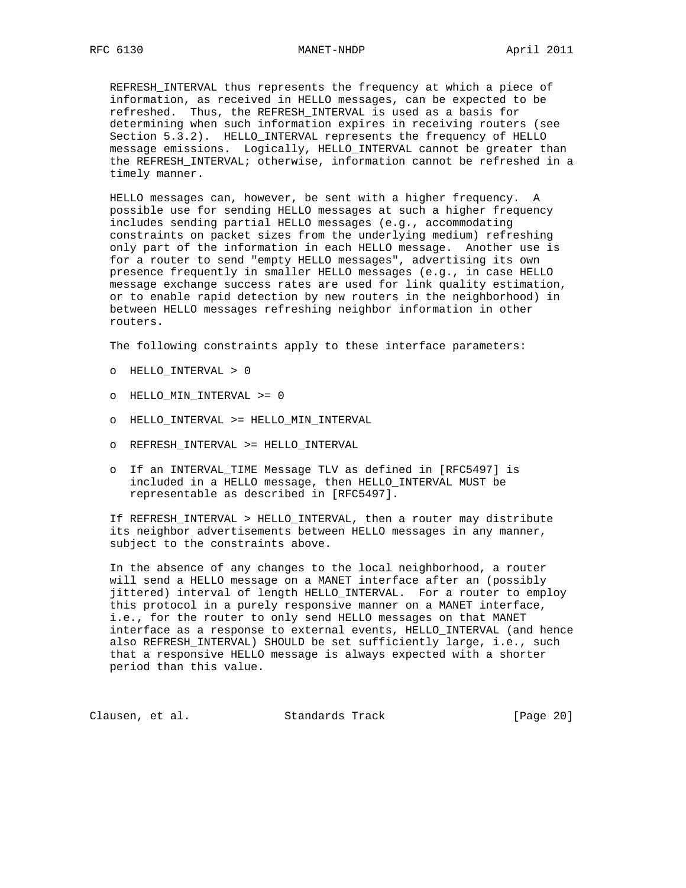REFRESH\_INTERVAL thus represents the frequency at which a piece of information, as received in HELLO messages, can be expected to be refreshed. Thus, the REFRESH\_INTERVAL is used as a basis for determining when such information expires in receiving routers (see Section 5.3.2). HELLO\_INTERVAL represents the frequency of HELLO message emissions. Logically, HELLO\_INTERVAL cannot be greater than the REFRESH\_INTERVAL; otherwise, information cannot be refreshed in a timely manner.

 HELLO messages can, however, be sent with a higher frequency. A possible use for sending HELLO messages at such a higher frequency includes sending partial HELLO messages (e.g., accommodating constraints on packet sizes from the underlying medium) refreshing only part of the information in each HELLO message. Another use is for a router to send "empty HELLO messages", advertising its own presence frequently in smaller HELLO messages (e.g., in case HELLO message exchange success rates are used for link quality estimation, or to enable rapid detection by new routers in the neighborhood) in between HELLO messages refreshing neighbor information in other routers.

The following constraints apply to these interface parameters:

- o HELLO\_INTERVAL > 0
- o HELLO\_MIN\_INTERVAL >= 0
- o HELLO\_INTERVAL >= HELLO\_MIN\_INTERVAL
- o REFRESH\_INTERVAL >= HELLO\_INTERVAL
- o If an INTERVAL\_TIME Message TLV as defined in [RFC5497] is included in a HELLO message, then HELLO\_INTERVAL MUST be representable as described in [RFC5497].

 If REFRESH\_INTERVAL > HELLO\_INTERVAL, then a router may distribute its neighbor advertisements between HELLO messages in any manner, subject to the constraints above.

 In the absence of any changes to the local neighborhood, a router will send a HELLO message on a MANET interface after an (possibly jittered) interval of length HELLO\_INTERVAL. For a router to employ this protocol in a purely responsive manner on a MANET interface, i.e., for the router to only send HELLO messages on that MANET interface as a response to external events, HELLO\_INTERVAL (and hence also REFRESH\_INTERVAL) SHOULD be set sufficiently large, i.e., such that a responsive HELLO message is always expected with a shorter period than this value.

Clausen, et al. Standards Track [Page 20]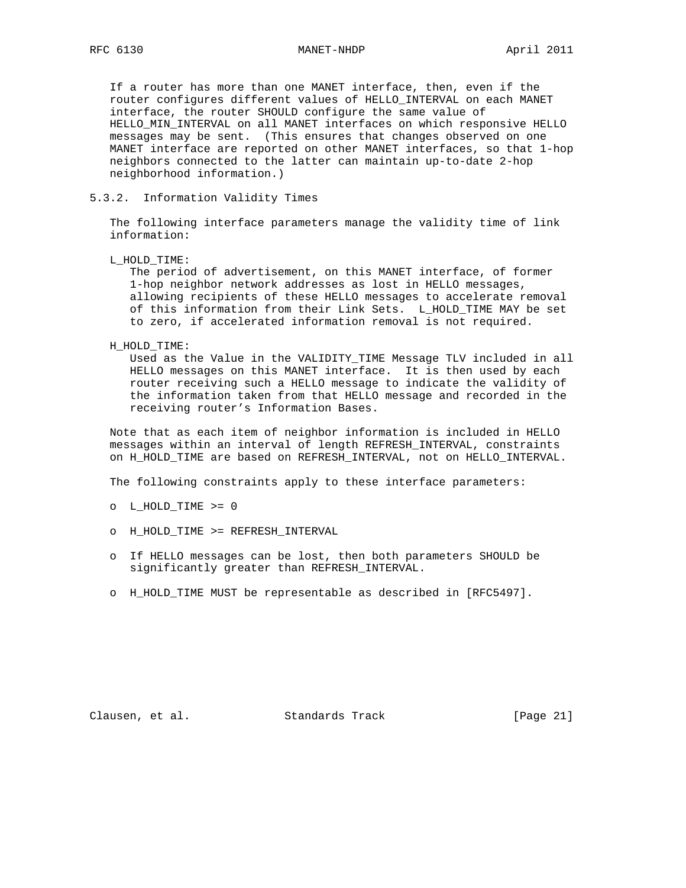If a router has more than one MANET interface, then, even if the router configures different values of HELLO\_INTERVAL on each MANET interface, the router SHOULD configure the same value of HELLO\_MIN\_INTERVAL on all MANET interfaces on which responsive HELLO messages may be sent. (This ensures that changes observed on one MANET interface are reported on other MANET interfaces, so that 1-hop neighbors connected to the latter can maintain up-to-date 2-hop neighborhood information.)

## 5.3.2. Information Validity Times

 The following interface parameters manage the validity time of link information:

L\_HOLD\_TIME:

 The period of advertisement, on this MANET interface, of former 1-hop neighbor network addresses as lost in HELLO messages, allowing recipients of these HELLO messages to accelerate removal of this information from their Link Sets. L\_HOLD\_TIME MAY be set to zero, if accelerated information removal is not required.

#### H\_HOLD\_TIME:

 Used as the Value in the VALIDITY\_TIME Message TLV included in all HELLO messages on this MANET interface. It is then used by each router receiving such a HELLO message to indicate the validity of the information taken from that HELLO message and recorded in the receiving router's Information Bases.

 Note that as each item of neighbor information is included in HELLO messages within an interval of length REFRESH\_INTERVAL, constraints on H\_HOLD\_TIME are based on REFRESH\_INTERVAL, not on HELLO\_INTERVAL.

The following constraints apply to these interface parameters:

- o L\_HOLD\_TIME >= 0
- o H\_HOLD\_TIME >= REFRESH\_INTERVAL
- o If HELLO messages can be lost, then both parameters SHOULD be significantly greater than REFRESH\_INTERVAL.
- o H\_HOLD\_TIME MUST be representable as described in [RFC5497].

Clausen, et al. Standards Track [Page 21]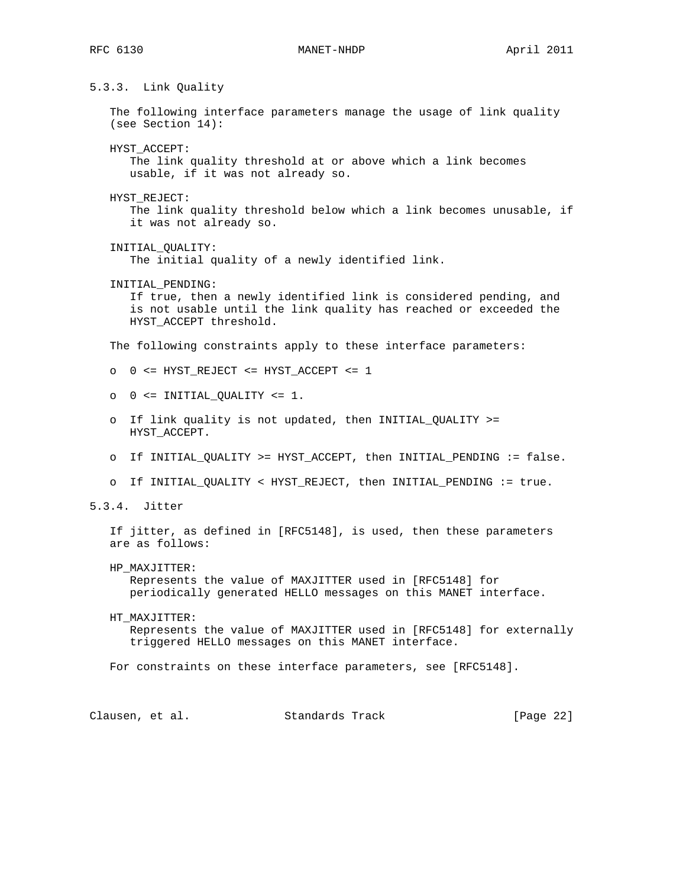## RFC 6130 MANET-NHDP April 2011

# 5.3.3. Link Quality

 The following interface parameters manage the usage of link quality (see Section 14):

HYST\_ACCEPT:

 The link quality threshold at or above which a link becomes usable, if it was not already so.

HYST\_REJECT:

 The link quality threshold below which a link becomes unusable, if it was not already so.

INITIAL\_QUALITY:

The initial quality of a newly identified link.

INITIAL\_PENDING:

 If true, then a newly identified link is considered pending, and is not usable until the link quality has reached or exceeded the HYST\_ACCEPT threshold.

The following constraints apply to these interface parameters:

- o 0 <= HYST\_REJECT <= HYST\_ACCEPT <= 1
- $\circ$   $0$  <= INITIAL\_QUALITY <= 1.
- o If link quality is not updated, then INITIAL\_QUALITY >= HYST\_ACCEPT.
- o If INITIAL\_QUALITY >= HYST\_ACCEPT, then INITIAL\_PENDING := false.
- o If INITIAL\_QUALITY < HYST\_REJECT, then INITIAL\_PENDING := true.
- 5.3.4. Jitter

 If jitter, as defined in [RFC5148], is used, then these parameters are as follows:

HP\_MAXJITTER:

 Represents the value of MAXJITTER used in [RFC5148] for periodically generated HELLO messages on this MANET interface.

 HT\_MAXJITTER: Represents the value of MAXJITTER used in [RFC5148] for externally triggered HELLO messages on this MANET interface.

For constraints on these interface parameters, see [RFC5148].

Clausen, et al. Standards Track [Page 22]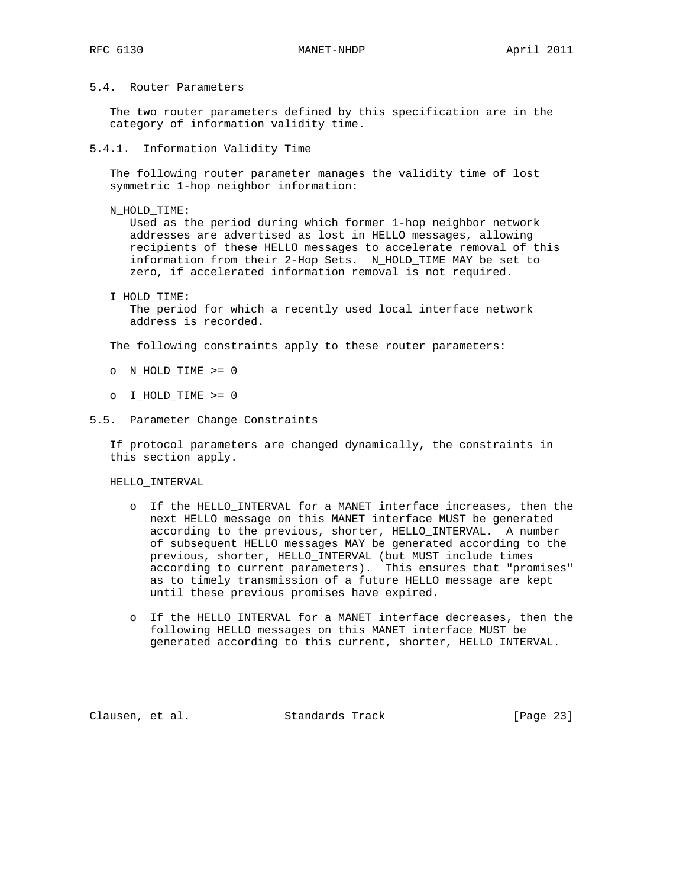## 5.4. Router Parameters

 The two router parameters defined by this specification are in the category of information validity time.

## 5.4.1. Information Validity Time

 The following router parameter manages the validity time of lost symmetric 1-hop neighbor information:

N\_HOLD\_TIME:

 Used as the period during which former 1-hop neighbor network addresses are advertised as lost in HELLO messages, allowing recipients of these HELLO messages to accelerate removal of this information from their 2-Hop Sets. N\_HOLD\_TIME MAY be set to zero, if accelerated information removal is not required.

### I\_HOLD\_TIME:

 The period for which a recently used local interface network address is recorded.

The following constraints apply to these router parameters:

- o N\_HOLD\_TIME >= 0
- o I\_HOLD\_TIME >= 0

## 5.5. Parameter Change Constraints

 If protocol parameters are changed dynamically, the constraints in this section apply.

HELLO\_INTERVAL

- o If the HELLO\_INTERVAL for a MANET interface increases, then the next HELLO message on this MANET interface MUST be generated according to the previous, shorter, HELLO\_INTERVAL. A number of subsequent HELLO messages MAY be generated according to the previous, shorter, HELLO\_INTERVAL (but MUST include times according to current parameters). This ensures that "promises" as to timely transmission of a future HELLO message are kept until these previous promises have expired.
- o If the HELLO\_INTERVAL for a MANET interface decreases, then the following HELLO messages on this MANET interface MUST be generated according to this current, shorter, HELLO\_INTERVAL.

Clausen, et al. Standards Track [Page 23]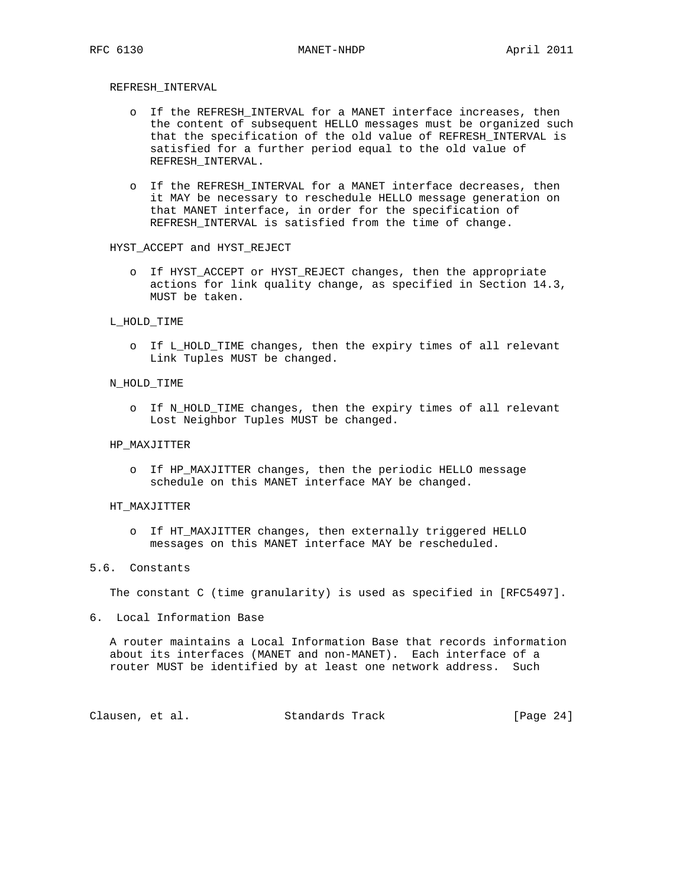## REFRESH\_INTERVAL

- o If the REFRESH\_INTERVAL for a MANET interface increases, then the content of subsequent HELLO messages must be organized such that the specification of the old value of REFRESH\_INTERVAL is satisfied for a further period equal to the old value of REFRESH\_INTERVAL.
- o If the REFRESH\_INTERVAL for a MANET interface decreases, then it MAY be necessary to reschedule HELLO message generation on that MANET interface, in order for the specification of REFRESH\_INTERVAL is satisfied from the time of change.

### HYST\_ACCEPT and HYST\_REJECT

 o If HYST\_ACCEPT or HYST\_REJECT changes, then the appropriate actions for link quality change, as specified in Section 14.3, MUST be taken.

#### L\_HOLD\_TIME

 o If L\_HOLD\_TIME changes, then the expiry times of all relevant Link Tuples MUST be changed.

#### N\_HOLD\_TIME

 o If N\_HOLD\_TIME changes, then the expiry times of all relevant Lost Neighbor Tuples MUST be changed.

#### HP\_MAXJITTER

 o If HP\_MAXJITTER changes, then the periodic HELLO message schedule on this MANET interface MAY be changed.

#### HT\_MAXJITTER

 o If HT\_MAXJITTER changes, then externally triggered HELLO messages on this MANET interface MAY be rescheduled.

## 5.6. Constants

The constant C (time granularity) is used as specified in [RFC5497].

6. Local Information Base

 A router maintains a Local Information Base that records information about its interfaces (MANET and non-MANET). Each interface of a router MUST be identified by at least one network address. Such

Clausen, et al. Standards Track [Page 24]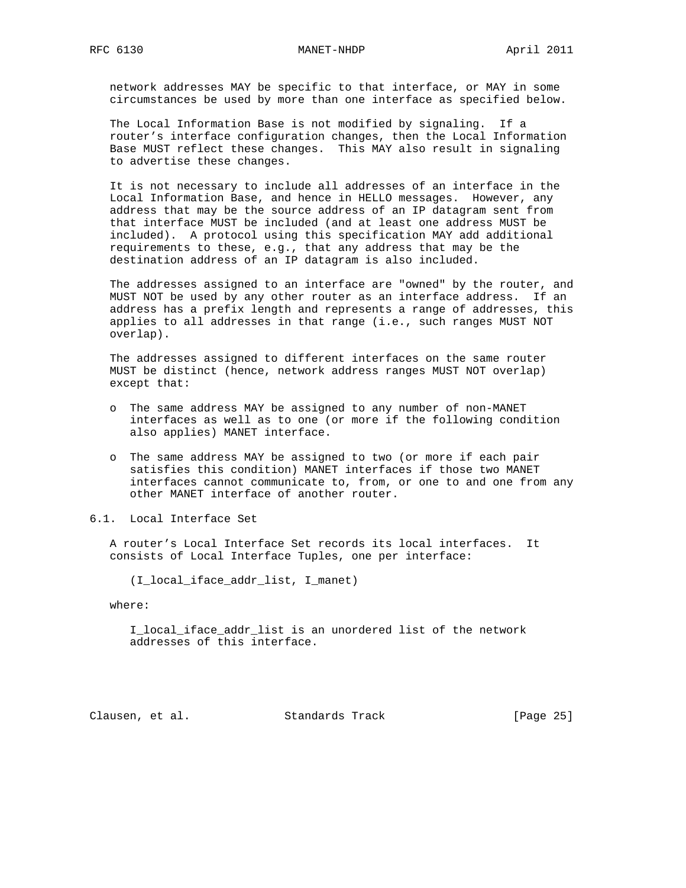network addresses MAY be specific to that interface, or MAY in some circumstances be used by more than one interface as specified below.

 The Local Information Base is not modified by signaling. If a router's interface configuration changes, then the Local Information Base MUST reflect these changes. This MAY also result in signaling to advertise these changes.

 It is not necessary to include all addresses of an interface in the Local Information Base, and hence in HELLO messages. However, any address that may be the source address of an IP datagram sent from that interface MUST be included (and at least one address MUST be included). A protocol using this specification MAY add additional requirements to these, e.g., that any address that may be the destination address of an IP datagram is also included.

 The addresses assigned to an interface are "owned" by the router, and MUST NOT be used by any other router as an interface address. If an address has a prefix length and represents a range of addresses, this applies to all addresses in that range (i.e., such ranges MUST NOT overlap).

 The addresses assigned to different interfaces on the same router MUST be distinct (hence, network address ranges MUST NOT overlap) except that:

- o The same address MAY be assigned to any number of non-MANET interfaces as well as to one (or more if the following condition also applies) MANET interface.
- o The same address MAY be assigned to two (or more if each pair satisfies this condition) MANET interfaces if those two MANET interfaces cannot communicate to, from, or one to and one from any other MANET interface of another router.
- 6.1. Local Interface Set

 A router's Local Interface Set records its local interfaces. It consists of Local Interface Tuples, one per interface:

(I\_local\_iface\_addr\_list, I\_manet)

where:

 I\_local\_iface\_addr\_list is an unordered list of the network addresses of this interface.

Clausen, et al. Standards Track [Page 25]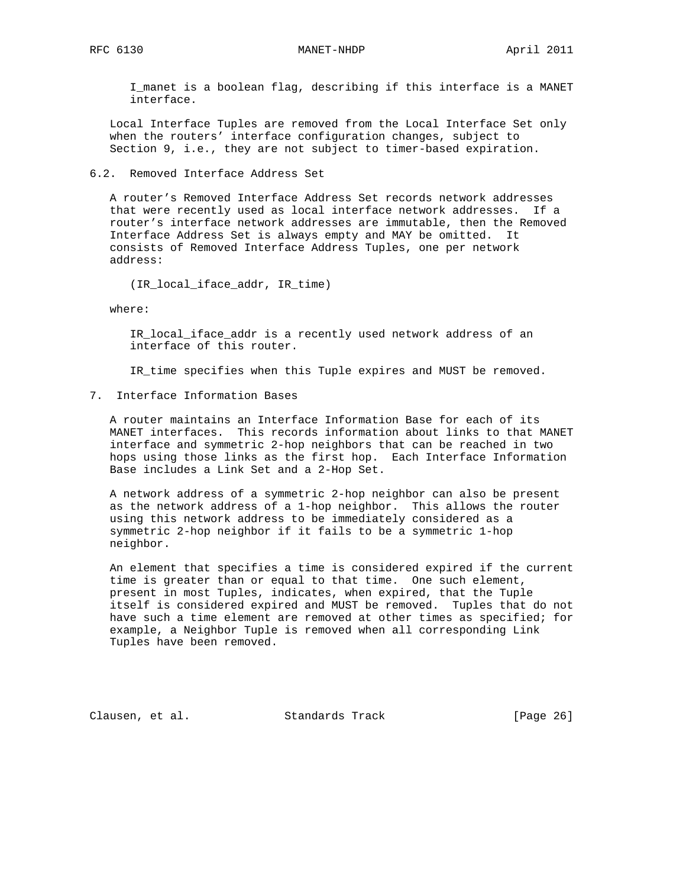I\_manet is a boolean flag, describing if this interface is a MANET interface.

 Local Interface Tuples are removed from the Local Interface Set only when the routers' interface configuration changes, subject to Section 9, i.e., they are not subject to timer-based expiration.

6.2. Removed Interface Address Set

 A router's Removed Interface Address Set records network addresses that were recently used as local interface network addresses. If a router's interface network addresses are immutable, then the Removed Interface Address Set is always empty and MAY be omitted. It consists of Removed Interface Address Tuples, one per network address:

(IR\_local\_iface\_addr, IR\_time)

where:

 IR\_local\_iface\_addr is a recently used network address of an interface of this router.

IR\_time specifies when this Tuple expires and MUST be removed.

7. Interface Information Bases

 A router maintains an Interface Information Base for each of its MANET interfaces. This records information about links to that MANET interface and symmetric 2-hop neighbors that can be reached in two hops using those links as the first hop. Each Interface Information Base includes a Link Set and a 2-Hop Set.

 A network address of a symmetric 2-hop neighbor can also be present as the network address of a 1-hop neighbor. This allows the router using this network address to be immediately considered as a symmetric 2-hop neighbor if it fails to be a symmetric 1-hop neighbor.

 An element that specifies a time is considered expired if the current time is greater than or equal to that time. One such element, present in most Tuples, indicates, when expired, that the Tuple itself is considered expired and MUST be removed. Tuples that do not have such a time element are removed at other times as specified; for example, a Neighbor Tuple is removed when all corresponding Link Tuples have been removed.

Clausen, et al. Standards Track [Page 26]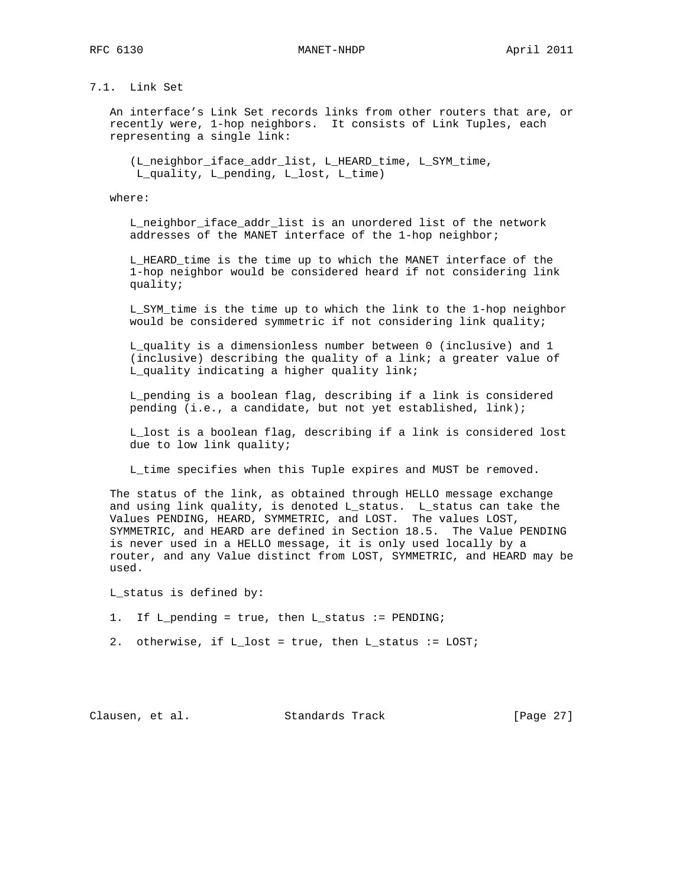RFC 6130 MANET-NHDP April 2011

# 7.1. Link Set

 An interface's Link Set records links from other routers that are, or recently were, 1-hop neighbors. It consists of Link Tuples, each representing a single link:

 (L\_neighbor\_iface\_addr\_list, L\_HEARD\_time, L\_SYM\_time, L\_quality, L\_pending, L\_lost, L\_time)

where:

 L\_neighbor\_iface\_addr\_list is an unordered list of the network addresses of the MANET interface of the 1-hop neighbor;

 L\_HEARD\_time is the time up to which the MANET interface of the 1-hop neighbor would be considered heard if not considering link quality;

 L\_SYM\_time is the time up to which the link to the 1-hop neighbor would be considered symmetric if not considering link quality;

 L\_quality is a dimensionless number between 0 (inclusive) and 1 (inclusive) describing the quality of a link; a greater value of L\_quality indicating a higher quality link;

 L\_pending is a boolean flag, describing if a link is considered pending (i.e., a candidate, but not yet established, link);

 L\_lost is a boolean flag, describing if a link is considered lost due to low link quality;

L\_time specifies when this Tuple expires and MUST be removed.

 The status of the link, as obtained through HELLO message exchange and using link quality, is denoted L\_status. L\_status can take the Values PENDING, HEARD, SYMMETRIC, and LOST. The values LOST, SYMMETRIC, and HEARD are defined in Section 18.5. The Value PENDING is never used in a HELLO message, it is only used locally by a router, and any Value distinct from LOST, SYMMETRIC, and HEARD may be used.

L\_status is defined by:

- 1. If L\_pending = true, then L\_status := PENDING;
- 2. otherwise, if L\_lost = true, then L\_status := LOST;

Clausen, et al. Standards Track [Page 27]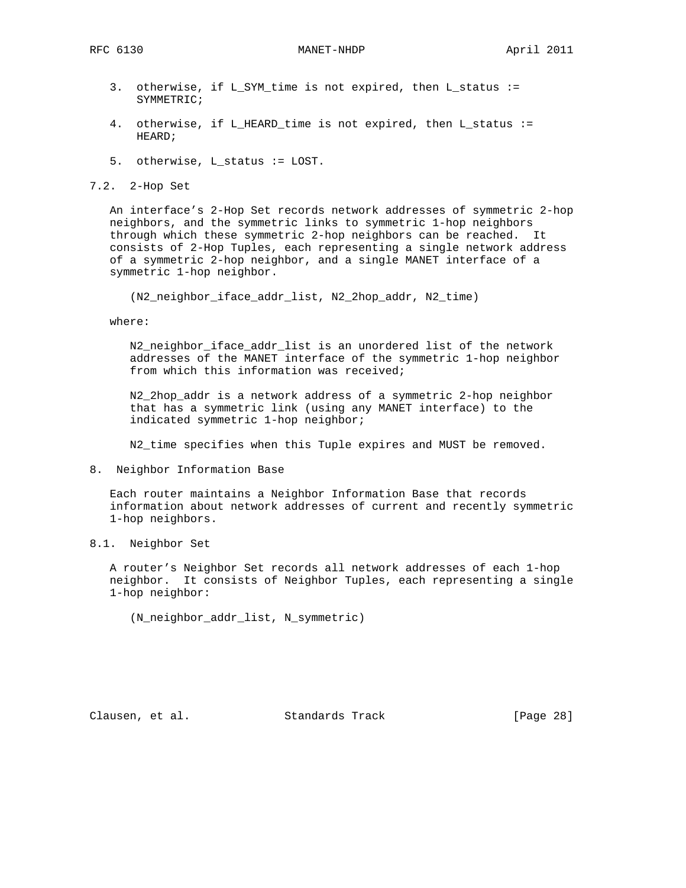- 3. otherwise, if L\_SYM\_time is not expired, then L\_status := SYMMETRIC;
- 4. otherwise, if L\_HEARD\_time is not expired, then L\_status := HEARD;
- 5. otherwise, L\_status := LOST.

7.2. 2-Hop Set

 An interface's 2-Hop Set records network addresses of symmetric 2-hop neighbors, and the symmetric links to symmetric 1-hop neighbors through which these symmetric 2-hop neighbors can be reached. It consists of 2-Hop Tuples, each representing a single network address of a symmetric 2-hop neighbor, and a single MANET interface of a symmetric 1-hop neighbor.

(N2\_neighbor\_iface\_addr\_list, N2\_2hop\_addr, N2\_time)

where:

 N2\_neighbor\_iface\_addr\_list is an unordered list of the network addresses of the MANET interface of the symmetric 1-hop neighbor from which this information was received;

 N2\_2hop\_addr is a network address of a symmetric 2-hop neighbor that has a symmetric link (using any MANET interface) to the indicated symmetric 1-hop neighbor;

N2\_time specifies when this Tuple expires and MUST be removed.

8. Neighbor Information Base

 Each router maintains a Neighbor Information Base that records information about network addresses of current and recently symmetric 1-hop neighbors.

8.1. Neighbor Set

 A router's Neighbor Set records all network addresses of each 1-hop neighbor. It consists of Neighbor Tuples, each representing a single 1-hop neighbor:

(N\_neighbor\_addr\_list, N\_symmetric)

Clausen, et al. Standards Track [Page 28]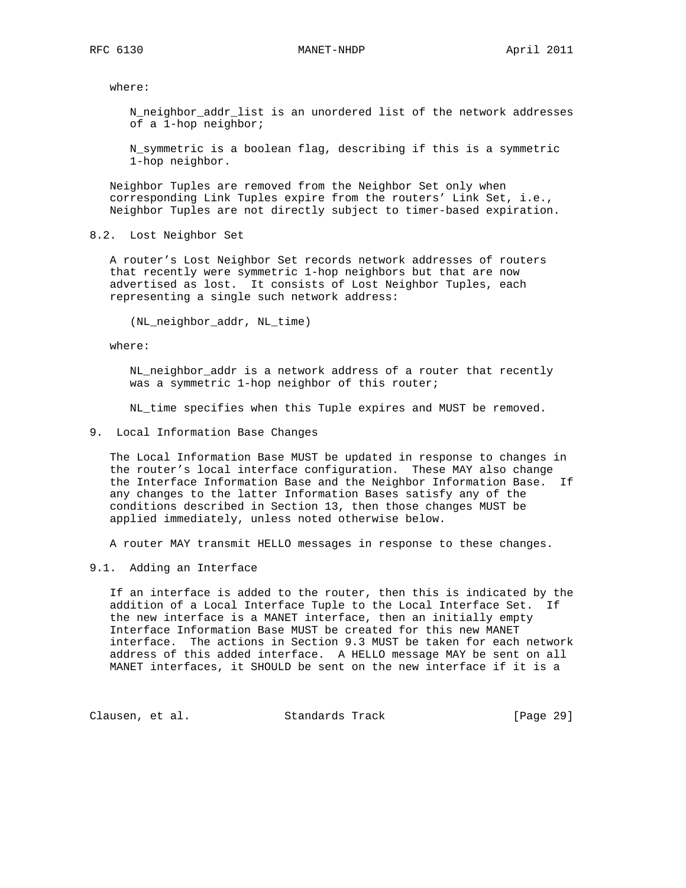where:

 N\_neighbor\_addr\_list is an unordered list of the network addresses of a 1-hop neighbor;

 N\_symmetric is a boolean flag, describing if this is a symmetric 1-hop neighbor.

 Neighbor Tuples are removed from the Neighbor Set only when corresponding Link Tuples expire from the routers' Link Set, i.e., Neighbor Tuples are not directly subject to timer-based expiration.

8.2. Lost Neighbor Set

 A router's Lost Neighbor Set records network addresses of routers that recently were symmetric 1-hop neighbors but that are now advertised as lost. It consists of Lost Neighbor Tuples, each representing a single such network address:

(NL\_neighbor\_addr, NL\_time)

where:

 NL\_neighbor\_addr is a network address of a router that recently was a symmetric 1-hop neighbor of this router;

NL\_time specifies when this Tuple expires and MUST be removed.

9. Local Information Base Changes

 The Local Information Base MUST be updated in response to changes in the router's local interface configuration. These MAY also change the Interface Information Base and the Neighbor Information Base. If any changes to the latter Information Bases satisfy any of the conditions described in Section 13, then those changes MUST be applied immediately, unless noted otherwise below.

A router MAY transmit HELLO messages in response to these changes.

9.1. Adding an Interface

 If an interface is added to the router, then this is indicated by the addition of a Local Interface Tuple to the Local Interface Set. If the new interface is a MANET interface, then an initially empty Interface Information Base MUST be created for this new MANET interface. The actions in Section 9.3 MUST be taken for each network address of this added interface. A HELLO message MAY be sent on all MANET interfaces, it SHOULD be sent on the new interface if it is a

Clausen, et al. Standards Track [Page 29]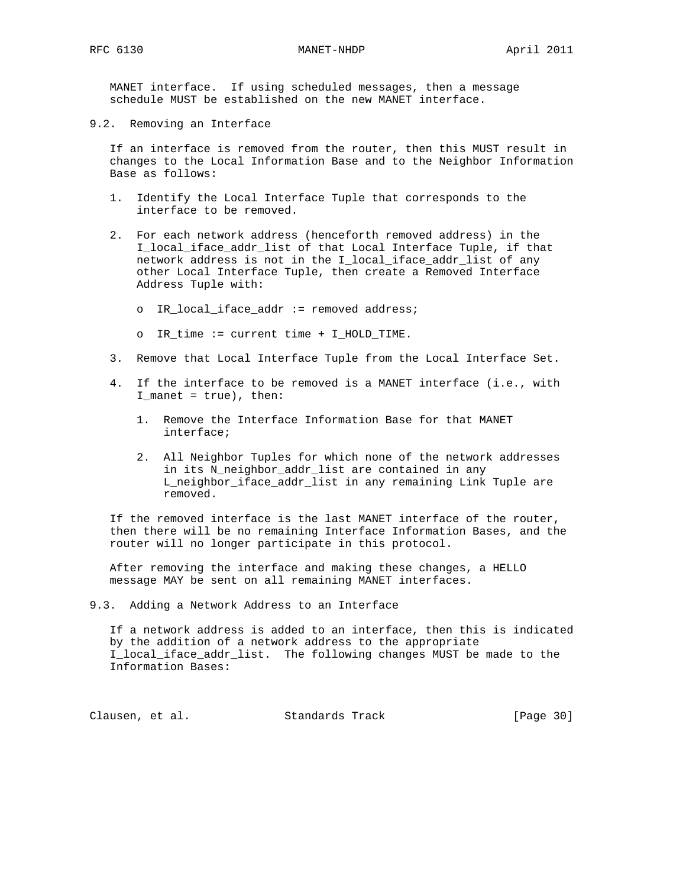MANET interface. If using scheduled messages, then a message schedule MUST be established on the new MANET interface.

9.2. Removing an Interface

 If an interface is removed from the router, then this MUST result in changes to the Local Information Base and to the Neighbor Information Base as follows:

- 1. Identify the Local Interface Tuple that corresponds to the interface to be removed.
- 2. For each network address (henceforth removed address) in the I\_local\_iface\_addr\_list of that Local Interface Tuple, if that network address is not in the I\_local\_iface\_addr\_list of any other Local Interface Tuple, then create a Removed Interface Address Tuple with:
	- o IR\_local\_iface\_addr := removed address;
	- o IR\_time := current time + I\_HOLD\_TIME.
- 3. Remove that Local Interface Tuple from the Local Interface Set.
- 4. If the interface to be removed is a MANET interface (i.e., with  $I_matrix$  = true), then:
	- 1. Remove the Interface Information Base for that MANET interface;
	- 2. All Neighbor Tuples for which none of the network addresses in its N\_neighbor\_addr\_list are contained in any L\_neighbor\_iface\_addr\_list in any remaining Link Tuple are removed.

 If the removed interface is the last MANET interface of the router, then there will be no remaining Interface Information Bases, and the router will no longer participate in this protocol.

 After removing the interface and making these changes, a HELLO message MAY be sent on all remaining MANET interfaces.

9.3. Adding a Network Address to an Interface

 If a network address is added to an interface, then this is indicated by the addition of a network address to the appropriate I\_local\_iface\_addr\_list. The following changes MUST be made to the Information Bases:

Clausen, et al. Standards Track [Page 30]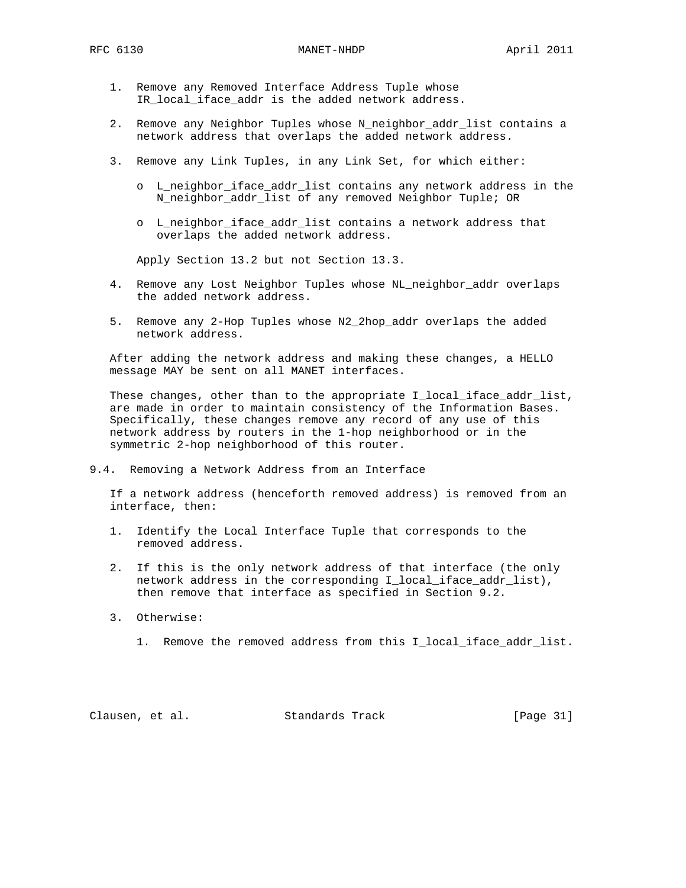- 1. Remove any Removed Interface Address Tuple whose IR\_local\_iface\_addr is the added network address.
- 2. Remove any Neighbor Tuples whose N\_neighbor\_addr\_list contains a network address that overlaps the added network address.
- 3. Remove any Link Tuples, in any Link Set, for which either:
	- o L\_neighbor\_iface\_addr\_list contains any network address in the N\_neighbor\_addr\_list of any removed Neighbor Tuple; OR
	- o L\_neighbor\_iface\_addr\_list contains a network address that overlaps the added network address.

Apply Section 13.2 but not Section 13.3.

- 4. Remove any Lost Neighbor Tuples whose NL\_neighbor\_addr overlaps the added network address.
- 5. Remove any 2-Hop Tuples whose N2\_2hop\_addr overlaps the added network address.

 After adding the network address and making these changes, a HELLO message MAY be sent on all MANET interfaces.

These changes, other than to the appropriate I\_local\_iface\_addr\_list, are made in order to maintain consistency of the Information Bases. Specifically, these changes remove any record of any use of this network address by routers in the 1-hop neighborhood or in the symmetric 2-hop neighborhood of this router.

9.4. Removing a Network Address from an Interface

 If a network address (henceforth removed address) is removed from an interface, then:

- 1. Identify the Local Interface Tuple that corresponds to the removed address.
- 2. If this is the only network address of that interface (the only network address in the corresponding I\_local\_iface\_addr\_list), then remove that interface as specified in Section 9.2.
- 3. Otherwise:
	- 1. Remove the removed address from this I\_local\_iface\_addr\_list.

Clausen, et al. Standards Track [Page 31]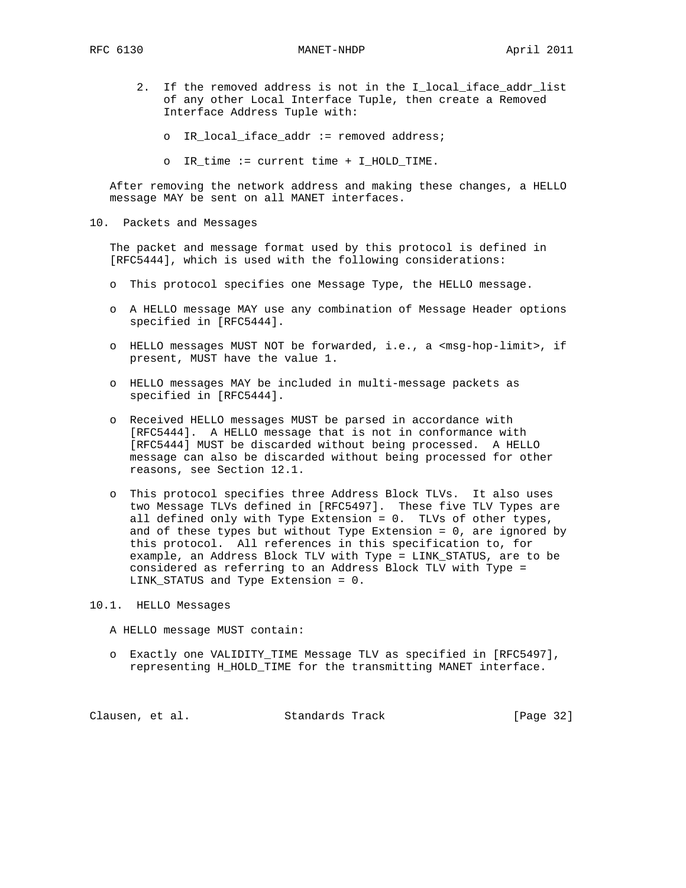RFC 6130 MANET-NHDP April 2011

- 2. If the removed address is not in the I\_local\_iface\_addr\_list of any other Local Interface Tuple, then create a Removed Interface Address Tuple with:
	- o IR\_local\_iface\_addr := removed address;
	- o IR\_time := current time + I\_HOLD\_TIME.

 After removing the network address and making these changes, a HELLO message MAY be sent on all MANET interfaces.

10. Packets and Messages

 The packet and message format used by this protocol is defined in [RFC5444], which is used with the following considerations:

- o This protocol specifies one Message Type, the HELLO message.
- o A HELLO message MAY use any combination of Message Header options specified in [RFC5444].
- o HELLO messages MUST NOT be forwarded, i.e., a <msg-hop-limit>, if present, MUST have the value 1.
- o HELLO messages MAY be included in multi-message packets as specified in [RFC5444].
- o Received HELLO messages MUST be parsed in accordance with [RFC5444]. A HELLO message that is not in conformance with [RFC5444] MUST be discarded without being processed. A HELLO message can also be discarded without being processed for other reasons, see Section 12.1.
- o This protocol specifies three Address Block TLVs. It also uses two Message TLVs defined in [RFC5497]. These five TLV Types are all defined only with Type Extension = 0. TLVs of other types, and of these types but without Type Extension = 0, are ignored by this protocol. All references in this specification to, for example, an Address Block TLV with Type = LINK\_STATUS, are to be considered as referring to an Address Block TLV with Type = LINK\_STATUS and Type Extension = 0.

10.1. HELLO Messages

A HELLO message MUST contain:

 o Exactly one VALIDITY\_TIME Message TLV as specified in [RFC5497], representing H\_HOLD\_TIME for the transmitting MANET interface.

Clausen, et al. Standards Track [Page 32]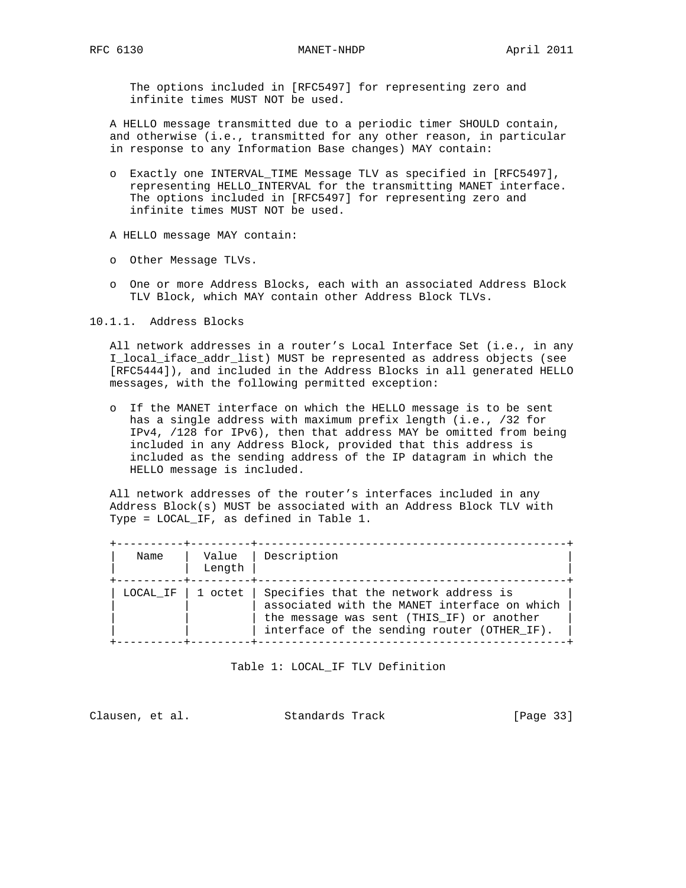The options included in [RFC5497] for representing zero and infinite times MUST NOT be used.

 A HELLO message transmitted due to a periodic timer SHOULD contain, and otherwise (i.e., transmitted for any other reason, in particular in response to any Information Base changes) MAY contain:

- o Exactly one INTERVAL\_TIME Message TLV as specified in [RFC5497], representing HELLO\_INTERVAL for the transmitting MANET interface. The options included in [RFC5497] for representing zero and infinite times MUST NOT be used.
- A HELLO message MAY contain:
- o Other Message TLVs.
- o One or more Address Blocks, each with an associated Address Block TLV Block, which MAY contain other Address Block TLVs.

10.1.1. Address Blocks

 All network addresses in a router's Local Interface Set (i.e., in any I\_local\_iface\_addr\_list) MUST be represented as address objects (see [RFC5444]), and included in the Address Blocks in all generated HELLO messages, with the following permitted exception:

 o If the MANET interface on which the HELLO message is to be sent has a single address with maximum prefix length (i.e., /32 for IPv4, /128 for IPv6), then that address MAY be omitted from being included in any Address Block, provided that this address is included as the sending address of the IP datagram in which the HELLO message is included.

 All network addresses of the router's interfaces included in any Address Block(s) MUST be associated with an Address Block TLV with Type = LOCAL\_IF, as defined in Table 1.

| Name     | Value<br>Length | Description                                                                                                                                                                       |
|----------|-----------------|-----------------------------------------------------------------------------------------------------------------------------------------------------------------------------------|
| LOCAL IF | 1 octet         | Specifies that the network address is<br>associated with the MANET interface on which<br>the message was sent (THIS IF) or another<br>interface of the sending router (OTHER IF). |

Table 1: LOCAL\_IF TLV Definition

Clausen, et al. Standards Track [Page 33]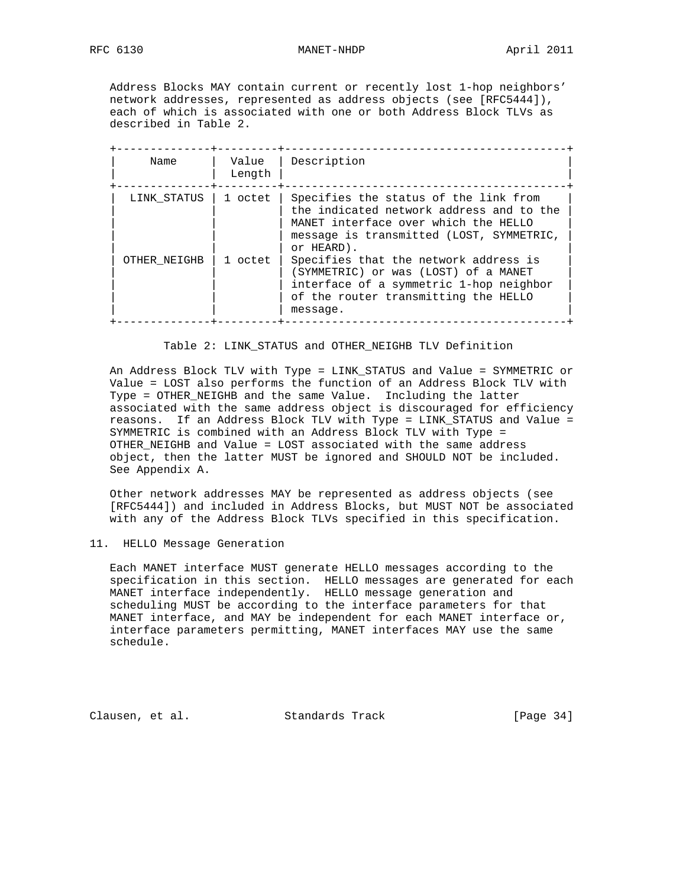Address Blocks MAY contain current or recently lost 1-hop neighbors' network addresses, represented as address objects (see [RFC5444]), each of which is associated with one or both Address Block TLVs as described in Table 2.

| Name         | Value<br>Length | Description                                                                                                                                                                         |
|--------------|-----------------|-------------------------------------------------------------------------------------------------------------------------------------------------------------------------------------|
| LINK STATUS  | 1 octet         | Specifies the status of the link from<br>the indicated network address and to the<br>MANET interface over which the HELLO<br>message is transmitted (LOST, SYMMETRIC,<br>or HEARD). |
| OTHER NEIGHB | 1 octet         | Specifies that the network address is<br>(SYMMETRIC) or was (LOST) of a MANET<br>interface of a symmetric 1-hop neighbor<br>of the router transmitting the HELLO<br>message.        |

### Table 2: LINK STATUS and OTHER NEIGHB TLV Definition

 An Address Block TLV with Type = LINK\_STATUS and Value = SYMMETRIC or Value = LOST also performs the function of an Address Block TLV with Type = OTHER\_NEIGHB and the same Value. Including the latter associated with the same address object is discouraged for efficiency reasons. If an Address Block TLV with Type = LINK\_STATUS and Value = SYMMETRIC is combined with an Address Block TLV with Type = OTHER\_NEIGHB and Value = LOST associated with the same address object, then the latter MUST be ignored and SHOULD NOT be included. See Appendix A.

 Other network addresses MAY be represented as address objects (see [RFC5444]) and included in Address Blocks, but MUST NOT be associated with any of the Address Block TLVs specified in this specification.

## 11. HELLO Message Generation

 Each MANET interface MUST generate HELLO messages according to the specification in this section. HELLO messages are generated for each MANET interface independently. HELLO message generation and scheduling MUST be according to the interface parameters for that MANET interface, and MAY be independent for each MANET interface or, interface parameters permitting, MANET interfaces MAY use the same schedule.

Clausen, et al. Standards Track [Page 34]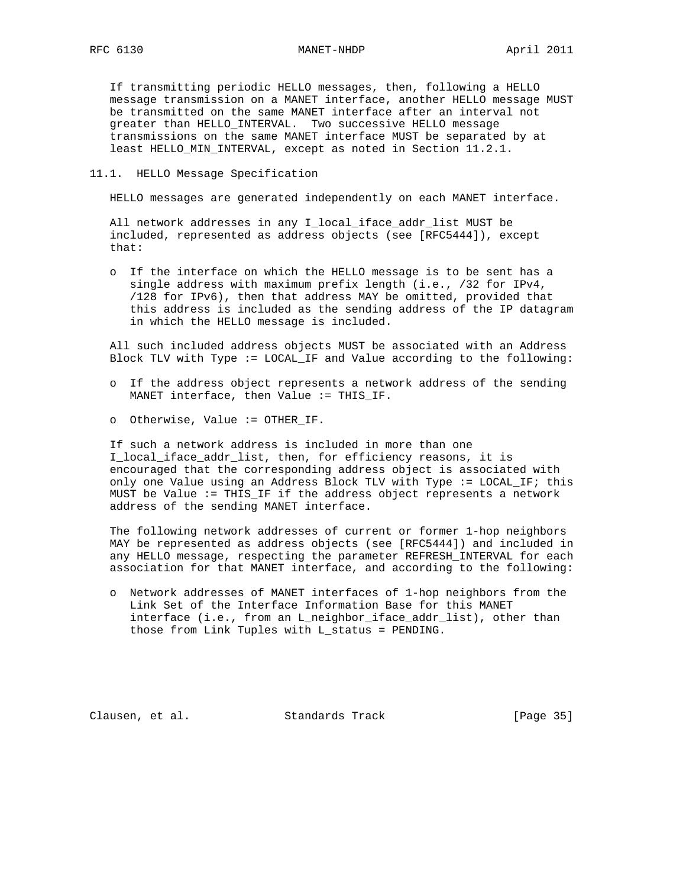### RFC 6130 MANET-NHDP April 2011

 If transmitting periodic HELLO messages, then, following a HELLO message transmission on a MANET interface, another HELLO message MUST be transmitted on the same MANET interface after an interval not greater than HELLO\_INTERVAL. Two successive HELLO message transmissions on the same MANET interface MUST be separated by at least HELLO\_MIN\_INTERVAL, except as noted in Section 11.2.1.

11.1. HELLO Message Specification

HELLO messages are generated independently on each MANET interface.

 All network addresses in any I\_local\_iface\_addr\_list MUST be included, represented as address objects (see [RFC5444]), except that:

 o If the interface on which the HELLO message is to be sent has a single address with maximum prefix length (i.e., /32 for IPv4, /128 for IPv6), then that address MAY be omitted, provided that this address is included as the sending address of the IP datagram in which the HELLO message is included.

 All such included address objects MUST be associated with an Address Block TLV with Type := LOCAL\_IF and Value according to the following:

- o If the address object represents a network address of the sending MANET interface, then Value := THIS\_IF.
- o Otherwise, Value := OTHER\_IF.

 If such a network address is included in more than one I\_local\_iface\_addr\_list, then, for efficiency reasons, it is encouraged that the corresponding address object is associated with only one Value using an Address Block TLV with Type := LOCAL\_IF; this MUST be Value := THIS\_IF if the address object represents a network address of the sending MANET interface.

 The following network addresses of current or former 1-hop neighbors MAY be represented as address objects (see [RFC5444]) and included in any HELLO message, respecting the parameter REFRESH\_INTERVAL for each association for that MANET interface, and according to the following:

 o Network addresses of MANET interfaces of 1-hop neighbors from the Link Set of the Interface Information Base for this MANET interface (i.e., from an L\_neighbor\_iface\_addr\_list), other than those from Link Tuples with L\_status = PENDING.

Clausen, et al. Standards Track [Page 35]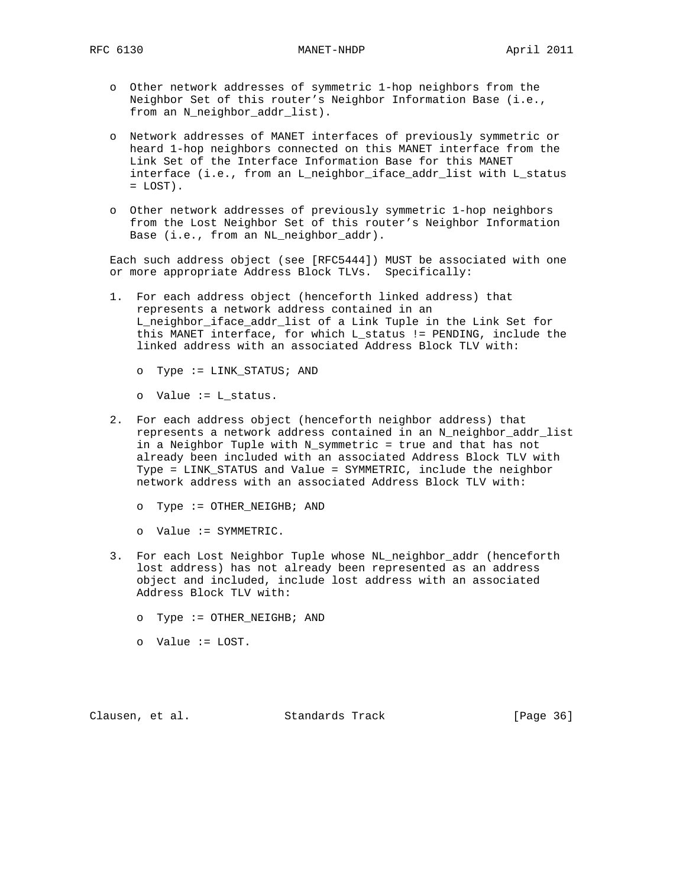- o Other network addresses of symmetric 1-hop neighbors from the Neighbor Set of this router's Neighbor Information Base (i.e., from an N\_neighbor\_addr\_list).
- o Network addresses of MANET interfaces of previously symmetric or heard 1-hop neighbors connected on this MANET interface from the Link Set of the Interface Information Base for this MANET interface (i.e., from an L\_neighbor\_iface\_addr\_list with L\_status  $=$  LOST).
- o Other network addresses of previously symmetric 1-hop neighbors from the Lost Neighbor Set of this router's Neighbor Information Base (i.e., from an NL\_neighbor\_addr).

 Each such address object (see [RFC5444]) MUST be associated with one or more appropriate Address Block TLVs. Specifically:

- 1. For each address object (henceforth linked address) that represents a network address contained in an L\_neighbor\_iface\_addr\_list of a Link Tuple in the Link Set for this MANET interface, for which L\_status != PENDING, include the linked address with an associated Address Block TLV with:
	- o Type := LINK\_STATUS; AND
	- o Value := L\_status.
- 2. For each address object (henceforth neighbor address) that represents a network address contained in an N\_neighbor\_addr\_list in a Neighbor Tuple with N\_symmetric = true and that has not already been included with an associated Address Block TLV with Type = LINK\_STATUS and Value = SYMMETRIC, include the neighbor network address with an associated Address Block TLV with:
	- o Type := OTHER\_NEIGHB; AND
	- o Value := SYMMETRIC.
- 3. For each Lost Neighbor Tuple whose NL\_neighbor\_addr (henceforth lost address) has not already been represented as an address object and included, include lost address with an associated Address Block TLV with:
	- o Type := OTHER\_NEIGHB; AND
	- o Value := LOST.

Clausen, et al. Standards Track [Page 36]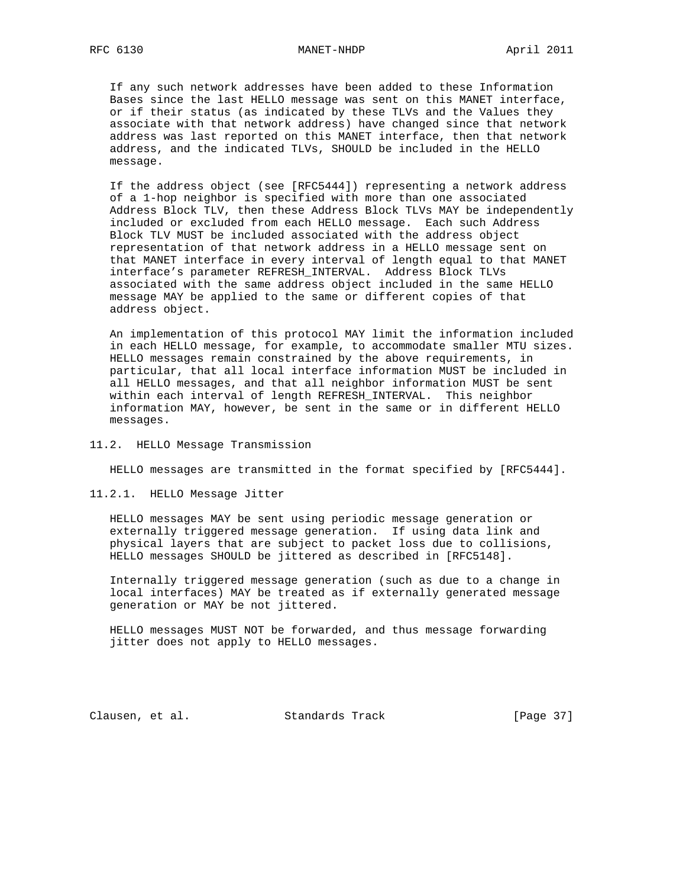If any such network addresses have been added to these Information Bases since the last HELLO message was sent on this MANET interface, or if their status (as indicated by these TLVs and the Values they associate with that network address) have changed since that network address was last reported on this MANET interface, then that network address, and the indicated TLVs, SHOULD be included in the HELLO message.

 If the address object (see [RFC5444]) representing a network address of a 1-hop neighbor is specified with more than one associated Address Block TLV, then these Address Block TLVs MAY be independently included or excluded from each HELLO message. Each such Address Block TLV MUST be included associated with the address object representation of that network address in a HELLO message sent on that MANET interface in every interval of length equal to that MANET interface's parameter REFRESH\_INTERVAL. Address Block TLVs associated with the same address object included in the same HELLO message MAY be applied to the same or different copies of that address object.

 An implementation of this protocol MAY limit the information included in each HELLO message, for example, to accommodate smaller MTU sizes. HELLO messages remain constrained by the above requirements, in particular, that all local interface information MUST be included in all HELLO messages, and that all neighbor information MUST be sent within each interval of length REFRESH\_INTERVAL. This neighbor information MAY, however, be sent in the same or in different HELLO messages.

### 11.2. HELLO Message Transmission

HELLO messages are transmitted in the format specified by [RFC5444].

11.2.1. HELLO Message Jitter

 HELLO messages MAY be sent using periodic message generation or externally triggered message generation. If using data link and physical layers that are subject to packet loss due to collisions, HELLO messages SHOULD be jittered as described in [RFC5148].

 Internally triggered message generation (such as due to a change in local interfaces) MAY be treated as if externally generated message generation or MAY be not jittered.

 HELLO messages MUST NOT be forwarded, and thus message forwarding jitter does not apply to HELLO messages.

Clausen, et al. Standards Track [Page 37]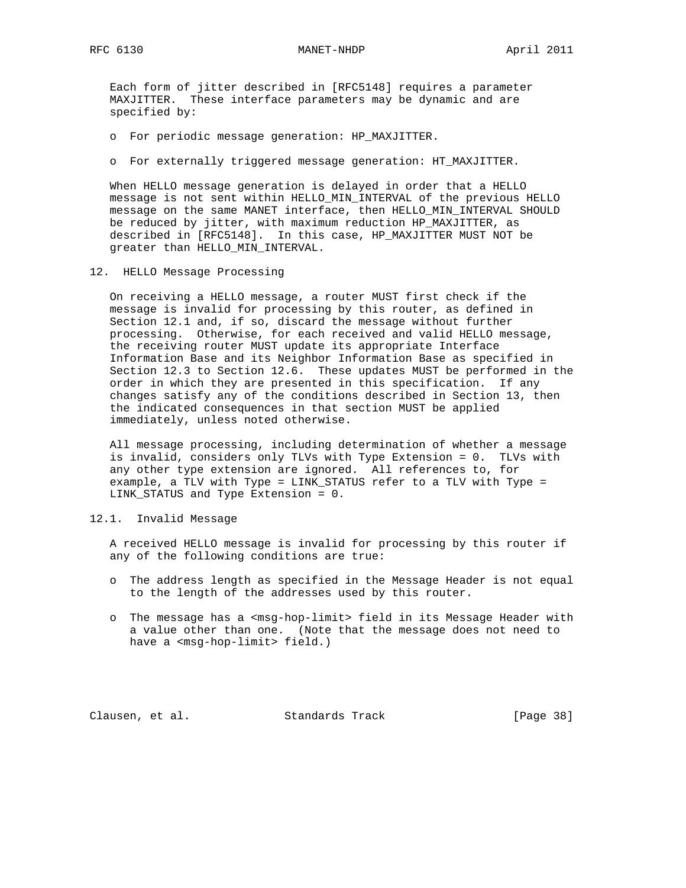Each form of jitter described in [RFC5148] requires a parameter MAXJITTER. These interface parameters may be dynamic and are specified by:

- o For periodic message generation: HP\_MAXJITTER.
- o For externally triggered message generation: HT\_MAXJITTER.

 When HELLO message generation is delayed in order that a HELLO message is not sent within HELLO\_MIN\_INTERVAL of the previous HELLO message on the same MANET interface, then HELLO\_MIN\_INTERVAL SHOULD be reduced by jitter, with maximum reduction HP\_MAXJITTER, as described in [RFC5148]. In this case, HP\_MAXJITTER MUST NOT be greater than HELLO\_MIN\_INTERVAL.

12. HELLO Message Processing

 On receiving a HELLO message, a router MUST first check if the message is invalid for processing by this router, as defined in Section 12.1 and, if so, discard the message without further processing. Otherwise, for each received and valid HELLO message, the receiving router MUST update its appropriate Interface Information Base and its Neighbor Information Base as specified in Section 12.3 to Section 12.6. These updates MUST be performed in the order in which they are presented in this specification. If any changes satisfy any of the conditions described in Section 13, then the indicated consequences in that section MUST be applied immediately, unless noted otherwise.

 All message processing, including determination of whether a message is invalid, considers only TLVs with Type Extension = 0. TLVs with any other type extension are ignored. All references to, for example, a TLV with Type = LINK\_STATUS refer to a TLV with Type = LINK\_STATUS and Type Extension = 0.

#### 12.1. Invalid Message

 A received HELLO message is invalid for processing by this router if any of the following conditions are true:

- o The address length as specified in the Message Header is not equal to the length of the addresses used by this router.
- o The message has a <msg-hop-limit> field in its Message Header with a value other than one. (Note that the message does not need to have a <msg-hop-limit> field.)

Clausen, et al. Standards Track [Page 38]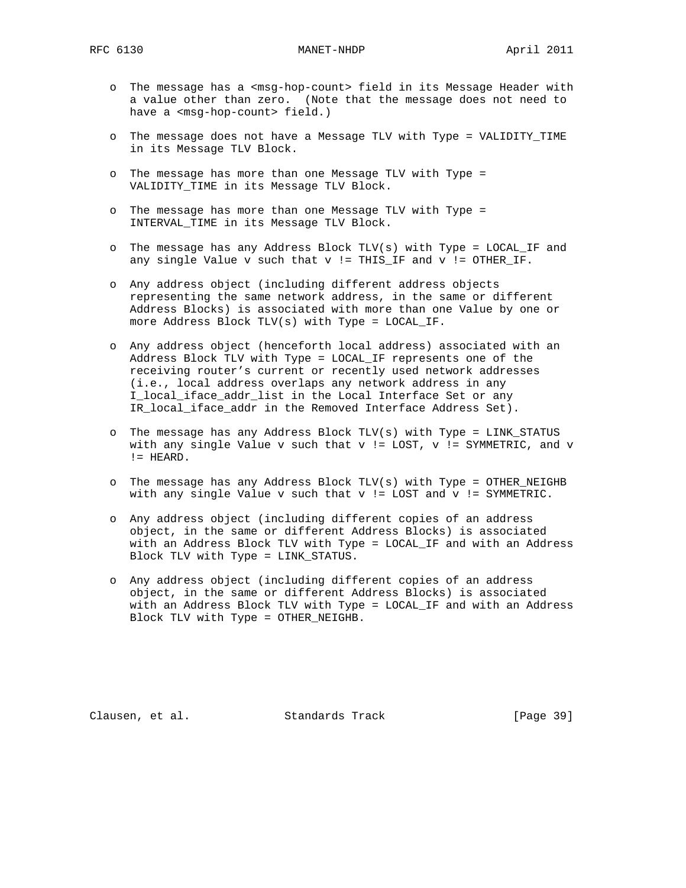- o The message has a <msg-hop-count> field in its Message Header with a value other than zero. (Note that the message does not need to have a <msg-hop-count> field.)
- o The message does not have a Message TLV with Type = VALIDITY\_TIME in its Message TLV Block.
- o The message has more than one Message TLV with Type = VALIDITY\_TIME in its Message TLV Block.
- o The message has more than one Message TLV with Type = INTERVAL\_TIME in its Message TLV Block.
- o The message has any Address Block TLV(s) with Type = LOCAL\_IF and any single Value v such that v != THIS\_IF and v != OTHER\_IF.
- o Any address object (including different address objects representing the same network address, in the same or different Address Blocks) is associated with more than one Value by one or more Address Block TLV(s) with Type = LOCAL\_IF.
- o Any address object (henceforth local address) associated with an Address Block TLV with Type = LOCAL\_IF represents one of the receiving router's current or recently used network addresses (i.e., local address overlaps any network address in any I\_local\_iface\_addr\_list in the Local Interface Set or any IR\_local\_iface\_addr in the Removed Interface Address Set).
- o The message has any Address Block TLV(s) with Type = LINK\_STATUS with any single Value  $v$  such that  $v$  != LOST,  $v$  != SYMMETRIC, and  $v$ != HEARD.
- o The message has any Address Block TLV(s) with Type = OTHER\_NEIGHB with any single Value  $v$  such that  $v$  != LOST and  $v$  != SYMMETRIC.
- o Any address object (including different copies of an address object, in the same or different Address Blocks) is associated with an Address Block TLV with Type = LOCAL\_IF and with an Address Block TLV with Type = LINK\_STATUS.
- o Any address object (including different copies of an address object, in the same or different Address Blocks) is associated with an Address Block TLV with Type = LOCAL\_IF and with an Address Block TLV with Type = OTHER\_NEIGHB.

Clausen, et al. Standards Track [Page 39]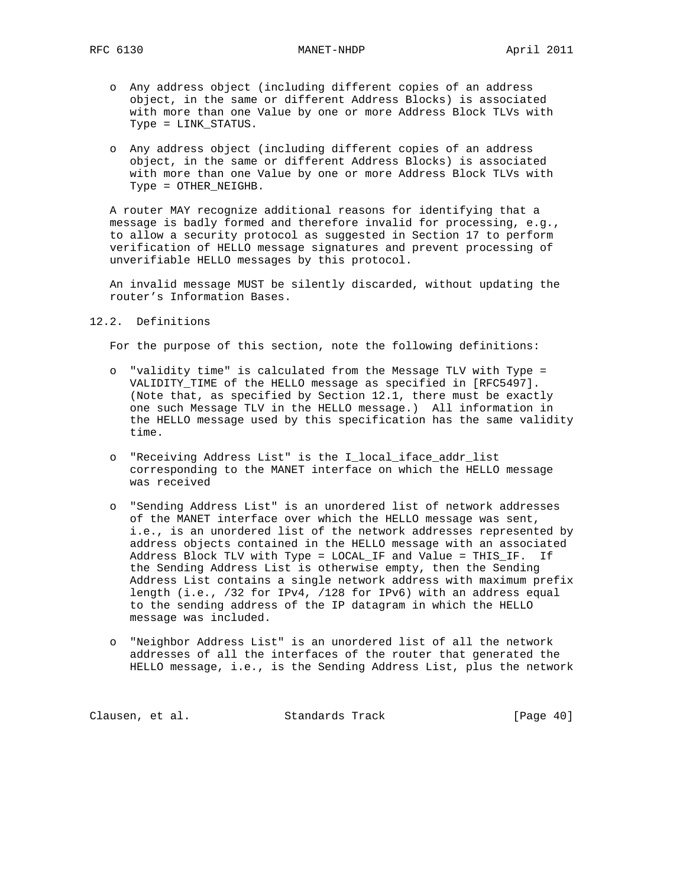RFC 6130 MANET-NHDP April 2011

- o Any address object (including different copies of an address object, in the same or different Address Blocks) is associated with more than one Value by one or more Address Block TLVs with Type = LINK\_STATUS.
- o Any address object (including different copies of an address object, in the same or different Address Blocks) is associated with more than one Value by one or more Address Block TLVs with Type = OTHER\_NEIGHB.

 A router MAY recognize additional reasons for identifying that a message is badly formed and therefore invalid for processing, e.g., to allow a security protocol as suggested in Section 17 to perform verification of HELLO message signatures and prevent processing of unverifiable HELLO messages by this protocol.

 An invalid message MUST be silently discarded, without updating the router's Information Bases.

12.2. Definitions

For the purpose of this section, note the following definitions:

- o "validity time" is calculated from the Message TLV with Type = VALIDITY\_TIME of the HELLO message as specified in [RFC5497]. (Note that, as specified by Section 12.1, there must be exactly one such Message TLV in the HELLO message.) All information in the HELLO message used by this specification has the same validity time.
- o "Receiving Address List" is the I\_local\_iface\_addr\_list corresponding to the MANET interface on which the HELLO message was received
- o "Sending Address List" is an unordered list of network addresses of the MANET interface over which the HELLO message was sent, i.e., is an unordered list of the network addresses represented by address objects contained in the HELLO message with an associated Address Block TLV with Type = LOCAL\_IF and Value = THIS\_IF. If the Sending Address List is otherwise empty, then the Sending Address List contains a single network address with maximum prefix length (i.e., /32 for IPv4, /128 for IPv6) with an address equal to the sending address of the IP datagram in which the HELLO message was included.
- o "Neighbor Address List" is an unordered list of all the network addresses of all the interfaces of the router that generated the HELLO message, i.e., is the Sending Address List, plus the network

Clausen, et al. Standards Track [Page 40]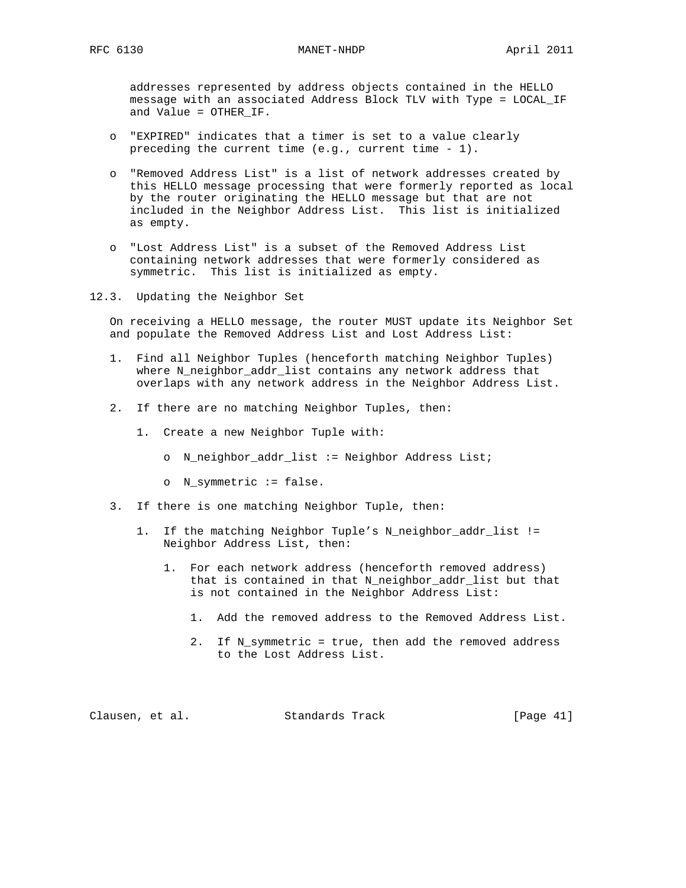addresses represented by address objects contained in the HELLO message with an associated Address Block TLV with Type = LOCAL\_IF and Value = OTHER\_IF.

- o "EXPIRED" indicates that a timer is set to a value clearly preceding the current time (e.g., current time - 1).
- o "Removed Address List" is a list of network addresses created by this HELLO message processing that were formerly reported as local by the router originating the HELLO message but that are not included in the Neighbor Address List. This list is initialized as empty.
- o "Lost Address List" is a subset of the Removed Address List containing network addresses that were formerly considered as symmetric. This list is initialized as empty.
- 12.3. Updating the Neighbor Set

 On receiving a HELLO message, the router MUST update its Neighbor Set and populate the Removed Address List and Lost Address List:

- 1. Find all Neighbor Tuples (henceforth matching Neighbor Tuples) where N\_neighbor\_addr\_list contains any network address that overlaps with any network address in the Neighbor Address List.
- 2. If there are no matching Neighbor Tuples, then:
	- 1. Create a new Neighbor Tuple with:
		- o N\_neighbor\_addr\_list := Neighbor Address List;
		- o N\_symmetric := false.
- 3. If there is one matching Neighbor Tuple, then:
	- 1. If the matching Neighbor Tuple's N\_neighbor\_addr\_list != Neighbor Address List, then:
		- 1. For each network address (henceforth removed address) that is contained in that N\_neighbor\_addr\_list but that is not contained in the Neighbor Address List:
			- 1. Add the removed address to the Removed Address List.
			- 2. If N\_symmetric = true, then add the removed address to the Lost Address List.

Clausen, et al. Standards Track [Page 41]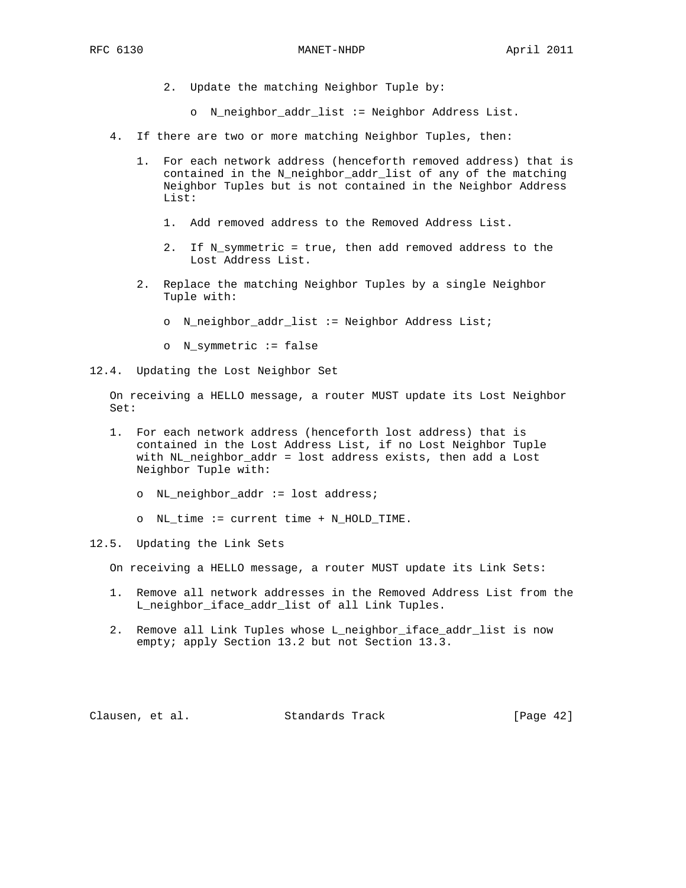- 2. Update the matching Neighbor Tuple by:
	- o N\_neighbor\_addr\_list := Neighbor Address List.
- 4. If there are two or more matching Neighbor Tuples, then:
	- 1. For each network address (henceforth removed address) that is contained in the N\_neighbor\_addr\_list of any of the matching Neighbor Tuples but is not contained in the Neighbor Address List:
		- 1. Add removed address to the Removed Address List.
		- 2. If N\_symmetric = true, then add removed address to the Lost Address List.
	- 2. Replace the matching Neighbor Tuples by a single Neighbor Tuple with:
		- o N\_neighbor\_addr\_list := Neighbor Address List;
		- o N\_symmetric := false
- 12.4. Updating the Lost Neighbor Set

 On receiving a HELLO message, a router MUST update its Lost Neighbor Set:

- 1. For each network address (henceforth lost address) that is contained in the Lost Address List, if no Lost Neighbor Tuple with NL\_neighbor\_addr = lost address exists, then add a Lost Neighbor Tuple with:
	- o NL\_neighbor\_addr := lost address;
	- o NL\_time := current time + N\_HOLD\_TIME.
- 12.5. Updating the Link Sets

On receiving a HELLO message, a router MUST update its Link Sets:

- 1. Remove all network addresses in the Removed Address List from the L\_neighbor\_iface\_addr\_list of all Link Tuples.
- 2. Remove all Link Tuples whose L\_neighbor\_iface\_addr\_list is now empty; apply Section 13.2 but not Section 13.3.

Clausen, et al. Standards Track [Page 42]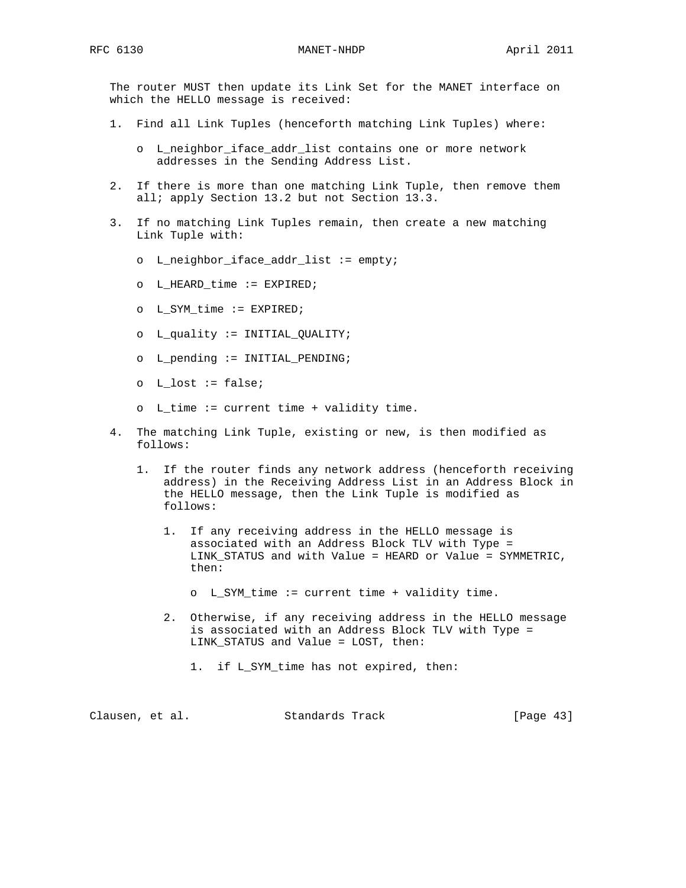The router MUST then update its Link Set for the MANET interface on which the HELLO message is received:

- 1. Find all Link Tuples (henceforth matching Link Tuples) where:
	- o L\_neighbor\_iface\_addr\_list contains one or more network addresses in the Sending Address List.
- 2. If there is more than one matching Link Tuple, then remove them all; apply Section 13.2 but not Section 13.3.
- 3. If no matching Link Tuples remain, then create a new matching Link Tuple with:
	- o L\_neighbor\_iface\_addr\_list := empty;
	- o L\_HEARD\_time := EXPIRED;
	- o L\_SYM\_time := EXPIRED;
	- o L\_quality := INITIAL\_QUALITY;
	- o L\_pending := INITIAL\_PENDING;
	- o L\_lost := false;
	- o L\_time := current time + validity time.
- 4. The matching Link Tuple, existing or new, is then modified as follows:
	- 1. If the router finds any network address (henceforth receiving address) in the Receiving Address List in an Address Block in the HELLO message, then the Link Tuple is modified as follows:
		- 1. If any receiving address in the HELLO message is associated with an Address Block TLV with Type = LINK\_STATUS and with Value = HEARD or Value = SYMMETRIC, then:
			- o L\_SYM\_time := current time + validity time.
		- 2. Otherwise, if any receiving address in the HELLO message is associated with an Address Block TLV with Type = LINK\_STATUS and Value = LOST, then:
			- 1. if L\_SYM\_time has not expired, then:

| Clausen, et al. |  | Standards Track | [Page $43$ ] |  |
|-----------------|--|-----------------|--------------|--|
|                 |  |                 |              |  |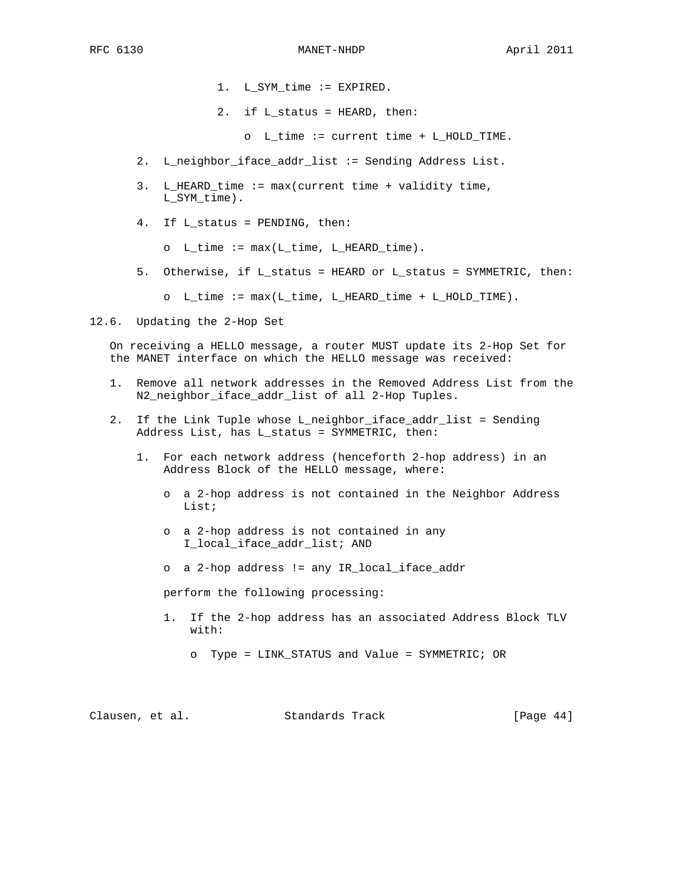- 1. L\_SYM\_time := EXPIRED.
- 2. if L\_status = HEARD, then:
	- o L\_time := current time + L\_HOLD\_TIME.
- 2. L\_neighbor\_iface\_addr\_list := Sending Address List.
- 3. L\_HEARD\_time := max(current time + validity time, L SYM time).
- 4. If L\_status = PENDING, then:
	- $O$  L\_time :=  $max(L_time, L_HERD_time)$ .
- 5. Otherwise, if L\_status = HEARD or L\_status = SYMMETRIC, then:
	- o L\_time := max(L\_time, L\_HEARD\_time + L\_HOLD\_TIME).
- 12.6. Updating the 2-Hop Set

 On receiving a HELLO message, a router MUST update its 2-Hop Set for the MANET interface on which the HELLO message was received:

- 1. Remove all network addresses in the Removed Address List from the N2\_neighbor\_iface\_addr\_list of all 2-Hop Tuples.
- 2. If the Link Tuple whose L\_neighbor\_iface\_addr\_list = Sending Address List, has L\_status = SYMMETRIC, then:
	- 1. For each network address (henceforth 2-hop address) in an Address Block of the HELLO message, where:
		- o a 2-hop address is not contained in the Neighbor Address List;
		- o a 2-hop address is not contained in any I\_local\_iface\_addr\_list; AND
		- o a 2-hop address != any IR\_local\_iface\_addr

perform the following processing:

- 1. If the 2-hop address has an associated Address Block TLV with:
	- o Type = LINK\_STATUS and Value = SYMMETRIC; OR

| [Page $44$ ]<br>Clausen, et al.<br>Standards Track |  |  |  |
|----------------------------------------------------|--|--|--|
|----------------------------------------------------|--|--|--|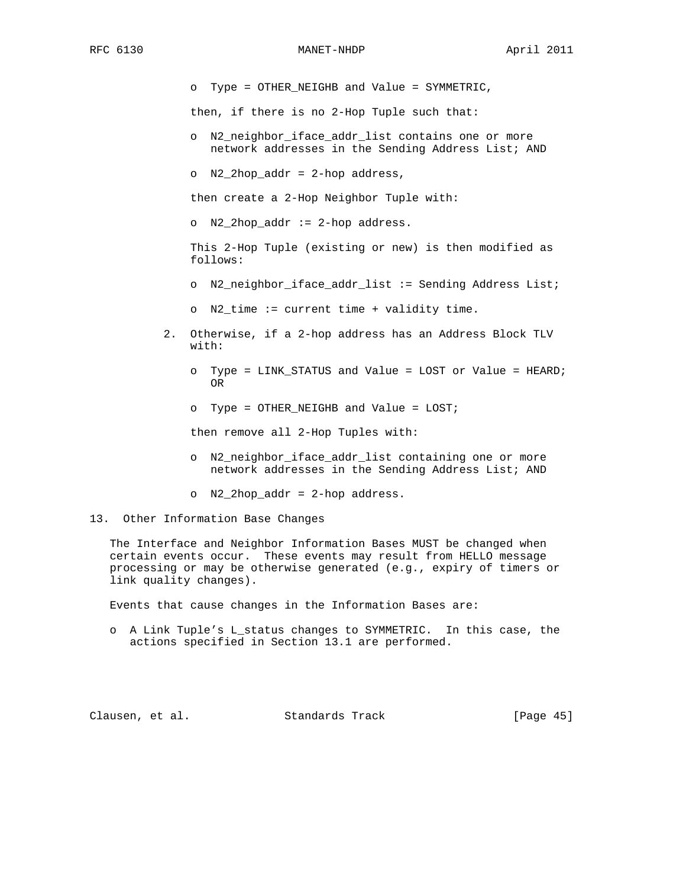o Type = OTHER\_NEIGHB and Value = SYMMETRIC,

then, if there is no 2-Hop Tuple such that:

- o N2\_neighbor\_iface\_addr\_list contains one or more network addresses in the Sending Address List; AND
- o N2\_2hop\_addr = 2-hop address,

then create a 2-Hop Neighbor Tuple with:

o N2\_2hop\_addr := 2-hop address.

 This 2-Hop Tuple (existing or new) is then modified as follows:

- o N2\_neighbor\_iface\_addr\_list := Sending Address List;
- o N2\_time := current time + validity time.
- 2. Otherwise, if a 2-hop address has an Address Block TLV with:
- o Type = LINK\_STATUS and Value = LOST or Value = HEARD; **OR** STREET IN THE STREET IS NOT THE STREET IN THE STREET IS NOT THE STREET IN THE STREET IS NOT THE STREET IN
	- o Type = OTHER\_NEIGHB and Value = LOST;

then remove all 2-Hop Tuples with:

- o N2\_neighbor\_iface\_addr\_list containing one or more network addresses in the Sending Address List; AND
- o N2\_2hop\_addr = 2-hop address.

13. Other Information Base Changes

 The Interface and Neighbor Information Bases MUST be changed when certain events occur. These events may result from HELLO message processing or may be otherwise generated (e.g., expiry of timers or link quality changes).

Events that cause changes in the Information Bases are:

 o A Link Tuple's L\_status changes to SYMMETRIC. In this case, the actions specified in Section 13.1 are performed.

Clausen, et al. Standards Track [Page 45]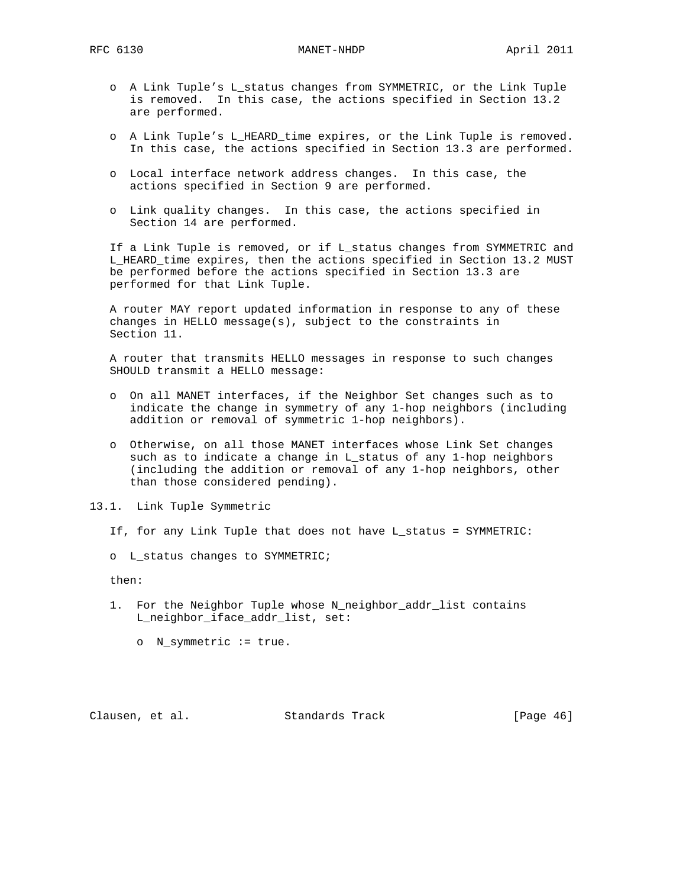RFC 6130 MANET-NHDP April 2011

- o A Link Tuple's L\_status changes from SYMMETRIC, or the Link Tuple is removed. In this case, the actions specified in Section 13.2 are performed.
- o A Link Tuple's L\_HEARD\_time expires, or the Link Tuple is removed. In this case, the actions specified in Section 13.3 are performed.
- o Local interface network address changes. In this case, the actions specified in Section 9 are performed.
- o Link quality changes. In this case, the actions specified in Section 14 are performed.

 If a Link Tuple is removed, or if L\_status changes from SYMMETRIC and L\_HEARD\_time expires, then the actions specified in Section 13.2 MUST be performed before the actions specified in Section 13.3 are performed for that Link Tuple.

 A router MAY report updated information in response to any of these changes in HELLO message(s), subject to the constraints in Section 11.

 A router that transmits HELLO messages in response to such changes SHOULD transmit a HELLO message:

- o On all MANET interfaces, if the Neighbor Set changes such as to indicate the change in symmetry of any 1-hop neighbors (including addition or removal of symmetric 1-hop neighbors).
- o Otherwise, on all those MANET interfaces whose Link Set changes such as to indicate a change in L\_status of any 1-hop neighbors (including the addition or removal of any 1-hop neighbors, other than those considered pending).
- 13.1. Link Tuple Symmetric
	- If, for any Link Tuple that does not have L\_status = SYMMETRIC:
	- o L\_status changes to SYMMETRIC;

then:

- 1. For the Neighbor Tuple whose N\_neighbor\_addr\_list contains L\_neighbor\_iface\_addr\_list, set:
	- o N\_symmetric := true.

Clausen, et al. Standards Track [Page 46]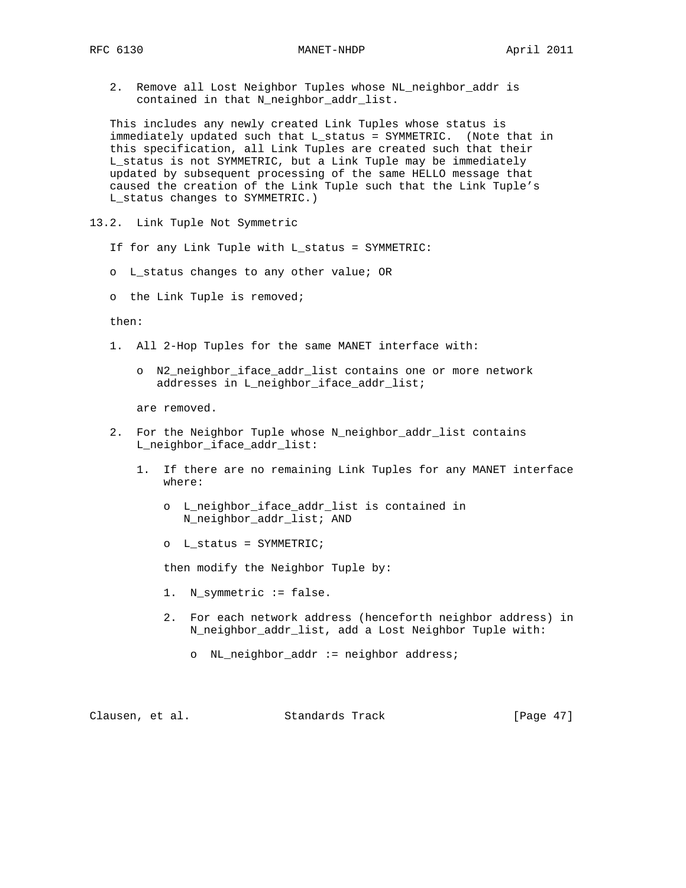2. Remove all Lost Neighbor Tuples whose NL\_neighbor\_addr is contained in that N\_neighbor\_addr\_list.

 This includes any newly created Link Tuples whose status is immediately updated such that L\_status = SYMMETRIC. (Note that in this specification, all Link Tuples are created such that their L\_status is not SYMMETRIC, but a Link Tuple may be immediately updated by subsequent processing of the same HELLO message that caused the creation of the Link Tuple such that the Link Tuple's L\_status changes to SYMMETRIC.)

- 13.2. Link Tuple Not Symmetric
	- If for any Link Tuple with L\_status = SYMMETRIC:
	- o L\_status changes to any other value; OR
	- o the Link Tuple is removed;

then:

- 1. All 2-Hop Tuples for the same MANET interface with:
	- o N2\_neighbor\_iface\_addr\_list contains one or more network addresses in L\_neighbor\_iface\_addr\_list;

are removed.

- 2. For the Neighbor Tuple whose N\_neighbor\_addr\_list contains L\_neighbor\_iface\_addr\_list:
	- 1. If there are no remaining Link Tuples for any MANET interface where:
		- o L\_neighbor\_iface\_addr\_list is contained in N\_neighbor\_addr\_list; AND
		- o L\_status = SYMMETRIC;

then modify the Neighbor Tuple by:

- 1. N\_symmetric := false.
- 2. For each network address (henceforth neighbor address) in N\_neighbor\_addr\_list, add a Lost Neighbor Tuple with:
	- o NL\_neighbor\_addr := neighbor address;

Clausen, et al. Standards Track [Page 47]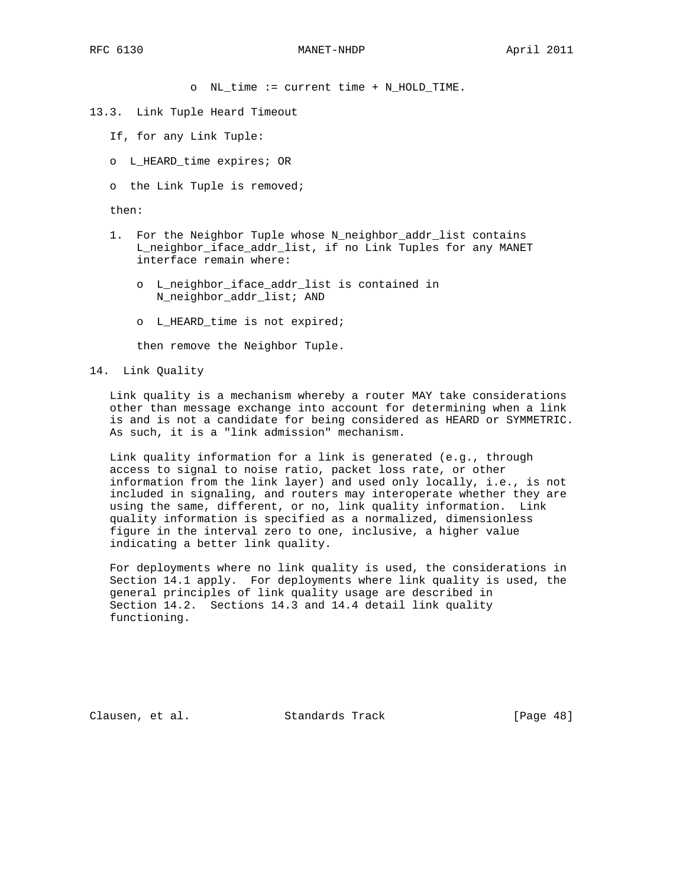o NL\_time := current time + N\_HOLD\_TIME.

#### 13.3. Link Tuple Heard Timeout

- If, for any Link Tuple:
- o L\_HEARD\_time expires; OR
- o the Link Tuple is removed;

then:

- 1. For the Neighbor Tuple whose N\_neighbor\_addr\_list contains L\_neighbor\_iface\_addr\_list, if no Link Tuples for any MANET interface remain where:
	- o L\_neighbor\_iface\_addr\_list is contained in N\_neighbor\_addr\_list; AND
	- o L\_HEARD\_time is not expired;

then remove the Neighbor Tuple.

14. Link Quality

 Link quality is a mechanism whereby a router MAY take considerations other than message exchange into account for determining when a link is and is not a candidate for being considered as HEARD or SYMMETRIC. As such, it is a "link admission" mechanism.

 Link quality information for a link is generated (e.g., through access to signal to noise ratio, packet loss rate, or other information from the link layer) and used only locally, i.e., is not included in signaling, and routers may interoperate whether they are using the same, different, or no, link quality information. Link quality information is specified as a normalized, dimensionless figure in the interval zero to one, inclusive, a higher value indicating a better link quality.

 For deployments where no link quality is used, the considerations in Section 14.1 apply. For deployments where link quality is used, the general principles of link quality usage are described in Section 14.2. Sections 14.3 and 14.4 detail link quality functioning.

Clausen, et al. Standards Track [Page 48]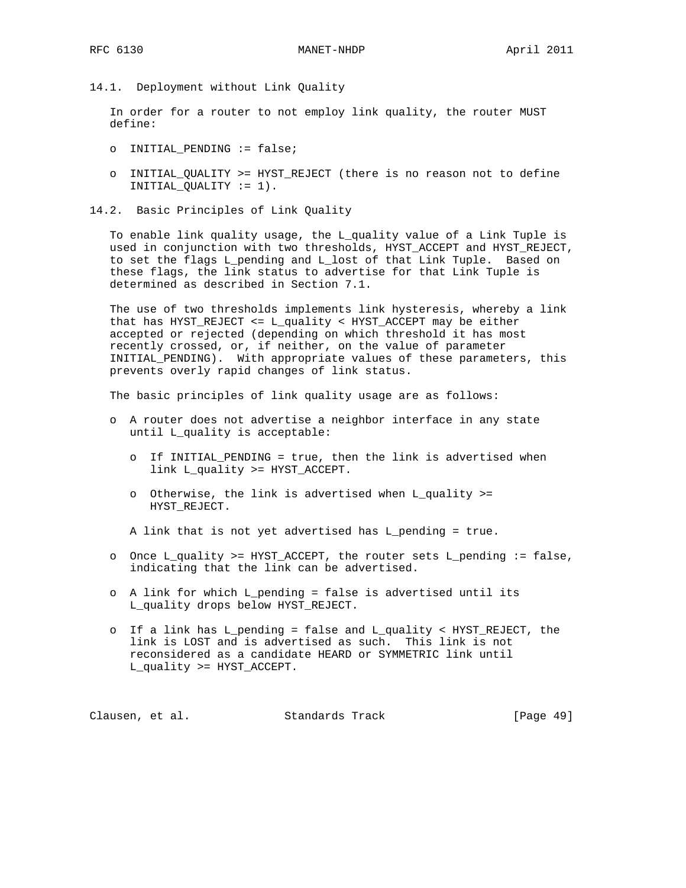14.1. Deployment without Link Quality

 In order for a router to not employ link quality, the router MUST define:

- o INITIAL\_PENDING := false;
- o INITIAL\_QUALITY >= HYST\_REJECT (there is no reason not to define INITIAL\_QUALITY := 1).
- 14.2. Basic Principles of Link Quality

 To enable link quality usage, the L\_quality value of a Link Tuple is used in conjunction with two thresholds, HYST\_ACCEPT and HYST\_REJECT, to set the flags L\_pending and L\_lost of that Link Tuple. Based on these flags, the link status to advertise for that Link Tuple is determined as described in Section 7.1.

 The use of two thresholds implements link hysteresis, whereby a link that has HYST\_REJECT <= L\_quality < HYST\_ACCEPT may be either accepted or rejected (depending on which threshold it has most recently crossed, or, if neither, on the value of parameter INITIAL\_PENDING). With appropriate values of these parameters, this prevents overly rapid changes of link status.

The basic principles of link quality usage are as follows:

- o A router does not advertise a neighbor interface in any state until L\_quality is acceptable:
	- o If INITIAL\_PENDING = true, then the link is advertised when link L\_quality >= HYST\_ACCEPT.
	- o Otherwise, the link is advertised when L\_quality >= HYST\_REJECT.

A link that is not yet advertised has L\_pending = true.

- o Once L\_quality >= HYST\_ACCEPT, the router sets L\_pending := false, indicating that the link can be advertised.
- o A link for which L\_pending = false is advertised until its L\_quality drops below HYST\_REJECT.
- o If a link has L\_pending = false and L\_quality < HYST\_REJECT, the link is LOST and is advertised as such. This link is not reconsidered as a candidate HEARD or SYMMETRIC link until L\_quality >= HYST\_ACCEPT.

Clausen, et al. Standards Track [Page 49]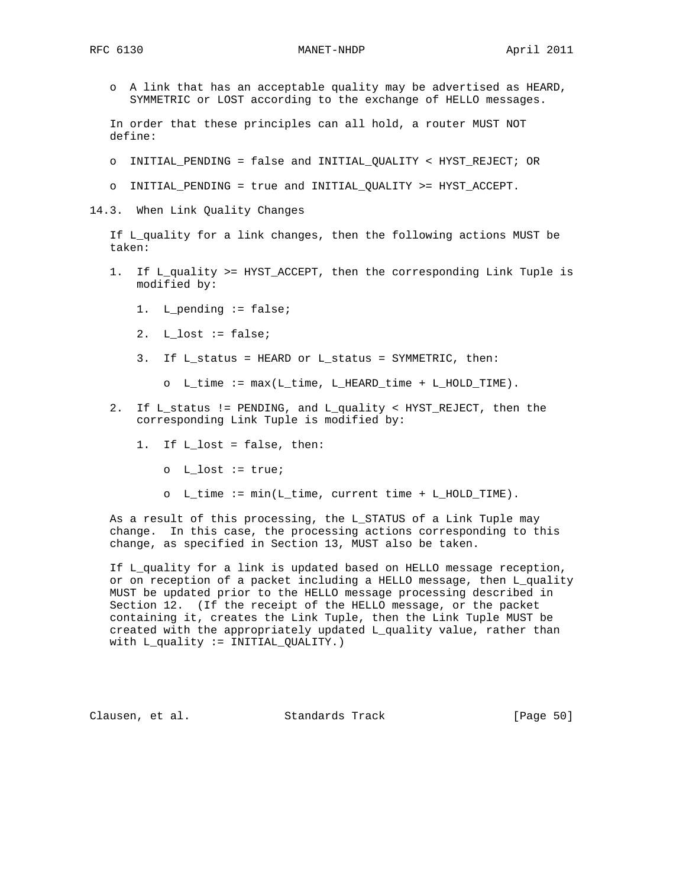o A link that has an acceptable quality may be advertised as HEARD, SYMMETRIC or LOST according to the exchange of HELLO messages.

 In order that these principles can all hold, a router MUST NOT define:

- o INITIAL\_PENDING = false and INITIAL\_QUALITY < HYST\_REJECT; OR
- o INITIAL\_PENDING = true and INITIAL\_QUALITY >= HYST\_ACCEPT.
- 14.3. When Link Quality Changes

 If L\_quality for a link changes, then the following actions MUST be taken:

- 1. If L quality >= HYST ACCEPT, then the corresponding Link Tuple is modified by:
	- 1. L\_pending := false;
	- 2.  $L_loss := false;$
	- 3. If L\_status = HEARD or L\_status = SYMMETRIC, then:
		- o L\_time := max(L\_time, L\_HEARD\_time + L\_HOLD\_TIME).
- 2. If L\_status != PENDING, and L\_quality < HYST\_REJECT, then the corresponding Link Tuple is modified by:
	- 1. If L\_lost = false, then:
		- o L\_lost := true;
		- o L time := min(L time, current time + L HOLD TIME).

 As a result of this processing, the L\_STATUS of a Link Tuple may change. In this case, the processing actions corresponding to this change, as specified in Section 13, MUST also be taken.

 If L\_quality for a link is updated based on HELLO message reception, or on reception of a packet including a HELLO message, then L\_quality MUST be updated prior to the HELLO message processing described in Section 12. (If the receipt of the HELLO message, or the packet containing it, creates the Link Tuple, then the Link Tuple MUST be created with the appropriately updated L\_quality value, rather than with L\_quality := INITIAL\_QUALITY.)

Clausen, et al. Standards Track [Page 50]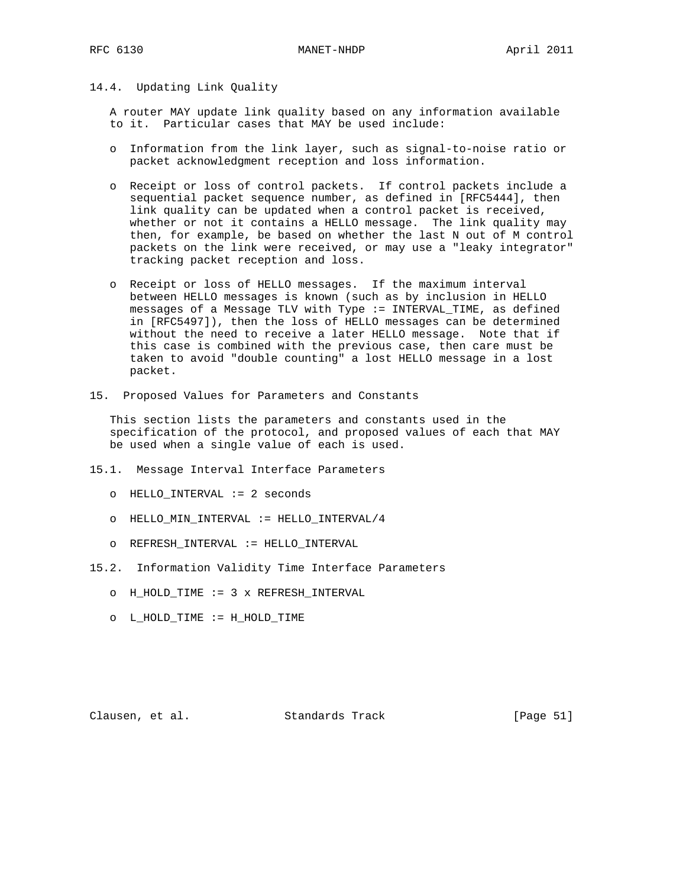### 14.4. Updating Link Quality

 A router MAY update link quality based on any information available to it. Particular cases that MAY be used include:

- o Information from the link layer, such as signal-to-noise ratio or packet acknowledgment reception and loss information.
- o Receipt or loss of control packets. If control packets include a sequential packet sequence number, as defined in [RFC5444], then link quality can be updated when a control packet is received, whether or not it contains a HELLO message. The link quality may then, for example, be based on whether the last N out of M control packets on the link were received, or may use a "leaky integrator" tracking packet reception and loss.
- o Receipt or loss of HELLO messages. If the maximum interval between HELLO messages is known (such as by inclusion in HELLO messages of a Message TLV with Type := INTERVAL\_TIME, as defined in [RFC5497]), then the loss of HELLO messages can be determined without the need to receive a later HELLO message. Note that if this case is combined with the previous case, then care must be taken to avoid "double counting" a lost HELLO message in a lost packet.
- 15. Proposed Values for Parameters and Constants

 This section lists the parameters and constants used in the specification of the protocol, and proposed values of each that MAY be used when a single value of each is used.

- 15.1. Message Interval Interface Parameters
	- o HELLO\_INTERVAL := 2 seconds
	- o HELLO\_MIN\_INTERVAL := HELLO\_INTERVAL/4
	- o REFRESH\_INTERVAL := HELLO\_INTERVAL
- 15.2. Information Validity Time Interface Parameters
	- o H\_HOLD\_TIME := 3 x REFRESH\_INTERVAL
	- o L\_HOLD\_TIME := H\_HOLD\_TIME

Clausen, et al. Standards Track [Page 51]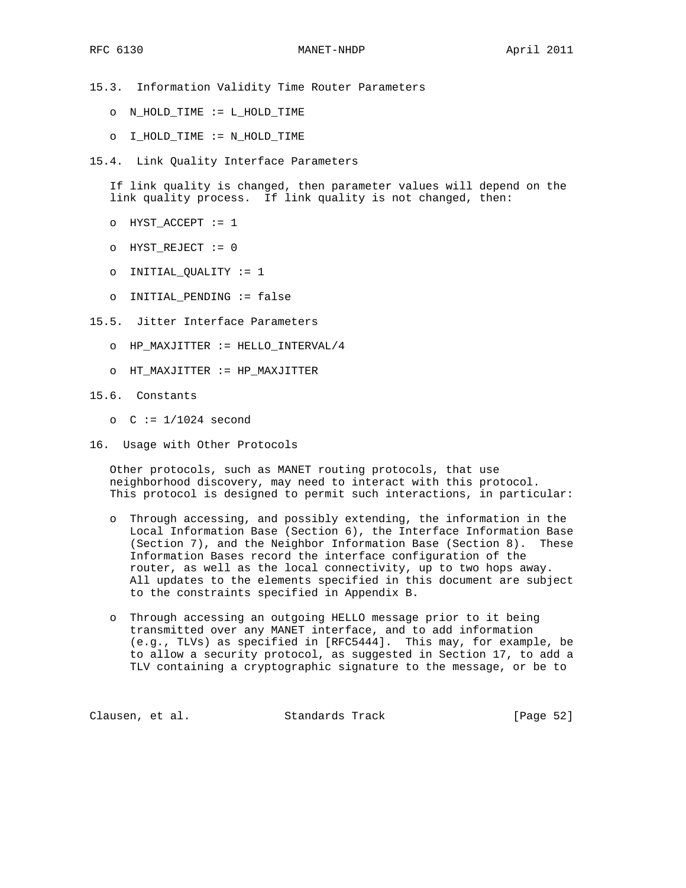15.3. Information Validity Time Router Parameters

- o N\_HOLD\_TIME := L\_HOLD\_TIME
- o I\_HOLD\_TIME := N\_HOLD\_TIME
- 15.4. Link Quality Interface Parameters

 If link quality is changed, then parameter values will depend on the link quality process. If link quality is not changed, then:

- o HYST\_ACCEPT := 1
- o HYST\_REJECT := 0
- o INITIAL\_QUALITY := 1
- o INITIAL\_PENDING := false
- 15.5. Jitter Interface Parameters
	- o HP\_MAXJITTER := HELLO\_INTERVAL/4
	- o HT\_MAXJITTER := HP\_MAXJITTER
- 15.6. Constants
	- o  $C := 1/1024$  second
- 16. Usage with Other Protocols

 Other protocols, such as MANET routing protocols, that use neighborhood discovery, may need to interact with this protocol. This protocol is designed to permit such interactions, in particular:

- o Through accessing, and possibly extending, the information in the Local Information Base (Section 6), the Interface Information Base (Section 7), and the Neighbor Information Base (Section 8). These Information Bases record the interface configuration of the router, as well as the local connectivity, up to two hops away. All updates to the elements specified in this document are subject to the constraints specified in Appendix B.
- o Through accessing an outgoing HELLO message prior to it being transmitted over any MANET interface, and to add information (e.g., TLVs) as specified in [RFC5444]. This may, for example, be to allow a security protocol, as suggested in Section 17, to add a TLV containing a cryptographic signature to the message, or be to

Clausen, et al. Standards Track [Page 52]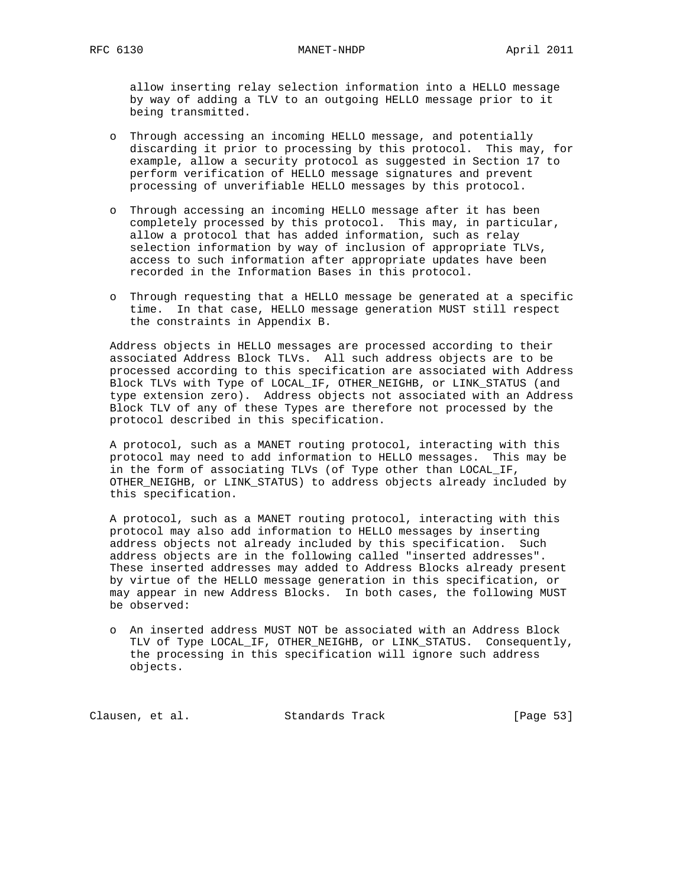allow inserting relay selection information into a HELLO message by way of adding a TLV to an outgoing HELLO message prior to it being transmitted.

- o Through accessing an incoming HELLO message, and potentially discarding it prior to processing by this protocol. This may, for example, allow a security protocol as suggested in Section 17 to perform verification of HELLO message signatures and prevent processing of unverifiable HELLO messages by this protocol.
- o Through accessing an incoming HELLO message after it has been completely processed by this protocol. This may, in particular, allow a protocol that has added information, such as relay selection information by way of inclusion of appropriate TLVs, access to such information after appropriate updates have been recorded in the Information Bases in this protocol.
- o Through requesting that a HELLO message be generated at a specific time. In that case, HELLO message generation MUST still respect the constraints in Appendix B.

 Address objects in HELLO messages are processed according to their associated Address Block TLVs. All such address objects are to be processed according to this specification are associated with Address Block TLVs with Type of LOCAL\_IF, OTHER\_NEIGHB, or LINK\_STATUS (and type extension zero). Address objects not associated with an Address Block TLV of any of these Types are therefore not processed by the protocol described in this specification.

 A protocol, such as a MANET routing protocol, interacting with this protocol may need to add information to HELLO messages. This may be in the form of associating TLVs (of Type other than LOCAL\_IF, OTHER\_NEIGHB, or LINK\_STATUS) to address objects already included by this specification.

 A protocol, such as a MANET routing protocol, interacting with this protocol may also add information to HELLO messages by inserting address objects not already included by this specification. Such address objects are in the following called "inserted addresses". These inserted addresses may added to Address Blocks already present by virtue of the HELLO message generation in this specification, or may appear in new Address Blocks. In both cases, the following MUST be observed:

 o An inserted address MUST NOT be associated with an Address Block TLV of Type LOCAL\_IF, OTHER\_NEIGHB, or LINK\_STATUS. Consequently, the processing in this specification will ignore such address objects.

Clausen, et al. Standards Track [Page 53]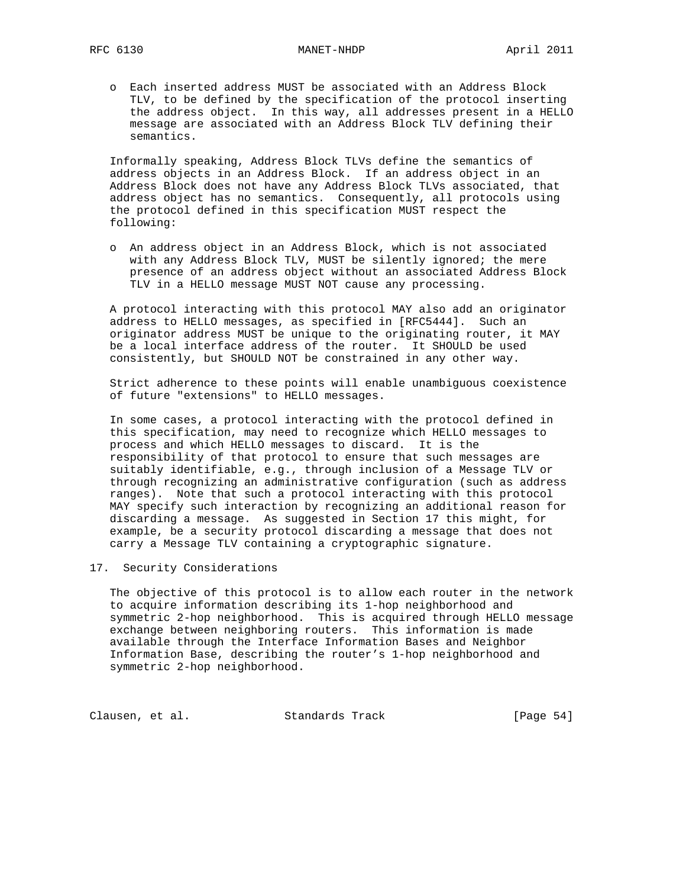o Each inserted address MUST be associated with an Address Block TLV, to be defined by the specification of the protocol inserting the address object. In this way, all addresses present in a HELLO message are associated with an Address Block TLV defining their semantics.

 Informally speaking, Address Block TLVs define the semantics of address objects in an Address Block. If an address object in an Address Block does not have any Address Block TLVs associated, that address object has no semantics. Consequently, all protocols using the protocol defined in this specification MUST respect the following:

 o An address object in an Address Block, which is not associated with any Address Block TLV, MUST be silently ignored; the mere presence of an address object without an associated Address Block TLV in a HELLO message MUST NOT cause any processing.

 A protocol interacting with this protocol MAY also add an originator address to HELLO messages, as specified in [RFC5444]. Such an originator address MUST be unique to the originating router, it MAY be a local interface address of the router. It SHOULD be used consistently, but SHOULD NOT be constrained in any other way.

 Strict adherence to these points will enable unambiguous coexistence of future "extensions" to HELLO messages.

 In some cases, a protocol interacting with the protocol defined in this specification, may need to recognize which HELLO messages to process and which HELLO messages to discard. It is the responsibility of that protocol to ensure that such messages are suitably identifiable, e.g., through inclusion of a Message TLV or through recognizing an administrative configuration (such as address ranges). Note that such a protocol interacting with this protocol MAY specify such interaction by recognizing an additional reason for discarding a message. As suggested in Section 17 this might, for example, be a security protocol discarding a message that does not carry a Message TLV containing a cryptographic signature.

### 17. Security Considerations

 The objective of this protocol is to allow each router in the network to acquire information describing its 1-hop neighborhood and symmetric 2-hop neighborhood. This is acquired through HELLO message exchange between neighboring routers. This information is made available through the Interface Information Bases and Neighbor Information Base, describing the router's 1-hop neighborhood and symmetric 2-hop neighborhood.

Clausen, et al. Standards Track [Page 54]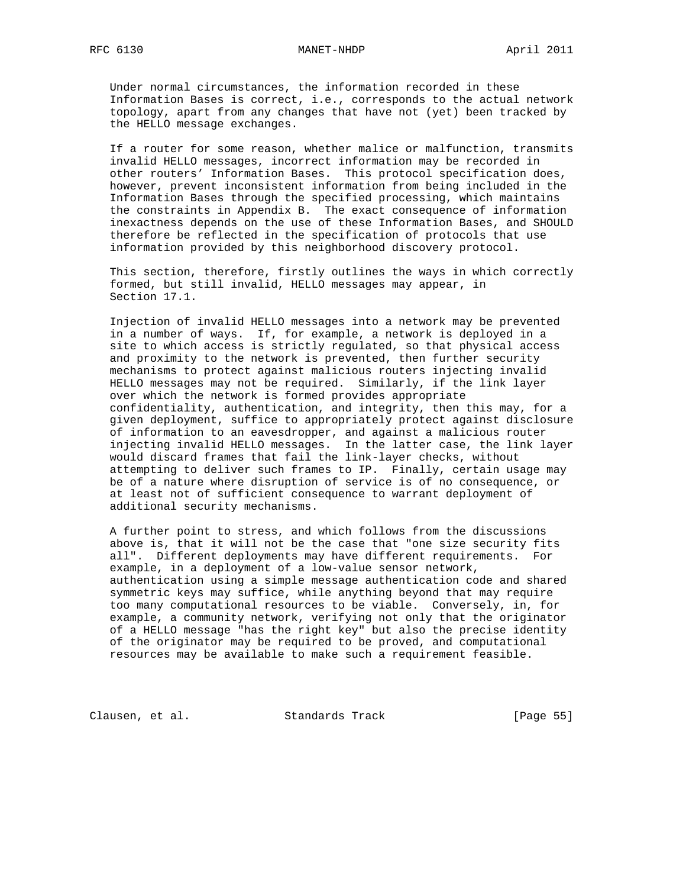Under normal circumstances, the information recorded in these Information Bases is correct, i.e., corresponds to the actual network topology, apart from any changes that have not (yet) been tracked by the HELLO message exchanges.

 If a router for some reason, whether malice or malfunction, transmits invalid HELLO messages, incorrect information may be recorded in other routers' Information Bases. This protocol specification does, however, prevent inconsistent information from being included in the Information Bases through the specified processing, which maintains the constraints in Appendix B. The exact consequence of information inexactness depends on the use of these Information Bases, and SHOULD therefore be reflected in the specification of protocols that use information provided by this neighborhood discovery protocol.

 This section, therefore, firstly outlines the ways in which correctly formed, but still invalid, HELLO messages may appear, in Section 17.1.

 Injection of invalid HELLO messages into a network may be prevented in a number of ways. If, for example, a network is deployed in a site to which access is strictly regulated, so that physical access and proximity to the network is prevented, then further security mechanisms to protect against malicious routers injecting invalid HELLO messages may not be required. Similarly, if the link layer over which the network is formed provides appropriate confidentiality, authentication, and integrity, then this may, for a given deployment, suffice to appropriately protect against disclosure of information to an eavesdropper, and against a malicious router injecting invalid HELLO messages. In the latter case, the link layer would discard frames that fail the link-layer checks, without attempting to deliver such frames to IP. Finally, certain usage may be of a nature where disruption of service is of no consequence, or at least not of sufficient consequence to warrant deployment of additional security mechanisms.

 A further point to stress, and which follows from the discussions above is, that it will not be the case that "one size security fits all". Different deployments may have different requirements. For example, in a deployment of a low-value sensor network, authentication using a simple message authentication code and shared symmetric keys may suffice, while anything beyond that may require too many computational resources to be viable. Conversely, in, for example, a community network, verifying not only that the originator of a HELLO message "has the right key" but also the precise identity of the originator may be required to be proved, and computational resources may be available to make such a requirement feasible.

Clausen, et al. Standards Track [Page 55]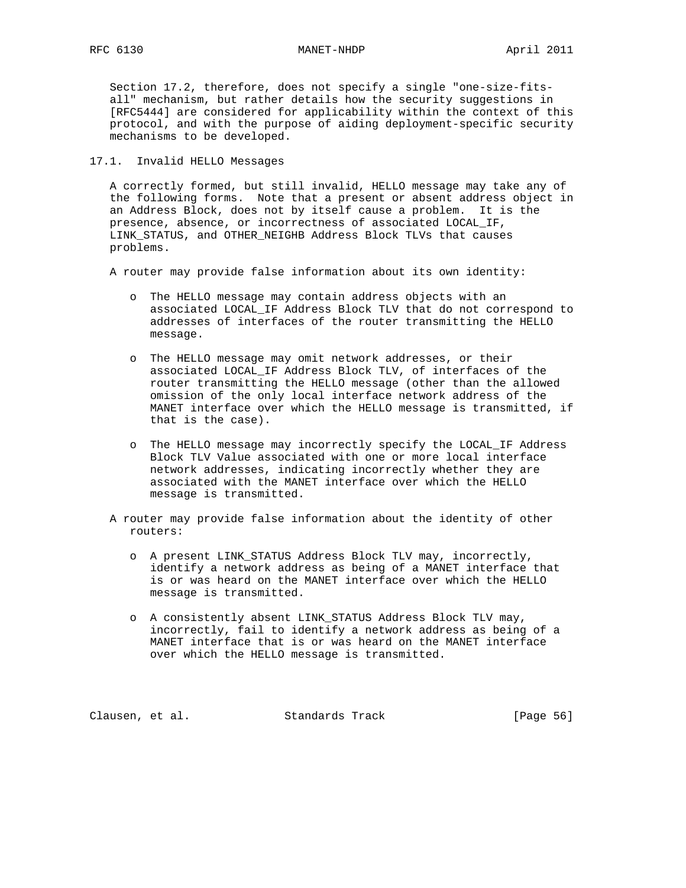Section 17.2, therefore, does not specify a single "one-size-fits all" mechanism, but rather details how the security suggestions in [RFC5444] are considered for applicability within the context of this protocol, and with the purpose of aiding deployment-specific security mechanisms to be developed.

17.1. Invalid HELLO Messages

 A correctly formed, but still invalid, HELLO message may take any of the following forms. Note that a present or absent address object in an Address Block, does not by itself cause a problem. It is the presence, absence, or incorrectness of associated LOCAL\_IF, LINK STATUS, and OTHER NEIGHB Address Block TLVs that causes problems.

A router may provide false information about its own identity:

- o The HELLO message may contain address objects with an associated LOCAL\_IF Address Block TLV that do not correspond to addresses of interfaces of the router transmitting the HELLO message.
- o The HELLO message may omit network addresses, or their associated LOCAL\_IF Address Block TLV, of interfaces of the router transmitting the HELLO message (other than the allowed omission of the only local interface network address of the MANET interface over which the HELLO message is transmitted, if that is the case).
- o The HELLO message may incorrectly specify the LOCAL\_IF Address Block TLV Value associated with one or more local interface network addresses, indicating incorrectly whether they are associated with the MANET interface over which the HELLO message is transmitted.
- A router may provide false information about the identity of other routers:
	- o A present LINK\_STATUS Address Block TLV may, incorrectly, identify a network address as being of a MANET interface that is or was heard on the MANET interface over which the HELLO message is transmitted.
	- o A consistently absent LINK\_STATUS Address Block TLV may, incorrectly, fail to identify a network address as being of a MANET interface that is or was heard on the MANET interface over which the HELLO message is transmitted.

Clausen, et al. Standards Track [Page 56]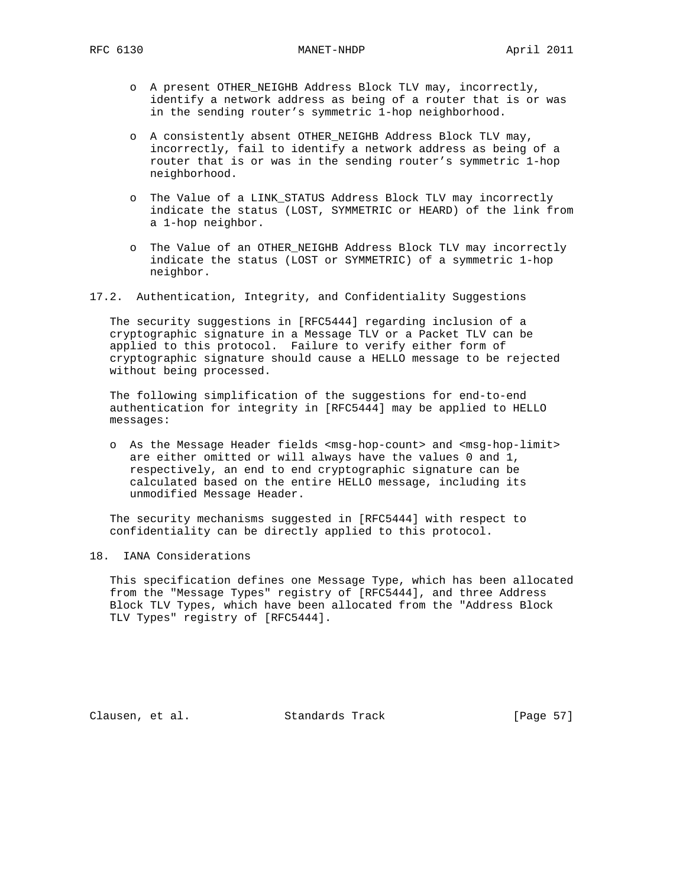- o A present OTHER\_NEIGHB Address Block TLV may, incorrectly, identify a network address as being of a router that is or was in the sending router's symmetric 1-hop neighborhood.
- o A consistently absent OTHER\_NEIGHB Address Block TLV may, incorrectly, fail to identify a network address as being of a router that is or was in the sending router's symmetric 1-hop neighborhood.
- o The Value of a LINK\_STATUS Address Block TLV may incorrectly indicate the status (LOST, SYMMETRIC or HEARD) of the link from a 1-hop neighbor.
- o The Value of an OTHER\_NEIGHB Address Block TLV may incorrectly indicate the status (LOST or SYMMETRIC) of a symmetric 1-hop neighbor.
- 17.2. Authentication, Integrity, and Confidentiality Suggestions

 The security suggestions in [RFC5444] regarding inclusion of a cryptographic signature in a Message TLV or a Packet TLV can be applied to this protocol. Failure to verify either form of cryptographic signature should cause a HELLO message to be rejected without being processed.

 The following simplification of the suggestions for end-to-end authentication for integrity in [RFC5444] may be applied to HELLO messages:

 o As the Message Header fields <msg-hop-count> and <msg-hop-limit> are either omitted or will always have the values 0 and 1, respectively, an end to end cryptographic signature can be calculated based on the entire HELLO message, including its unmodified Message Header.

 The security mechanisms suggested in [RFC5444] with respect to confidentiality can be directly applied to this protocol.

# 18. IANA Considerations

 This specification defines one Message Type, which has been allocated from the "Message Types" registry of [RFC5444], and three Address Block TLV Types, which have been allocated from the "Address Block TLV Types" registry of [RFC5444].

Clausen, et al. Standards Track [Page 57]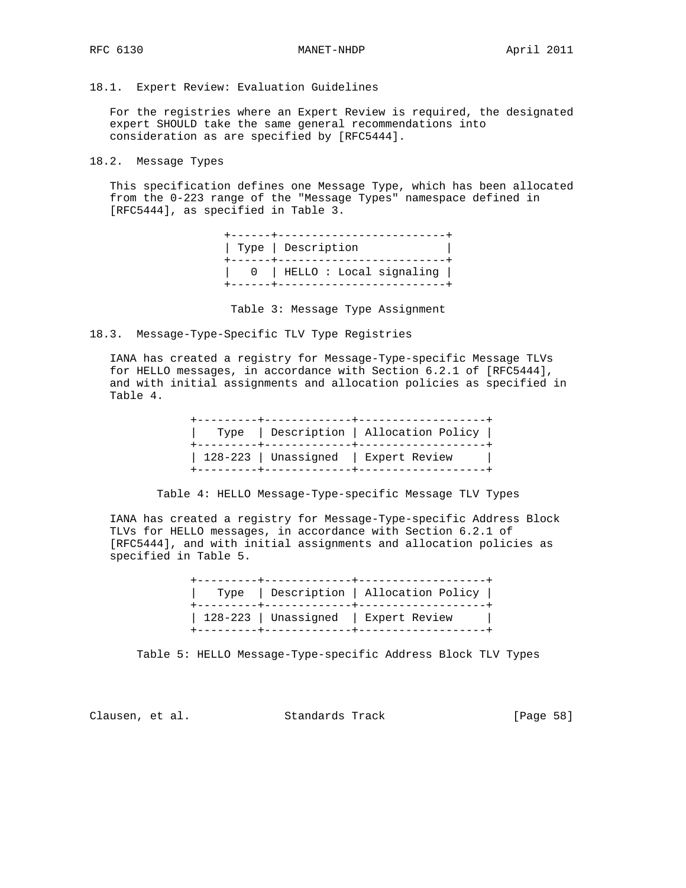18.1. Expert Review: Evaluation Guidelines

 For the registries where an Expert Review is required, the designated expert SHOULD take the same general recommendations into consideration as are specified by [RFC5444].

18.2. Message Types

 This specification defines one Message Type, which has been allocated from the 0-223 range of the "Message Types" namespace defined in [RFC5444], as specified in Table 3.

|  | Type   Description<br>------+------------------------ |
|--|-------------------------------------------------------|
|  | 0   HELLO : Local signaling                           |

Table 3: Message Type Assignment

18.3. Message-Type-Specific TLV Type Registries

 IANA has created a registry for Message-Type-specific Message TLVs for HELLO messages, in accordance with Section 6.2.1 of [RFC5444], and with initial assignments and allocation policies as specified in Table 4.

Table 4: HELLO Message-Type-specific Message TLV Types

 IANA has created a registry for Message-Type-specific Address Block TLVs for HELLO messages, in accordance with Section 6.2.1 of [RFC5444], and with initial assignments and allocation policies as specified in Table 5.

|  | --------+----------------- | Type   Description   Allocation Policy |
|--|----------------------------|----------------------------------------|
|  |                            | 128-223   Unassigned   Expert Review   |

Table 5: HELLO Message-Type-specific Address Block TLV Types

Clausen, et al. Standards Track [Page 58]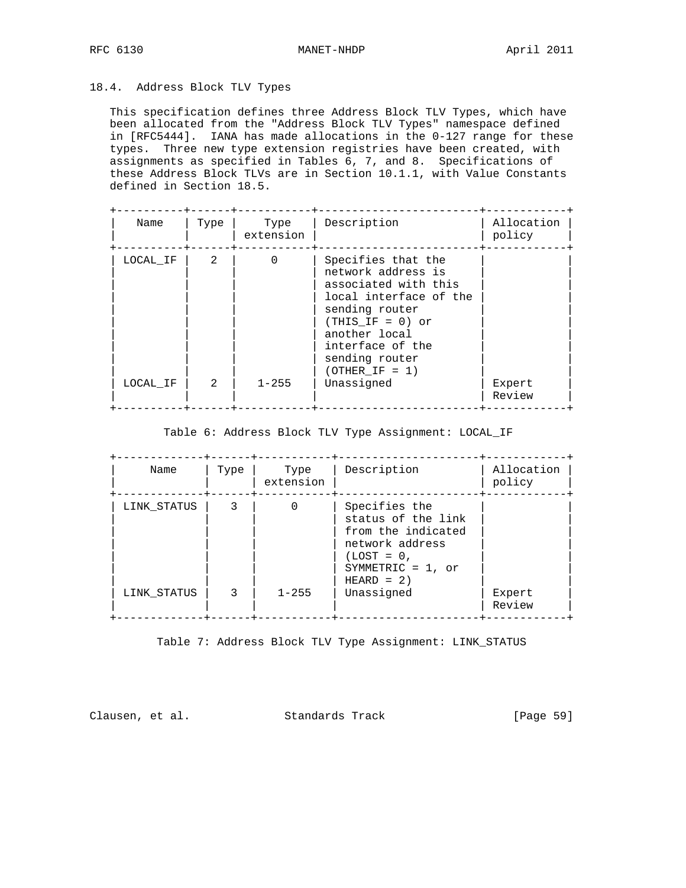## 18.4. Address Block TLV Types

 This specification defines three Address Block TLV Types, which have been allocated from the "Address Block TLV Types" namespace defined in [RFC5444]. IANA has made allocations in the 0-127 range for these types. Three new type extension registries have been created, with assignments as specified in Tables 6, 7, and 8. Specifications of these Address Block TLVs are in Section 10.1.1, with Value Constants defined in Section 18.5.

| Name     | Type                     | Type<br>extension     | Description                                                                                                                                                                                                   | Allocation<br>policy |
|----------|--------------------------|-----------------------|---------------------------------------------------------------------------------------------------------------------------------------------------------------------------------------------------------------|----------------------|
| LOCAL IF | $\mathcal{L}$<br>$2^{1}$ | $\Omega$<br>$1 - 255$ | Specifies that the<br>network address is<br>associated with this<br>local interface of the<br>sending router<br>$(THIS IF = 0)$ or<br>another local<br>interface of the<br>sending router<br>$(OTHER IF = 1)$ |                      |
| LOCAL IF |                          |                       | Unassigned                                                                                                                                                                                                    | Expert<br>Review     |

### Table 6: Address Block TLV Type Assignment: LOCAL\_IF

| Name                       | Type   | Type<br>extension | Description                                                                                                                                        | Allocation<br>policy |
|----------------------------|--------|-------------------|----------------------------------------------------------------------------------------------------------------------------------------------------|----------------------|
| LINK STATUS<br>LINK STATUS | 3<br>3 | $1 - 255$         | Specifies the<br>status of the link<br>from the indicated<br>network address<br>$(LOST = 0.$<br>SYMMETRIC = $1$ , or<br>$HERAD = 2)$<br>Unassigned | Expert<br>Review     |

Table 7: Address Block TLV Type Assignment: LINK\_STATUS

Clausen, et al. Standards Track [Page 59]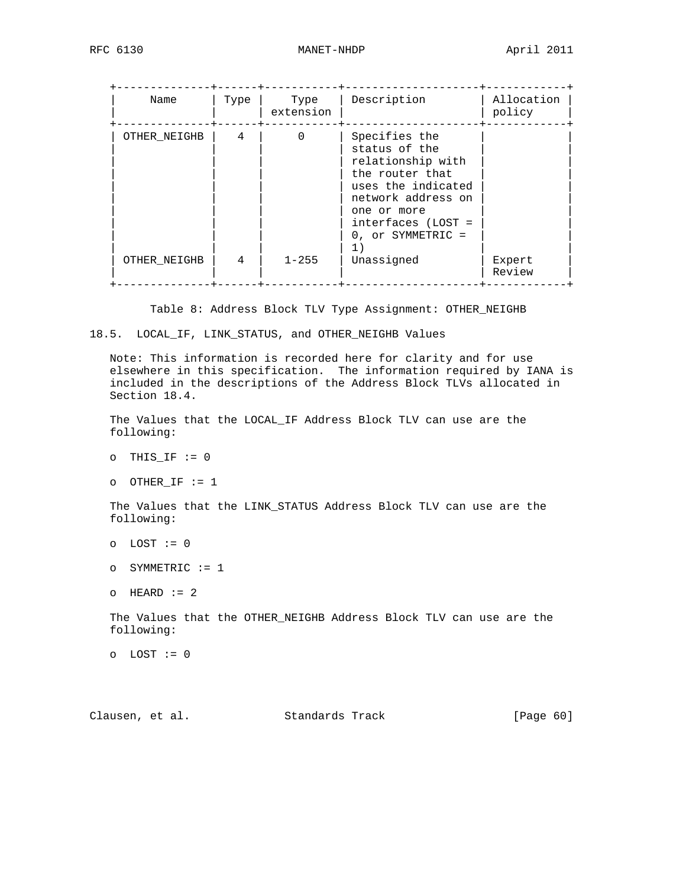| Name                         | Type   | Type<br>extension     | Description                                                                                                                                                                                        | Allocation<br>policy |
|------------------------------|--------|-----------------------|----------------------------------------------------------------------------------------------------------------------------------------------------------------------------------------------------|----------------------|
| OTHER NEIGHB<br>OTHER NEIGHB | 4<br>4 | $\Omega$<br>$1 - 255$ | Specifies the<br>status of the<br>relationship with<br>the router that<br>uses the indicated<br>network address on<br>one or more<br>$interfaces$ (LOST =<br>0, or SYMMETRIC =<br>1)<br>Unassigned | Expert<br>Review     |

Table 8: Address Block TLV Type Assignment: OTHER\_NEIGHB

### 18.5. LOCAL\_IF, LINK\_STATUS, and OTHER\_NEIGHB Values

 Note: This information is recorded here for clarity and for use elsewhere in this specification. The information required by IANA is included in the descriptions of the Address Block TLVs allocated in Section 18.4.

 The Values that the LOCAL\_IF Address Block TLV can use are the following:

o OTHER\_IF := 1

 The Values that the LINK\_STATUS Address Block TLV can use are the following:

 The Values that the OTHER\_NEIGHB Address Block TLV can use are the following:

o LOST := 0

Clausen, et al. Standards Track [Page 60]

 $O$  THIS\_IF  $:= 0$ 

o LOST := 0

o SYMMETRIC := 1

 $O$  HEARD  $:= 2$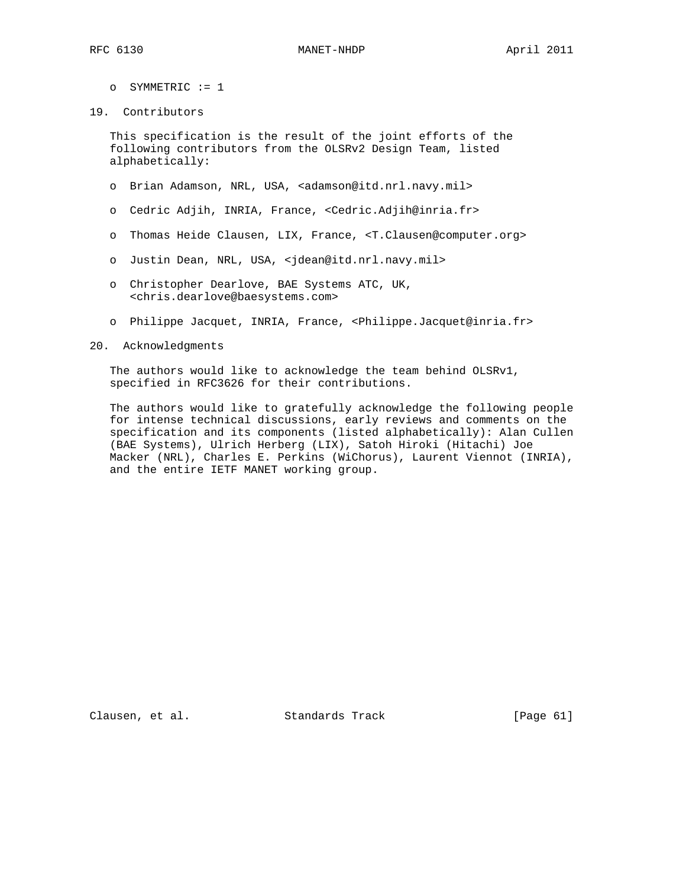- o SYMMETRIC := 1
- 19. Contributors

 This specification is the result of the joint efforts of the following contributors from the OLSRv2 Design Team, listed alphabetically:

- o Brian Adamson, NRL, USA, <adamson@itd.nrl.navy.mil>
- o Cedric Adjih, INRIA, France, <Cedric.Adjih@inria.fr>
- o Thomas Heide Clausen, LIX, France, <T.Clausen@computer.org>
- o Justin Dean, NRL, USA, <jdean@itd.nrl.navy.mil>
- o Christopher Dearlove, BAE Systems ATC, UK, <chris.dearlove@baesystems.com>
- o Philippe Jacquet, INRIA, France, <Philippe.Jacquet@inria.fr>
- 20. Acknowledgments

 The authors would like to acknowledge the team behind OLSRv1, specified in RFC3626 for their contributions.

 The authors would like to gratefully acknowledge the following people for intense technical discussions, early reviews and comments on the specification and its components (listed alphabetically): Alan Cullen (BAE Systems), Ulrich Herberg (LIX), Satoh Hiroki (Hitachi) Joe Macker (NRL), Charles E. Perkins (WiChorus), Laurent Viennot (INRIA), and the entire IETF MANET working group.

Clausen, et al. Standards Track [Page 61]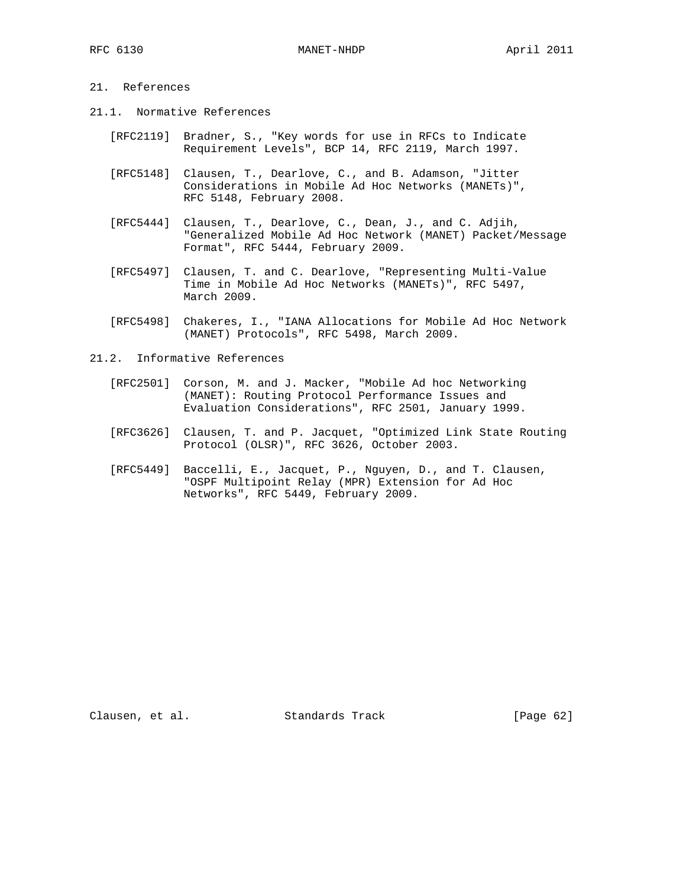# 21. References

- 21.1. Normative References
	- [RFC2119] Bradner, S., "Key words for use in RFCs to Indicate Requirement Levels", BCP 14, RFC 2119, March 1997.
	- [RFC5148] Clausen, T., Dearlove, C., and B. Adamson, "Jitter Considerations in Mobile Ad Hoc Networks (MANETs)", RFC 5148, February 2008.
	- [RFC5444] Clausen, T., Dearlove, C., Dean, J., and C. Adjih, "Generalized Mobile Ad Hoc Network (MANET) Packet/Message Format", RFC 5444, February 2009.
	- [RFC5497] Clausen, T. and C. Dearlove, "Representing Multi-Value Time in Mobile Ad Hoc Networks (MANETs)", RFC 5497, March 2009.
	- [RFC5498] Chakeres, I., "IANA Allocations for Mobile Ad Hoc Network (MANET) Protocols", RFC 5498, March 2009.
- 21.2. Informative References
	- [RFC2501] Corson, M. and J. Macker, "Mobile Ad hoc Networking (MANET): Routing Protocol Performance Issues and Evaluation Considerations", RFC 2501, January 1999.
	- [RFC3626] Clausen, T. and P. Jacquet, "Optimized Link State Routing Protocol (OLSR)", RFC 3626, October 2003.
	- [RFC5449] Baccelli, E., Jacquet, P., Nguyen, D., and T. Clausen, "OSPF Multipoint Relay (MPR) Extension for Ad Hoc Networks", RFC 5449, February 2009.

Clausen, et al. Standards Track [Page 62]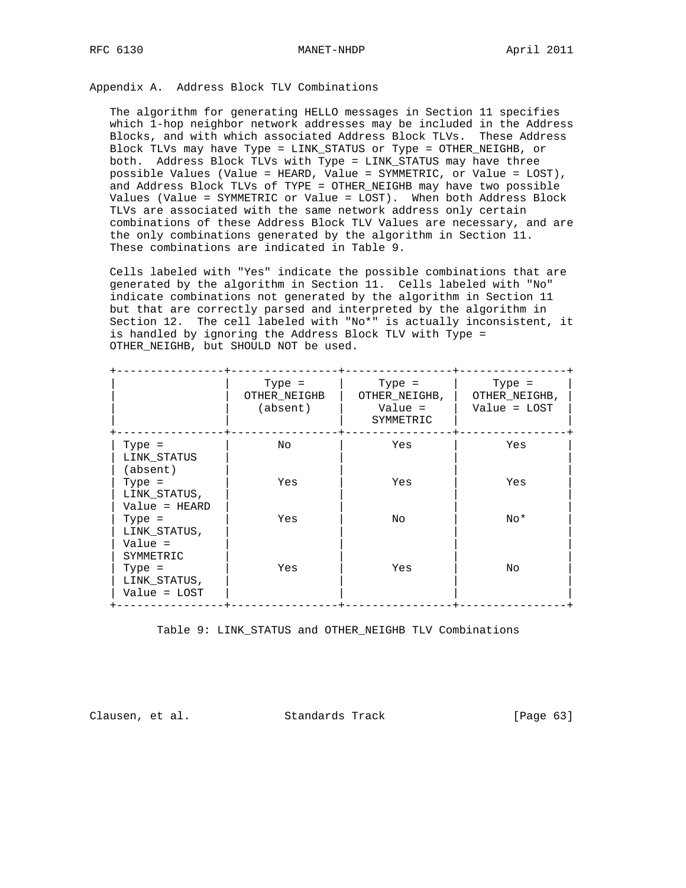Appendix A. Address Block TLV Combinations

 The algorithm for generating HELLO messages in Section 11 specifies which 1-hop neighbor network addresses may be included in the Address Blocks, and with which associated Address Block TLVs. These Address Block TLVs may have Type = LINK\_STATUS or Type = OTHER\_NEIGHB, or both. Address Block TLVs with Type = LINK\_STATUS may have three possible Values (Value = HEARD, Value = SYMMETRIC, or Value = LOST), and Address Block TLVs of TYPE = OTHER\_NEIGHB may have two possible Values (Value = SYMMETRIC or Value = LOST). When both Address Block TLVs are associated with the same network address only certain combinations of these Address Block TLV Values are necessary, and are the only combinations generated by the algorithm in Section 11. These combinations are indicated in Table 9.

 Cells labeled with "Yes" indicate the possible combinations that are generated by the algorithm in Section 11. Cells labeled with "No" indicate combinations not generated by the algorithm in Section 11 but that are correctly parsed and interpreted by the algorithm in Section 12. The cell labeled with "No\*" is actually inconsistent, it is handled by ignoring the Address Block TLV with Type = OTHER\_NEIGHB, but SHOULD NOT be used.

|                                                  | Type =<br>OTHER NEIGHB<br>(absent) | Type $=$<br>OTHER NEIGHB,<br>Value =<br>SYMMETRIC | Type $=$<br>OTHER NEIGHB,<br>$Value = LOGT$ |
|--------------------------------------------------|------------------------------------|---------------------------------------------------|---------------------------------------------|
| Type $=$<br>LINK STATUS<br>(absent)              | No                                 | Yes                                               | Yes                                         |
| $Type =$<br>LINK STATUS,<br>Value = HEARD        | Yes                                | Yes                                               | Yes                                         |
| $Type =$<br>LINK STATUS,<br>Value =<br>SYMMETRIC | Yes                                | No.                                               | $No*$                                       |
| $Type =$<br>LINK STATUS,<br>$Value = LOGT$       | Yes                                | Yes                                               | No.                                         |

Table 9: LINK\_STATUS and OTHER\_NEIGHB TLV Combinations

Clausen, et al. Standards Track [Page 63]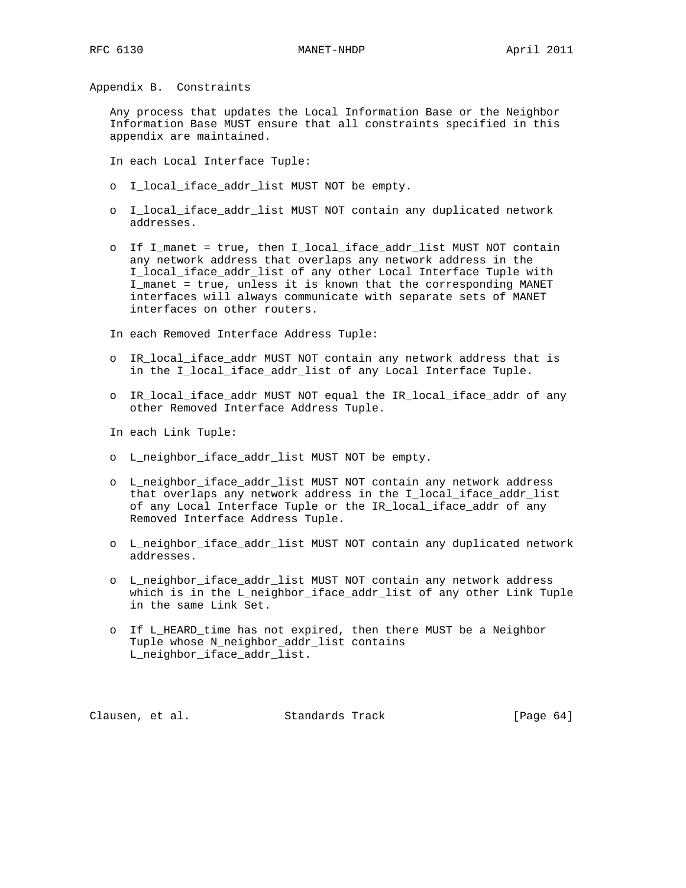Appendix B. Constraints

 Any process that updates the Local Information Base or the Neighbor Information Base MUST ensure that all constraints specified in this appendix are maintained.

In each Local Interface Tuple:

- o I\_local\_iface\_addr\_list MUST NOT be empty.
- o I\_local\_iface\_addr\_list MUST NOT contain any duplicated network addresses.
- o If I\_manet = true, then I\_local\_iface\_addr\_list MUST NOT contain any network address that overlaps any network address in the I\_local\_iface\_addr\_list of any other Local Interface Tuple with I\_manet = true, unless it is known that the corresponding MANET interfaces will always communicate with separate sets of MANET interfaces on other routers.

In each Removed Interface Address Tuple:

- o IR\_local\_iface\_addr MUST NOT contain any network address that is in the I\_local\_iface\_addr\_list of any Local Interface Tuple.
- o IR\_local\_iface\_addr MUST NOT equal the IR\_local\_iface\_addr of any other Removed Interface Address Tuple.

In each Link Tuple:

- o L\_neighbor\_iface\_addr\_list MUST NOT be empty.
- o L\_neighbor\_iface\_addr\_list MUST NOT contain any network address that overlaps any network address in the I\_local\_iface\_addr\_list of any Local Interface Tuple or the IR\_local\_iface\_addr of any Removed Interface Address Tuple.
- o L\_neighbor\_iface\_addr\_list MUST NOT contain any duplicated network addresses.
- o L\_neighbor\_iface\_addr\_list MUST NOT contain any network address which is in the L\_neighbor\_iface\_addr\_list of any other Link Tuple in the same Link Set.
- o If L\_HEARD\_time has not expired, then there MUST be a Neighbor Tuple whose N\_neighbor\_addr\_list contains L\_neighbor\_iface\_addr\_list.

Clausen, et al. Standards Track [Page 64]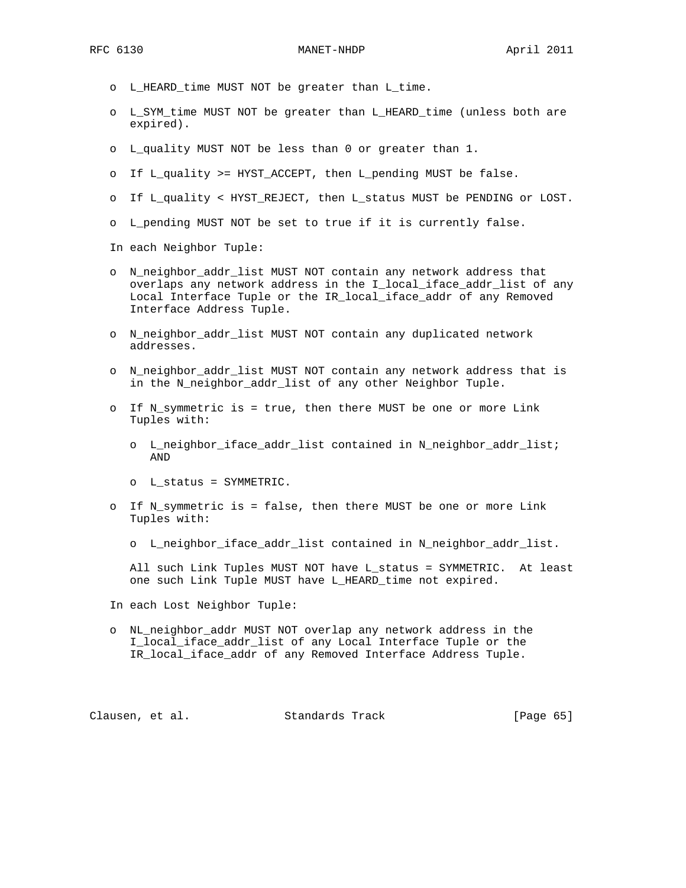- o L\_HEARD\_time MUST NOT be greater than L\_time.
- o L\_SYM\_time MUST NOT be greater than L\_HEARD\_time (unless both are expired).
- o L\_quality MUST NOT be less than 0 or greater than 1.
- o If L\_quality >= HYST\_ACCEPT, then L\_pending MUST be false.
- o If L\_quality < HYST\_REJECT, then L\_status MUST be PENDING or LOST.
- o L\_pending MUST NOT be set to true if it is currently false.

In each Neighbor Tuple:

- o N\_neighbor\_addr\_list MUST NOT contain any network address that overlaps any network address in the I\_local\_iface\_addr\_list of any Local Interface Tuple or the IR\_local\_iface\_addr of any Removed Interface Address Tuple.
- o N\_neighbor\_addr\_list MUST NOT contain any duplicated network addresses.
- o N\_neighbor\_addr\_list MUST NOT contain any network address that is in the N\_neighbor\_addr\_list of any other Neighbor Tuple.
- o If N\_symmetric is = true, then there MUST be one or more Link Tuples with:
	- o L\_neighbor\_iface\_addr\_list contained in N\_neighbor\_addr\_list; AND
	- o L\_status = SYMMETRIC.
- o If N\_symmetric is = false, then there MUST be one or more Link Tuples with:
	- o L\_neighbor\_iface\_addr\_list contained in N\_neighbor\_addr\_list.

 All such Link Tuples MUST NOT have L\_status = SYMMETRIC. At least one such Link Tuple MUST have L\_HEARD\_time not expired.

In each Lost Neighbor Tuple:

 o NL\_neighbor\_addr MUST NOT overlap any network address in the I\_local\_iface\_addr\_list of any Local Interface Tuple or the IR\_local\_iface\_addr of any Removed Interface Address Tuple.

Clausen, et al. Standards Track [Page 65]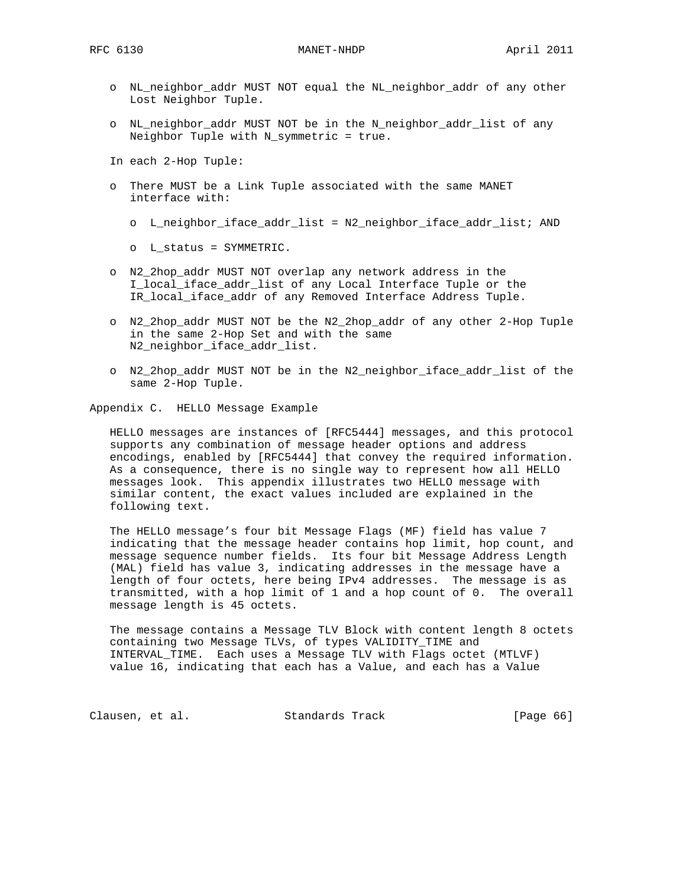- o NL\_neighbor\_addr MUST NOT equal the NL\_neighbor\_addr of any other Lost Neighbor Tuple.
- o NL\_neighbor\_addr MUST NOT be in the N\_neighbor\_addr\_list of any Neighbor Tuple with N\_symmetric = true.
- In each 2-Hop Tuple:
- o There MUST be a Link Tuple associated with the same MANET interface with:
	- o L\_neighbor\_iface\_addr\_list = N2\_neighbor\_iface\_addr\_list; AND
	- o L\_status = SYMMETRIC.
- o N2\_2hop\_addr MUST NOT overlap any network address in the I\_local\_iface\_addr\_list of any Local Interface Tuple or the IR\_local\_iface\_addr of any Removed Interface Address Tuple.
- o N2\_2hop\_addr MUST NOT be the N2\_2hop\_addr of any other 2-Hop Tuple in the same 2-Hop Set and with the same N2\_neighbor\_iface\_addr\_list.
- o N2\_2hop\_addr MUST NOT be in the N2\_neighbor\_iface\_addr\_list of the same 2-Hop Tuple.

Appendix C. HELLO Message Example

 HELLO messages are instances of [RFC5444] messages, and this protocol supports any combination of message header options and address encodings, enabled by [RFC5444] that convey the required information. As a consequence, there is no single way to represent how all HELLO messages look. This appendix illustrates two HELLO message with similar content, the exact values included are explained in the following text.

 The HELLO message's four bit Message Flags (MF) field has value 7 indicating that the message header contains hop limit, hop count, and message sequence number fields. Its four bit Message Address Length (MAL) field has value 3, indicating addresses in the message have a length of four octets, here being IPv4 addresses. The message is as transmitted, with a hop limit of 1 and a hop count of 0. The overall message length is 45 octets.

 The message contains a Message TLV Block with content length 8 octets containing two Message TLVs, of types VALIDITY\_TIME and INTERVAL\_TIME. Each uses a Message TLV with Flags octet (MTLVF) value 16, indicating that each has a Value, and each has a Value

Clausen, et al. Standards Track [Page 66]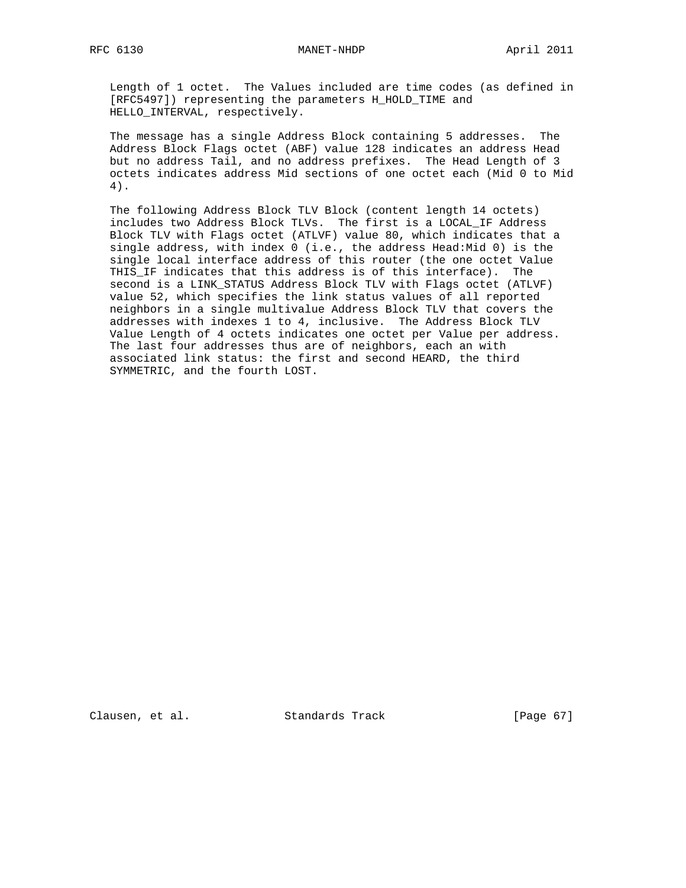#### RFC 6130 MANET-NHDP April 2011

 Length of 1 octet. The Values included are time codes (as defined in [RFC5497]) representing the parameters H\_HOLD\_TIME and HELLO\_INTERVAL, respectively.

 The message has a single Address Block containing 5 addresses. The Address Block Flags octet (ABF) value 128 indicates an address Head but no address Tail, and no address prefixes. The Head Length of 3 octets indicates address Mid sections of one octet each (Mid 0 to Mid 4).

 The following Address Block TLV Block (content length 14 octets) includes two Address Block TLVs. The first is a LOCAL\_IF Address Block TLV with Flags octet (ATLVF) value 80, which indicates that a single address, with index 0 (i.e., the address Head:Mid 0) is the single local interface address of this router (the one octet Value THIS\_IF indicates that this address is of this interface). The second is a LINK\_STATUS Address Block TLV with Flags octet (ATLVF) value 52, which specifies the link status values of all reported neighbors in a single multivalue Address Block TLV that covers the addresses with indexes 1 to 4, inclusive. The Address Block TLV Value Length of 4 octets indicates one octet per Value per address. The last four addresses thus are of neighbors, each an with associated link status: the first and second HEARD, the third SYMMETRIC, and the fourth LOST.

Clausen, et al. Standards Track [Page 67]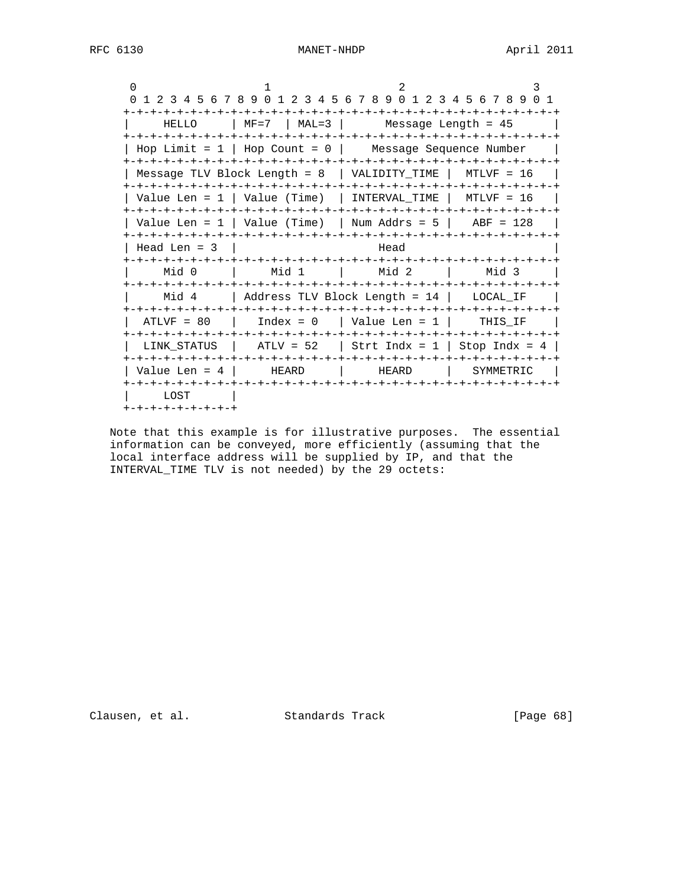0  $1$   $2$   $3$  0 1 2 3 4 5 6 7 8 9 0 1 2 3 4 5 6 7 8 9 0 1 2 3 4 5 6 7 8 9 0 1 +-+-+-+-+-+-+-+-+-+-+-+-+-+-+-+-+-+-+-+-+-+-+-+-+-+-+-+-+-+-+-+-+ | HELLO | MF=7 | MAL=3 | Message Length = 45 | +-+-+-+-+-+-+-+-+-+-+-+-+-+-+-+-+-+-+-+-+-+-+-+-+-+-+-+-+-+-+-+-+ | Hop Limit = 1 | Hop Count = 0 | Message Sequence Number | +-+-+-+-+-+-+-+-+-+-+-+-+-+-+-+-+-+-+-+-+-+-+-+-+-+-+-+-+-+-+-+-+ | Message TLV Block Length = 8 | VALIDITY\_TIME | MTLVF = 16 | +-+-+-+-+-+-+-+-+-+-+-+-+-+-+-+-+-+-+-+-+-+-+-+-+-+-+-+-+-+-+-+-+ | Value Len =  $1$  | Value (Time) | INTERVAL\_TIME | MTLVF =  $16$  | +-+-+-+-+-+-+-+-+-+-+-+-+-+-+-+-+-+-+-+-+-+-+-+-+-+-+-+-+-+-+-+-+ | Value Len =  $1$  | Value (Time) | Num Addrs =  $5$  | ABF = 128 | +-+-+-+-+-+-+-+-+-+-+-+-+-+-+-+-+-+-+-+-+-+-+-+-+-+-+-+-+-+-+-+-+  $\vert$  Head Len = 3  $\vert$  Head +-+-+-+-+-+-+-+-+-+-+-+-+-+-+-+-+-+-+-+-+-+-+-+-+-+-+-+-+-+-+-+-+ | Mid 0 | Mid 1 | Mid 2 | Mid 3 +-+-+-+-+-+-+-+-+-+-+-+-+-+-+-+-+-+-+-+-+-+-+-+-+-+-+-+-+-+-+-+-+ | Mid 4 | Address TLV Block Length = 14 | LOCAL\_IF | +-+-+-+-+-+-+-+-+-+-+-+-+-+-+-+-+-+-+-+-+-+-+-+-+-+-+-+-+-+-+-+-+ | ATLVF = 80 | Index = 0 | Value Len = 1 | THIS\_IF | +-+-+-+-+-+-+-+-+-+-+-+-+-+-+-+-+-+-+-+-+-+-+-+-+-+-+-+-+-+-+-+-+ | LINK\_STATUS | ATLV = 52 | Strt Indx = 1 | Stop Indx = 4 | +-+-+-+-+-+-+-+-+-+-+-+-+-+-+-+-+-+-+-+-+-+-+-+-+-+-+-+-+-+-+-+-+ | Value Len = 4 | HEARD | HEARD | SYMMETRIC | +-+-+-+-+-+-+-+-+-+-+-+-+-+-+-+-+-+-+-+-+-+-+-+-+-+-+-+-+-+-+-+-+ | LOST | +-+-+-+-+-+-+-+-+

 Note that this example is for illustrative purposes. The essential information can be conveyed, more efficiently (assuming that the local interface address will be supplied by IP, and that the INTERVAL\_TIME TLV is not needed) by the 29 octets:

Clausen, et al. Standards Track [Page 68]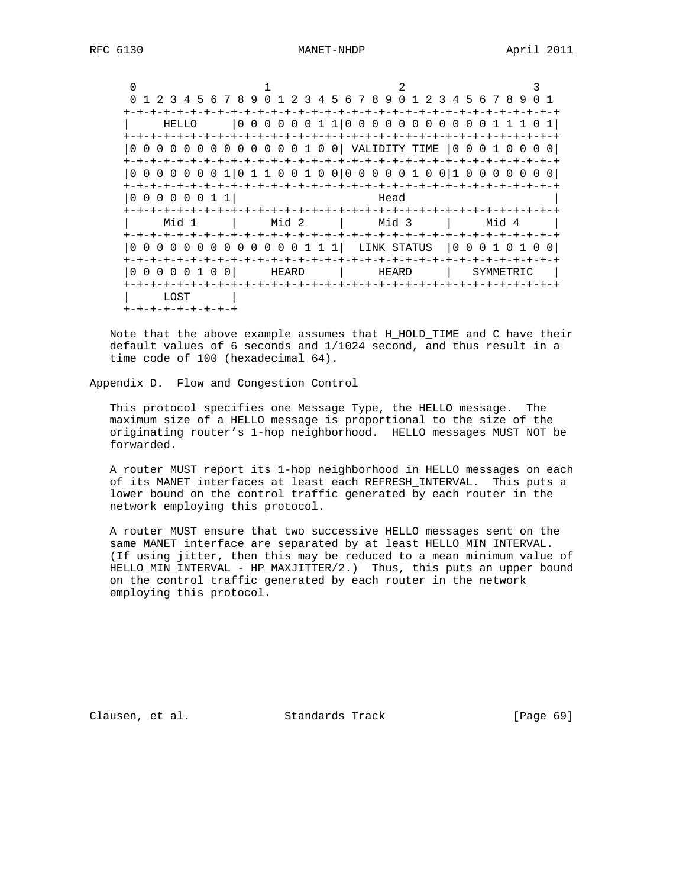0  $1$   $2$   $3$  0 1 2 3 4 5 6 7 8 9 0 1 2 3 4 5 6 7 8 9 0 1 2 3 4 5 6 7 8 9 0 1 +-+-+-+-+-+-+-+-+-+-+-+-+-+-+-+-+-+-+-+-+-+-+-+-+-+-+-+-+-+-+-+-+ | HELLO |0 0 0 0 0 0 1 1|0 0 0 0 0 0 0 0 0 0 0 1 1 1 0 1| +-+-+-+-+-+-+-+-+-+-+-+-+-+-+-+-+-+-+-+-+-+-+-+-+-+-+-+-+-+-+-+-+ |0 0 0 0 0 0 0 0 0 0 0 0 0 1 0 0| VALIDITY\_TIME |0 0 0 1 0 0 0 0| +-+-+-+-+-+-+-+-+-+-+-+-+-+-+-+-+-+-+-+-+-+-+-+-+-+-+-+-+-+-+-+-+ |0 0 0 0 0 0 0 1|0 1 1 0 0 1 0 0|0 0 0 0 0 1 0 0|1 0 0 0 0 0 0 0| +-+-+-+-+-+-+-+-+-+-+-+-+-+-+-+-+-+-+-+-+-+-+-+-+-+-+-+-+-+-+-+-+  $|0\;0\;0\;0\;0\;0\;1\;1|$  Head +-+-+-+-+-+-+-+-+-+-+-+-+-+-+-+-+-+-+-+-+-+-+-+-+-+-+-+-+-+-+-+-+ | Mid 1 | Mid 2 | Mid 3 | Mid 4 | +-+-+-+-+-+-+-+-+-+-+-+-+-+-+-+-+-+-+-+-+-+-+-+-+-+-+-+-+-+-+-+-+ |0 0 0 0 0 0 0 0 0 0 0 0 0 1 1 1| LINK\_STATUS |0 0 0 1 0 1 0 0| +-+-+-+-+-+-+-+-+-+-+-+-+-+-+-+-+-+-+-+-+-+-+-+-+-+-+-+-+-+-+-+-+ |0 0 0 0 0 1 0 0| HEARD | HEARD | SYMMETRIC | +-+-+-+-+-+-+-+-+-+-+-+-+-+-+-+-+-+-+-+-+-+-+-+-+-+-+-+-+-+-+-+-+ | LOST | +-+-+-+-+-+-+-+-+

 Note that the above example assumes that H\_HOLD\_TIME and C have their default values of 6 seconds and 1/1024 second, and thus result in a time code of 100 (hexadecimal 64).

Appendix D. Flow and Congestion Control

 This protocol specifies one Message Type, the HELLO message. The maximum size of a HELLO message is proportional to the size of the originating router's 1-hop neighborhood. HELLO messages MUST NOT be forwarded.

 A router MUST report its 1-hop neighborhood in HELLO messages on each of its MANET interfaces at least each REFRESH\_INTERVAL. This puts a lower bound on the control traffic generated by each router in the network employing this protocol.

 A router MUST ensure that two successive HELLO messages sent on the same MANET interface are separated by at least HELLO\_MIN\_INTERVAL. (If using jitter, then this may be reduced to a mean minimum value of HELLO\_MIN\_INTERVAL - HP\_MAXJITTER/2.) Thus, this puts an upper bound on the control traffic generated by each router in the network employing this protocol.

Clausen, et al. Standards Track [Page 69]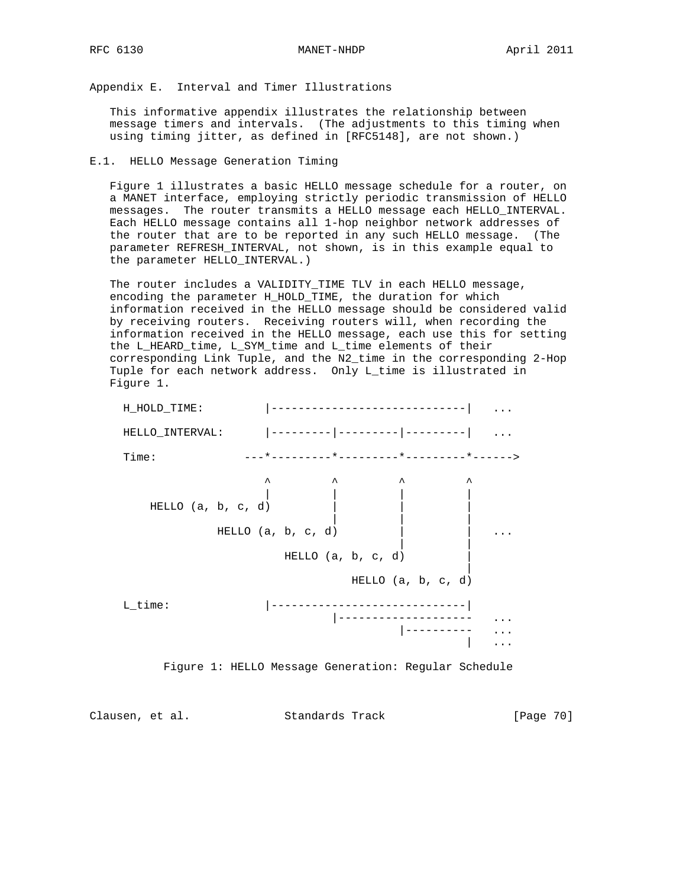Appendix E. Interval and Timer Illustrations

 This informative appendix illustrates the relationship between message timers and intervals. (The adjustments to this timing when using timing jitter, as defined in [RFC5148], are not shown.)

### E.1. HELLO Message Generation Timing

 Figure 1 illustrates a basic HELLO message schedule for a router, on a MANET interface, employing strictly periodic transmission of HELLO messages. The router transmits a HELLO message each HELLO\_INTERVAL. Each HELLO message contains all 1-hop neighbor network addresses of the router that are to be reported in any such HELLO message. (The parameter REFRESH\_INTERVAL, not shown, is in this example equal to the parameter HELLO\_INTERVAL.)

 The router includes a VALIDITY\_TIME TLV in each HELLO message, encoding the parameter H\_HOLD\_TIME, the duration for which information received in the HELLO message should be considered valid by receiving routers. Receiving routers will, when recording the information received in the HELLO message, each use this for setting the L\_HEARD\_time, L\_SYM\_time and L\_time elements of their corresponding Link Tuple, and the N2\_time in the corresponding 2-Hop Tuple for each network address. Only L\_time is illustrated in Figure 1.





Clausen, et al. Standards Track [Page 70]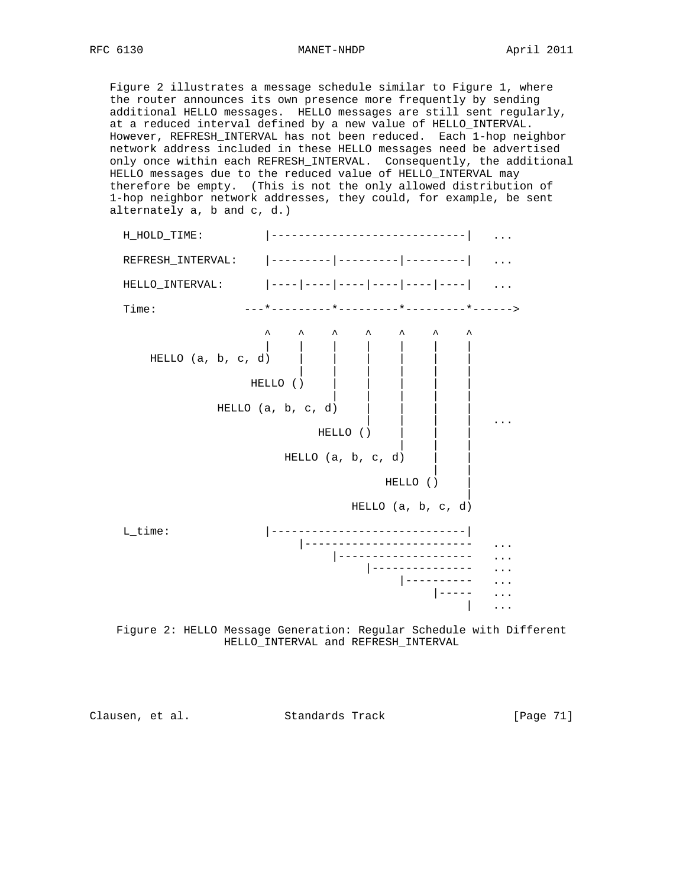Figure 2 illustrates a message schedule similar to Figure 1, where the router announces its own presence more frequently by sending additional HELLO messages. HELLO messages are still sent regularly, at a reduced interval defined by a new value of HELLO\_INTERVAL. However, REFRESH\_INTERVAL has not been reduced. Each 1-hop neighbor network address included in these HELLO messages need be advertised only once within each REFRESH\_INTERVAL. Consequently, the additional HELLO messages due to the reduced value of HELLO\_INTERVAL may therefore be empty. (This is not the only allowed distribution of 1-hop neighbor network addresses, they could, for example, be sent alternately a, b and c, d.)



 Figure 2: HELLO Message Generation: Regular Schedule with Different HELLO\_INTERVAL and REFRESH\_INTERVAL

Clausen, et al. Standards Track [Page 71]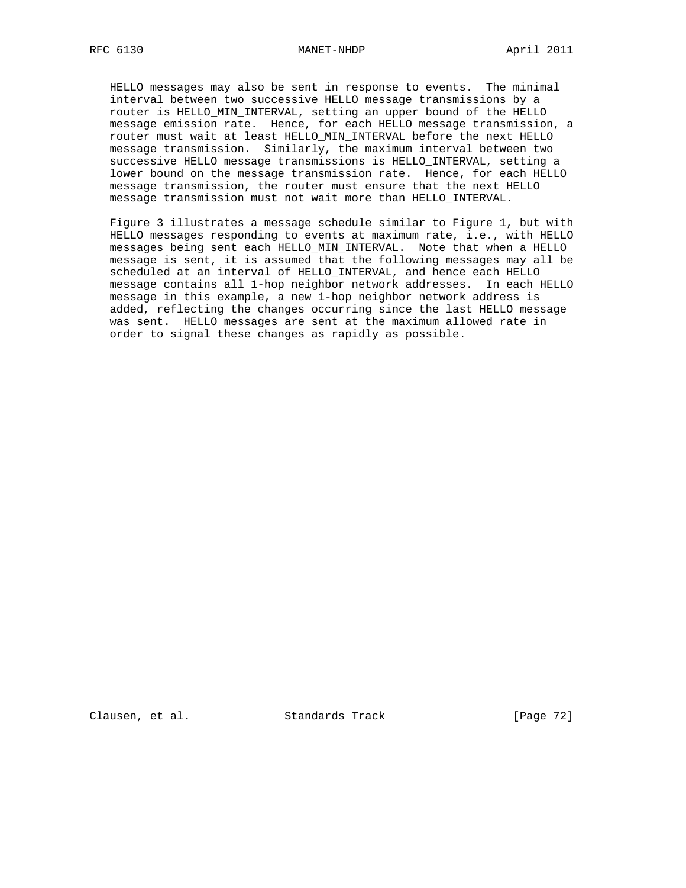HELLO messages may also be sent in response to events. The minimal interval between two successive HELLO message transmissions by a router is HELLO\_MIN\_INTERVAL, setting an upper bound of the HELLO message emission rate. Hence, for each HELLO message transmission, a router must wait at least HELLO\_MIN\_INTERVAL before the next HELLO message transmission. Similarly, the maximum interval between two successive HELLO message transmissions is HELLO\_INTERVAL, setting a lower bound on the message transmission rate. Hence, for each HELLO message transmission, the router must ensure that the next HELLO message transmission must not wait more than HELLO\_INTERVAL.

 Figure 3 illustrates a message schedule similar to Figure 1, but with HELLO messages responding to events at maximum rate, i.e., with HELLO messages being sent each HELLO\_MIN\_INTERVAL. Note that when a HELLO message is sent, it is assumed that the following messages may all be scheduled at an interval of HELLO\_INTERVAL, and hence each HELLO message contains all 1-hop neighbor network addresses. In each HELLO message in this example, a new 1-hop neighbor network address is added, reflecting the changes occurring since the last HELLO message was sent. HELLO messages are sent at the maximum allowed rate in order to signal these changes as rapidly as possible.

Clausen, et al. Standards Track [Page 72]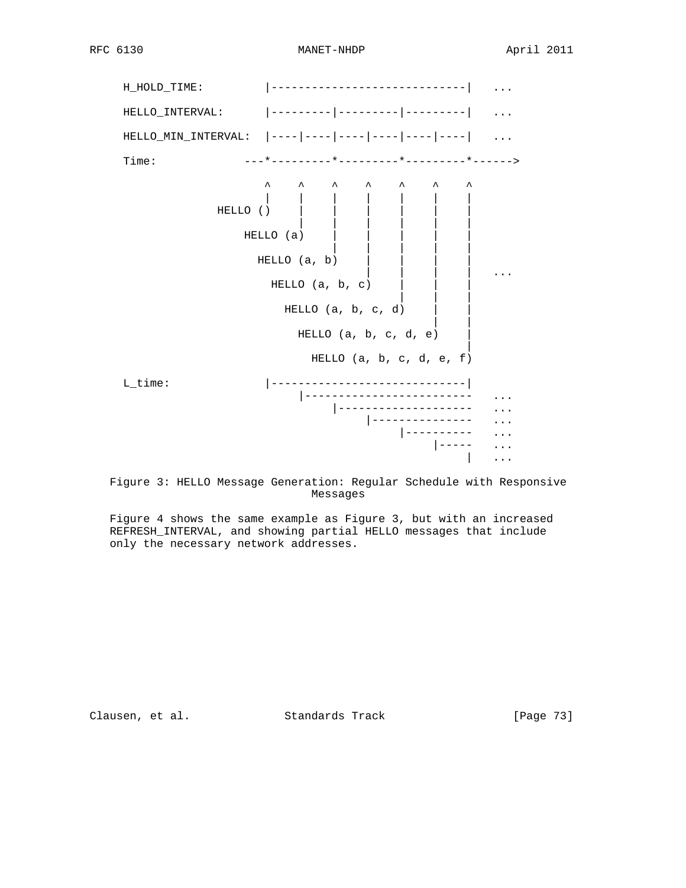RFC 6130 MANET-NHDP April 2011



 Figure 3: HELLO Message Generation: Regular Schedule with Responsive Messages

 Figure 4 shows the same example as Figure 3, but with an increased REFRESH\_INTERVAL, and showing partial HELLO messages that include only the necessary network addresses.

Clausen, et al. Standards Track [Page 73]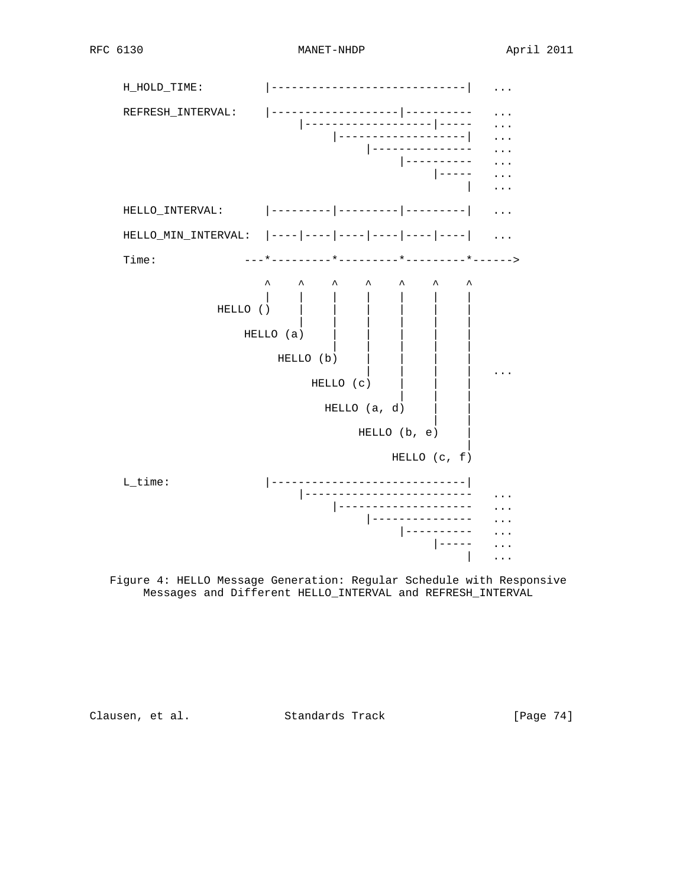

 Figure 4: HELLO Message Generation: Regular Schedule with Responsive Messages and Different HELLO\_INTERVAL and REFRESH\_INTERVAL

Clausen, et al. Standards Track [Page 74]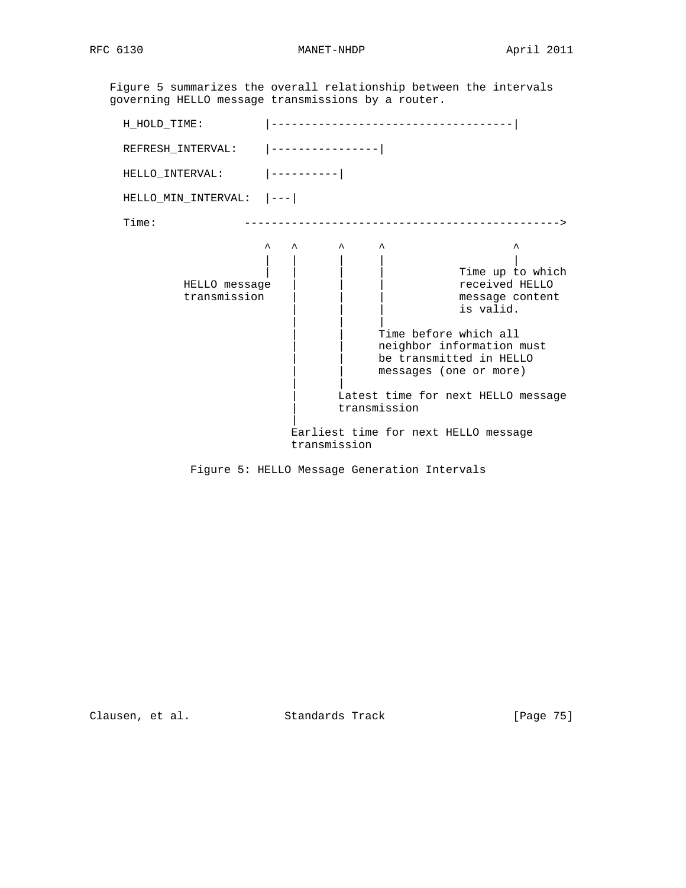RFC 6130 MANET-NHDP MANET-NHDP April 2011

 Figure 5 summarizes the overall relationship between the intervals governing HELLO message transmissions by a router.

| H_HOLD_TIME:                             |                                                                                                                                                                                                                                                                                                                                      |
|------------------------------------------|--------------------------------------------------------------------------------------------------------------------------------------------------------------------------------------------------------------------------------------------------------------------------------------------------------------------------------------|
| REFRESH_INTERVAL:  ---------------       |                                                                                                                                                                                                                                                                                                                                      |
| $HELLO_INTERVAL:$  ---------             |                                                                                                                                                                                                                                                                                                                                      |
| $HELLO_MIN_LNTERVAL:$ $\vert -- - \vert$ |                                                                                                                                                                                                                                                                                                                                      |
| Time:                                    | ________________                                                                                                                                                                                                                                                                                                                     |
| HELLO message<br>transmission            | $\lambda$<br>$\hat{\phantom{a}}$<br>ᄉ<br>Time up to which<br>received HELLO<br>message content<br>is valid.<br>Time before which all<br>neighbor information must<br>be transmitted in HELLO<br>messages (one or more)<br>Latest time for next HELLO message<br>transmission<br>Earliest time for next HELLO message<br>transmission |

Figure 5: HELLO Message Generation Intervals

Clausen, et al. Standards Track [Page 75]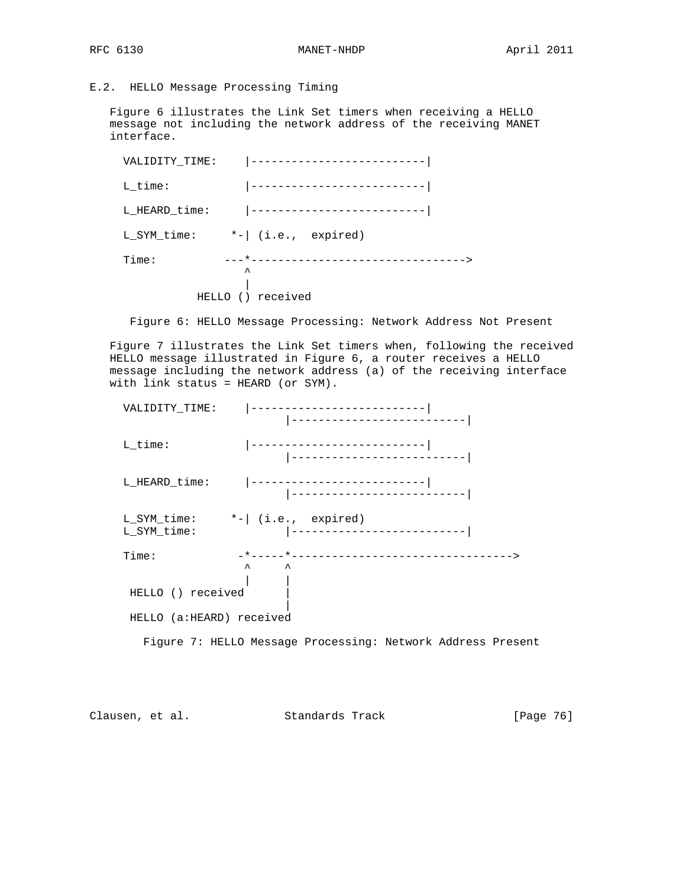## E.2. HELLO Message Processing Timing

 Figure 6 illustrates the Link Set timers when receiving a HELLO message not including the network address of the receiving MANET interface.

| VALIDITY TIME: | ---------------------                |
|----------------|--------------------------------------|
| L time:        | ____________________________         |
| L HEARD_time:  |                                      |
| L SYM time:    | $*-\vert$ (i.e., expired)            |
| Time:          | _______________________________<br>ᄉ |
| HELLO          | received                             |

Figure 6: HELLO Message Processing: Network Address Not Present

 Figure 7 illustrates the Link Set timers when, following the received HELLO message illustrated in Figure 6, a router receives a HELLO message including the network address (a) of the receiving interface with link status = HEARD (or SYM).

| VALIDITY TIME:                                     |                                                             |  |
|----------------------------------------------------|-------------------------------------------------------------|--|
|                                                    | -------------------------                                   |  |
| L_time:                                            | ---------------------------<br> --------------------------- |  |
| L HEARD time:                                      | -------------------------- <br>---------------------------  |  |
| $L_SYM_time:$ $*-[$ (i.e., expired)<br>L_SYM_time: | ____________________________                                |  |
| Time:                                              | $\lambda$<br>$\hat{\phantom{a}}$                            |  |
| HELLO () received                                  |                                                             |  |
| HELLO (a:HEARD) received                           |                                                             |  |
|                                                    | Figure 7: HELLO Message Processing: Network Address Present |  |

Clausen, et al. Standards Track [Page 76]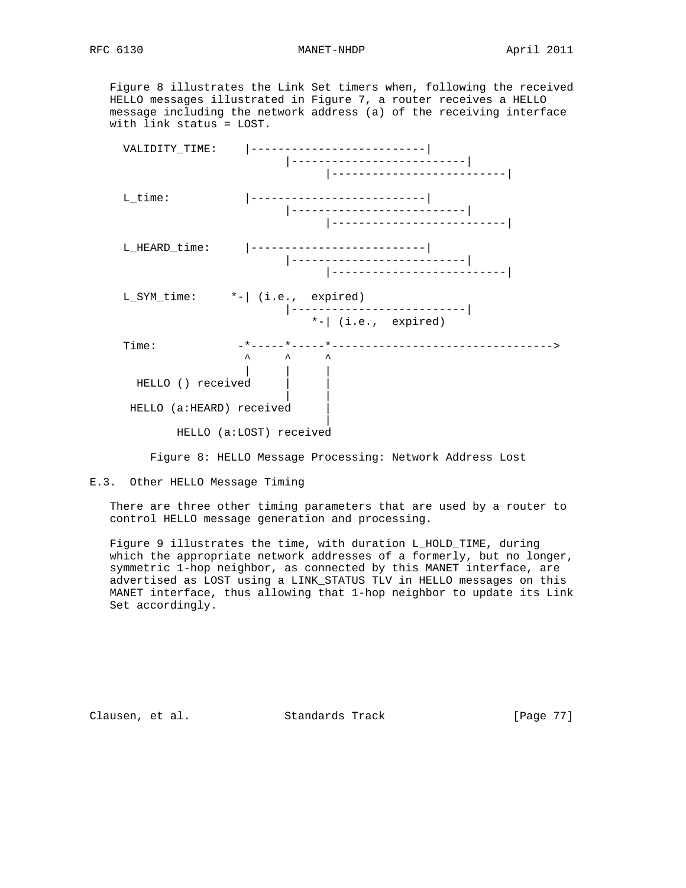Figure 8 illustrates the Link Set timers when, following the received HELLO messages illustrated in Figure 7, a router receives a HELLO message including the network address (a) of the receiving interface with link status = LOST.



Figure 8: HELLO Message Processing: Network Address Lost

E.3. Other HELLO Message Timing

 There are three other timing parameters that are used by a router to control HELLO message generation and processing.

 Figure 9 illustrates the time, with duration L\_HOLD\_TIME, during which the appropriate network addresses of a formerly, but no longer, symmetric 1-hop neighbor, as connected by this MANET interface, are advertised as LOST using a LINK\_STATUS TLV in HELLO messages on this MANET interface, thus allowing that 1-hop neighbor to update its Link Set accordingly.

Clausen, et al. Standards Track [Page 77]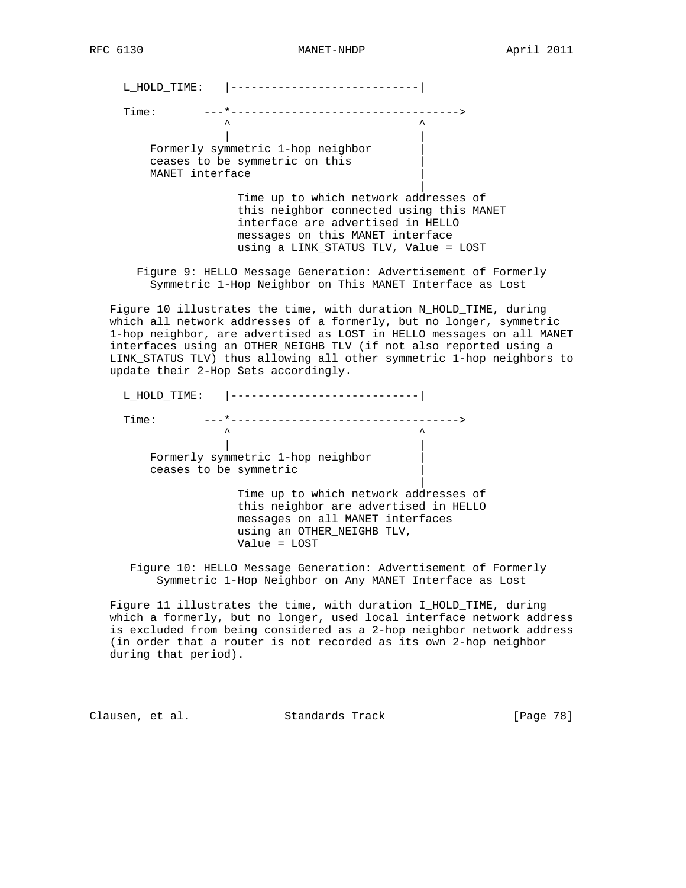L\_HOLD\_TIME: |----------------------------|

 Time: ---\*---------------------------------->  $\lambda$   $\lambda$ 

 | | Formerly symmetric 1-hop neighbor | ceases to be symmetric on this | MANET interface

|

 Time up to which network addresses of this neighbor connected using this MANET interface are advertised in HELLO messages on this MANET interface using a LINK\_STATUS TLV, Value = LOST

 Figure 9: HELLO Message Generation: Advertisement of Formerly Symmetric 1-Hop Neighbor on This MANET Interface as Lost

 Figure 10 illustrates the time, with duration N\_HOLD\_TIME, during which all network addresses of a formerly, but no longer, symmetric 1-hop neighbor, are advertised as LOST in HELLO messages on all MANET interfaces using an OTHER\_NEIGHB TLV (if not also reported using a LINK\_STATUS TLV) thus allowing all other symmetric 1-hop neighbors to update their 2-Hop Sets accordingly.

| L HOLD TIME:                      |  |
|-----------------------------------|--|
| Time:                             |  |
| ᄉ                                 |  |
|                                   |  |
| Formerly symmetric 1-hop neighbor |  |
| ceases to be symmetric            |  |
|                                   |  |

 Time up to which network addresses of this neighbor are advertised in HELLO messages on all MANET interfaces using an OTHER NEIGHB TLV, Value = LOST

 Figure 10: HELLO Message Generation: Advertisement of Formerly Symmetric 1-Hop Neighbor on Any MANET Interface as Lost

 Figure 11 illustrates the time, with duration I\_HOLD\_TIME, during which a formerly, but no longer, used local interface network address is excluded from being considered as a 2-hop neighbor network address (in order that a router is not recorded as its own 2-hop neighbor during that period).

Clausen, et al. Standards Track [Page 78]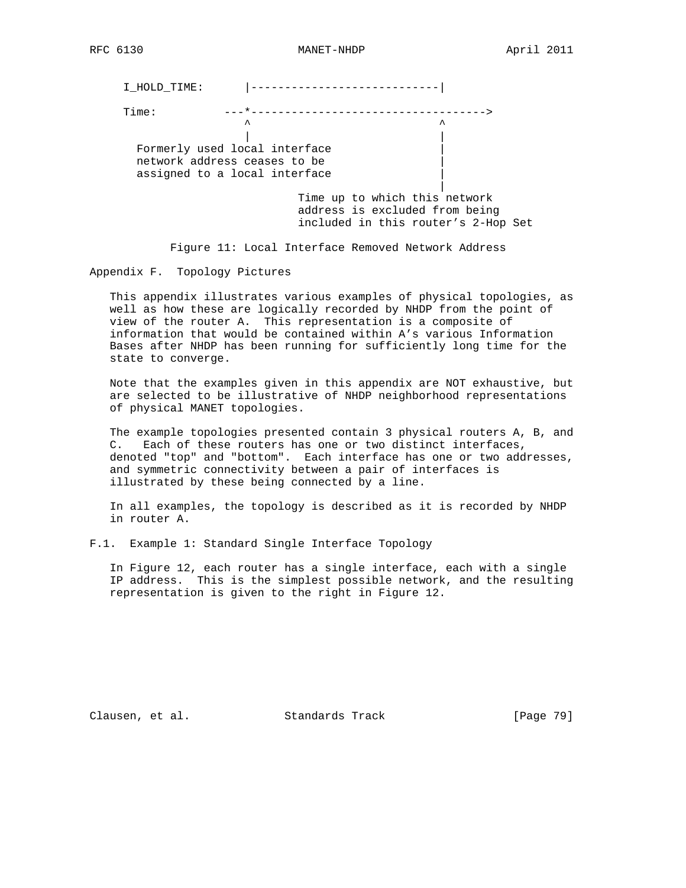I\_HOLD\_TIME: |----------------------------| Time: ---\*----------------------------------->  $\lambda$   $\lambda$   $\lambda$  | | Formerly used local interface network address ceases to be | assigned to a local interface | Time up to which this network address is excluded from being included in this router's 2-Hop Set

Figure 11: Local Interface Removed Network Address

Appendix F. Topology Pictures

 This appendix illustrates various examples of physical topologies, as well as how these are logically recorded by NHDP from the point of view of the router A. This representation is a composite of information that would be contained within A's various Information Bases after NHDP has been running for sufficiently long time for the state to converge.

 Note that the examples given in this appendix are NOT exhaustive, but are selected to be illustrative of NHDP neighborhood representations of physical MANET topologies.

 The example topologies presented contain 3 physical routers A, B, and C. Each of these routers has one or two distinct interfaces, denoted "top" and "bottom". Each interface has one or two addresses, and symmetric connectivity between a pair of interfaces is illustrated by these being connected by a line.

 In all examples, the topology is described as it is recorded by NHDP in router A.

F.1. Example 1: Standard Single Interface Topology

 In Figure 12, each router has a single interface, each with a single IP address. This is the simplest possible network, and the resulting representation is given to the right in Figure 12.

Clausen, et al. Standards Track [Page 79]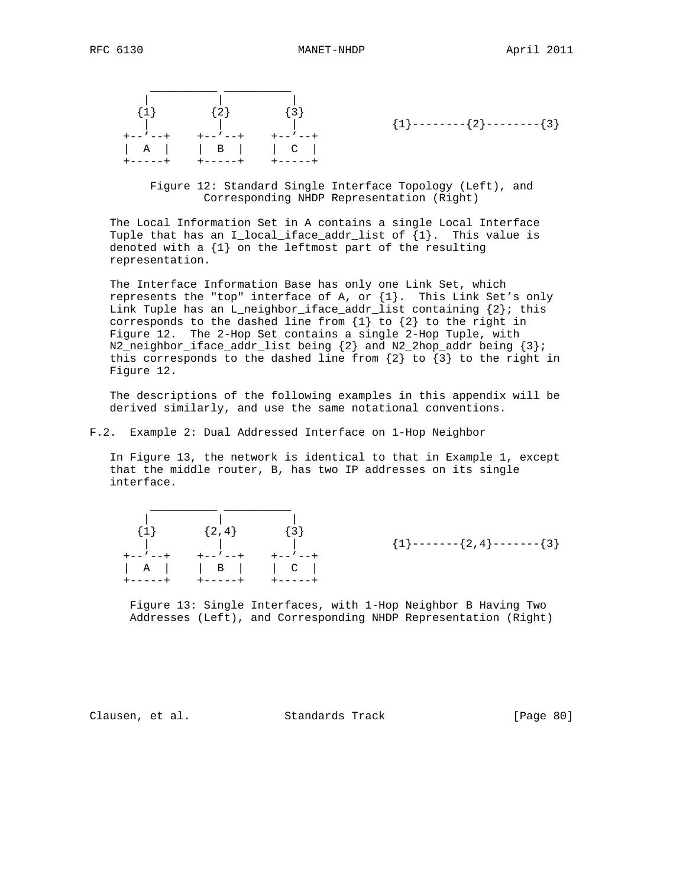

 ${1}$  --------{2}--------{3}

 Figure 12: Standard Single Interface Topology (Left), and Corresponding NHDP Representation (Right)

 The Local Information Set in A contains a single Local Interface Tuple that has an I\_local\_iface\_addr\_list of {1}. This value is denoted with a {1} on the leftmost part of the resulting representation.

 The Interface Information Base has only one Link Set, which represents the "top" interface of A, or  $\{1\}$ . This Link Set's only Link Tuple has an L\_neighbor\_iface\_addr\_list containing  $\{2\}$ ; this corresponds to the dashed line from  $\{1\}$  to  $\{2\}$  to the right in Figure 12. The 2-Hop Set contains a single 2-Hop Tuple, with  $N2\_neighbor\_face\_addr\_list$  being  $\{2\}$  and  $N2\_2hop\_addr$  being  $\{3\}$ ; this corresponds to the dashed line from  $\{2\}$  to  $\{3\}$  to the right in Figure 12.

 The descriptions of the following examples in this appendix will be derived similarly, and use the same notational conventions.

## F.2. Example 2: Dual Addressed Interface on 1-Hop Neighbor

 In Figure 13, the network is identical to that in Example 1, except that the middle router, B, has two IP addresses on its single interface.

| $\{1\}$ | $\{2,4\}$                        | $\{3\}$ |
|---------|----------------------------------|---------|
|         |                                  |         |
| +--/--+ | +-- ′ --+                        | +--′--+ |
|         | $\begin{array}{ccc} \end{array}$ | C       |
| +-----+ | +-----+                          | +-----  |

 ${1}$  -------{2,4}-------{3}

 Figure 13: Single Interfaces, with 1-Hop Neighbor B Having Two Addresses (Left), and Corresponding NHDP Representation (Right)

Clausen, et al. Standards Track [Page 80]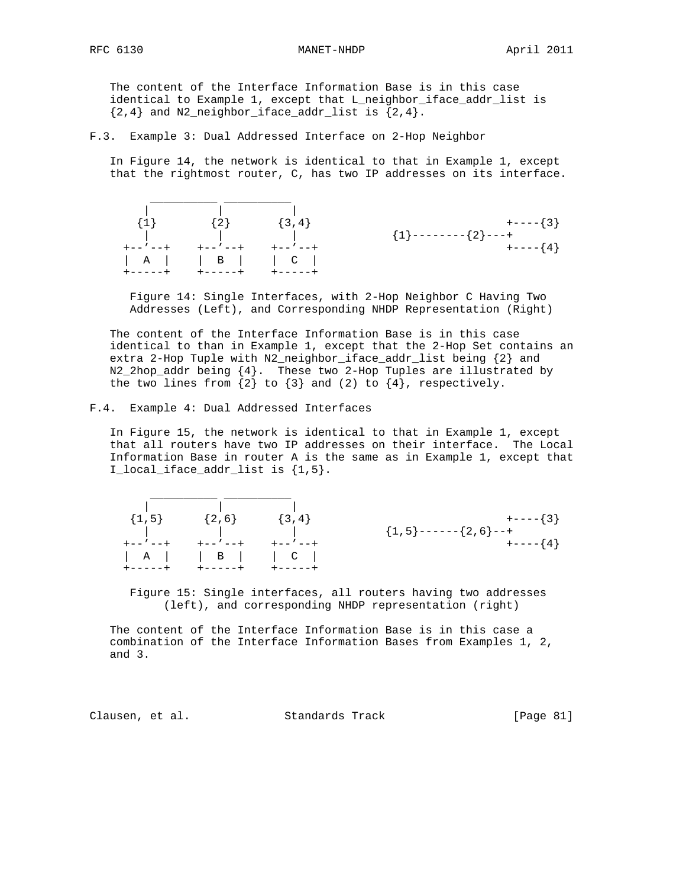The content of the Interface Information Base is in this case identical to Example 1, except that L\_neighbor\_iface\_addr\_list is  $\{2, 4\}$  and N2\_neighbor\_iface\_addr\_list is  $\{2, 4\}$ .

F.3. Example 3: Dual Addressed Interface on 2-Hop Neighbor

 In Figure 14, the network is identical to that in Example 1, except that the rightmost router, C, has two IP addresses on its interface.



 Figure 14: Single Interfaces, with 2-Hop Neighbor C Having Two Addresses (Left), and Corresponding NHDP Representation (Right)

 The content of the Interface Information Base is in this case identical to than in Example 1, except that the 2-Hop Set contains an extra 2-Hop Tuple with N2\_neighbor\_iface\_addr\_list being {2} and N2\_2hop\_addr being {4}. These two 2-Hop Tuples are illustrated by the two lines from  $\{2\}$  to  $\{3\}$  and  $(2)$  to  $\{4\}$ , respectively.

F.4. Example 4: Dual Addressed Interfaces

 In Figure 15, the network is identical to that in Example 1, except that all routers have two IP addresses on their interface. The Local Information Base in router A is the same as in Example 1, except that I\_local\_iface\_addr\_list is {1,5}.

| $\mathbb{R}^n \times \mathbb{R}^n$  | <b>Contract Contract</b> |                         |
|-------------------------------------|--------------------------|-------------------------|
| $\{1,5\}$ $\{2,6\}$ $\{3,4\}$       |                          | $+---\{3\}$             |
| the contract of the contract of the |                          | ${1, 5}$ ------{2,6}--+ |
|                                     |                          | $+---$ { 4 }            |
|                                     |                          |                         |

 Figure 15: Single interfaces, all routers having two addresses (left), and corresponding NHDP representation (right)

 The content of the Interface Information Base is in this case a combination of the Interface Information Bases from Examples 1, 2, and 3.

Clausen, et al. Standards Track [Page 81]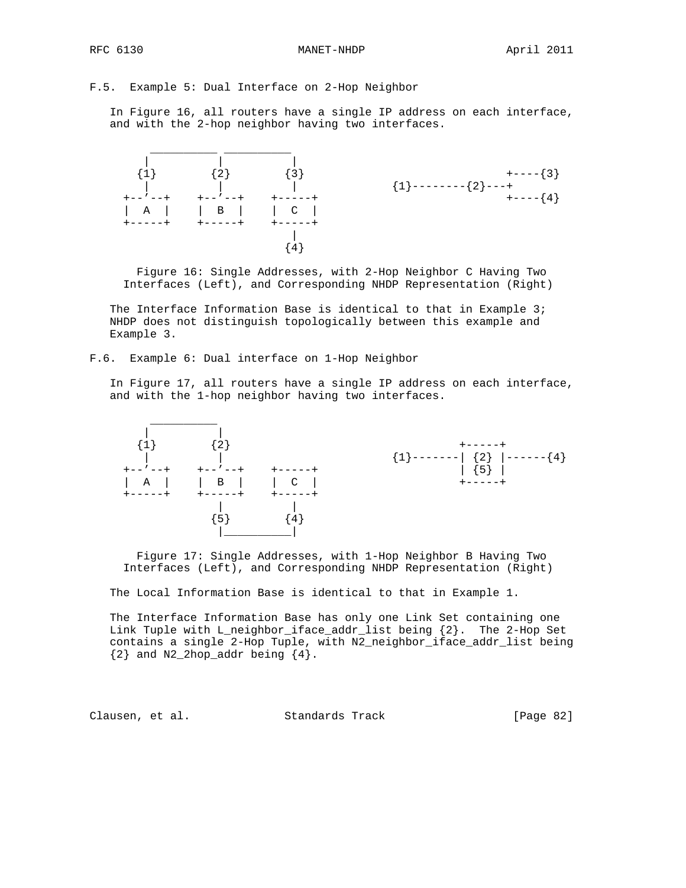F.5. Example 5: Dual Interface on 2-Hop Neighbor

 In Figure 16, all routers have a single IP address on each interface, and with the 2-hop neighbor having two interfaces.



 Figure 16: Single Addresses, with 2-Hop Neighbor C Having Two Interfaces (Left), and Corresponding NHDP Representation (Right)

The Interface Information Base is identical to that in Example 3; NHDP does not distinguish topologically between this example and Example 3.

F.6. Example 6: Dual interface on 1-Hop Neighbor

 In Figure 17, all routers have a single IP address on each interface, and with the 1-hop neighbor having two interfaces.



 Figure 17: Single Addresses, with 1-Hop Neighbor B Having Two Interfaces (Left), and Corresponding NHDP Representation (Right)

The Local Information Base is identical to that in Example 1.

 The Interface Information Base has only one Link Set containing one Link Tuple with L\_neighbor\_iface\_addr\_list being {2}. The 2-Hop Set contains a single 2-Hop Tuple, with N2\_neighbor\_iface\_addr\_list being  ${2}$  and N2\_2hop\_addr being  ${4}$ .

Clausen, et al. Standards Track [Page 82]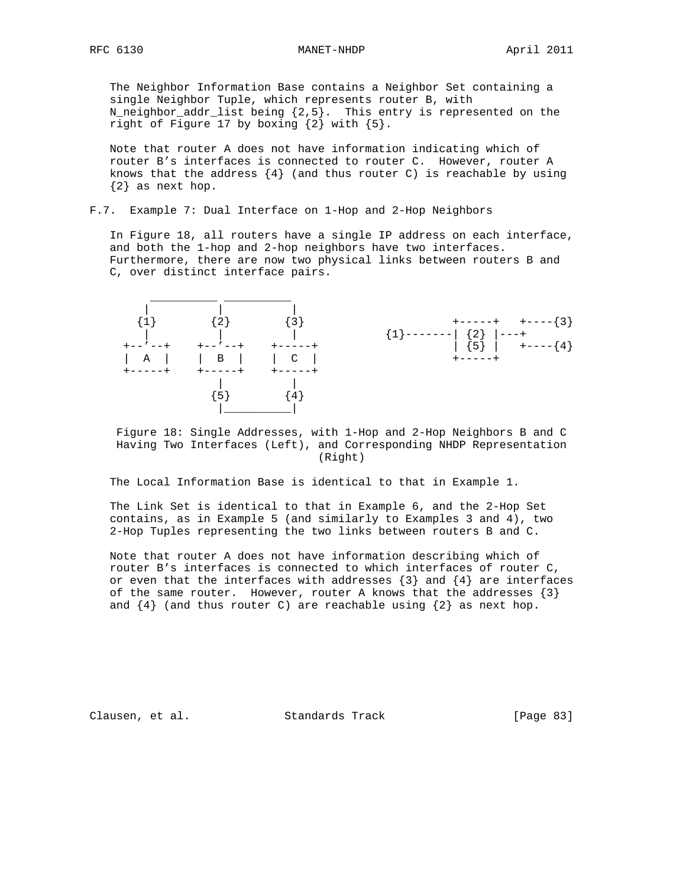The Neighbor Information Base contains a Neighbor Set containing a single Neighbor Tuple, which represents router B, with N\_neighbor\_addr\_list being {2,5}. This entry is represented on the right of Figure 17 by boxing {2} with {5}.

 Note that router A does not have information indicating which of router B's interfaces is connected to router C. However, router A knows that the address  $\{4\}$  (and thus router C) is reachable by using {2} as next hop.

## F.7. Example 7: Dual Interface on 1-Hop and 2-Hop Neighbors

 In Figure 18, all routers have a single IP address on each interface, and both the 1-hop and 2-hop neighbors have two interfaces. Furthermore, there are now two physical links between routers B and C, over distinct interface pairs.



 Figure 18: Single Addresses, with 1-Hop and 2-Hop Neighbors B and C Having Two Interfaces (Left), and Corresponding NHDP Representation (Right)

The Local Information Base is identical to that in Example 1.

 The Link Set is identical to that in Example 6, and the 2-Hop Set contains, as in Example 5 (and similarly to Examples 3 and 4), two 2-Hop Tuples representing the two links between routers B and C.

 Note that router A does not have information describing which of router B's interfaces is connected to which interfaces of router C, or even that the interfaces with addresses  $\{3\}$  and  $\{4\}$  are interfaces of the same router. However, router A knows that the addresses  $\{3\}$ and  $\{4\}$  (and thus router C) are reachable using  $\{2\}$  as next hop.

Clausen, et al. Standards Track [Page 83]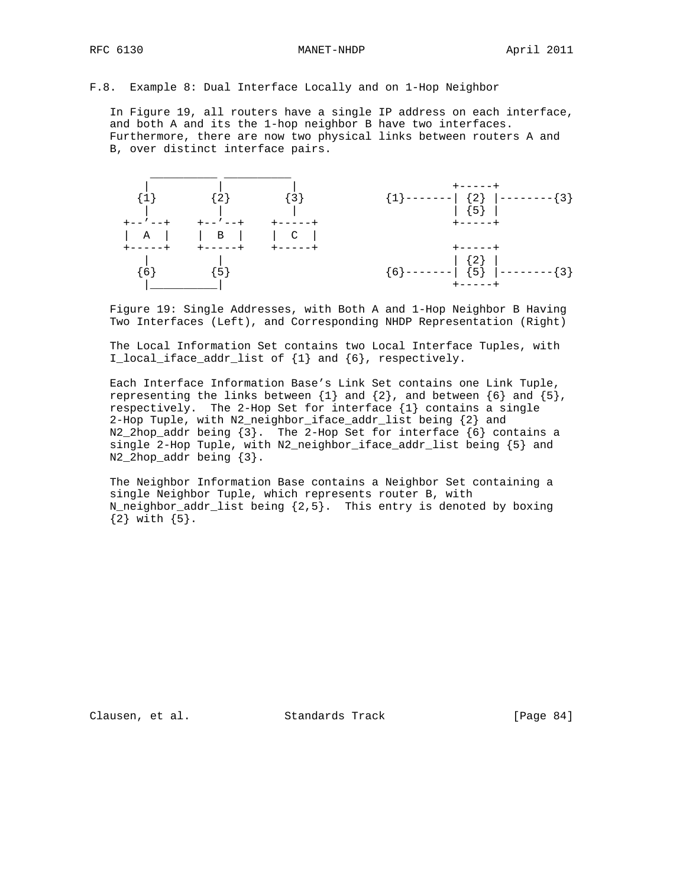F.8. Example 8: Dual Interface Locally and on 1-Hop Neighbor

 In Figure 19, all routers have a single IP address on each interface, and both A and its the 1-hop neighbor B have two interfaces. Furthermore, there are now two physical links between routers A and B, over distinct interface pairs.



 Figure 19: Single Addresses, with Both A and 1-Hop Neighbor B Having Two Interfaces (Left), and Corresponding NHDP Representation (Right)

 The Local Information Set contains two Local Interface Tuples, with I\_local\_iface\_addr\_list of {1} and {6}, respectively.

 Each Interface Information Base's Link Set contains one Link Tuple, representing the links between  $\{1\}$  and  $\{2\}$ , and between  $\{6\}$  and  $\{5\}$ , respectively. The 2-Hop Set for interface {1} contains a single 2-Hop Tuple, with N2\_neighbor\_iface\_addr\_list being {2} and N2\_2hop\_addr being {3}. The 2-Hop Set for interface {6} contains a single 2-Hop Tuple, with N2\_neighbor\_iface\_addr\_list being {5} and N2\_2hop\_addr being {3}.

 The Neighbor Information Base contains a Neighbor Set containing a single Neighbor Tuple, which represents router B, with N\_neighbor\_addr\_list being {2,5}. This entry is denoted by boxing  ${2}$  with  ${5}$ .

Clausen, et al. Standards Track [Page 84]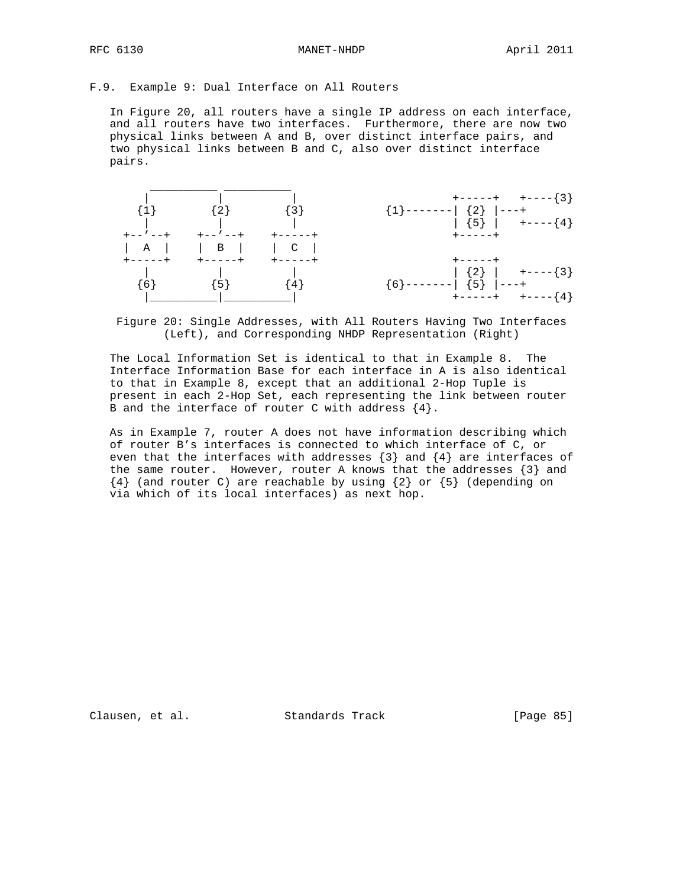RFC 6130 MANET-NHDP April 2011

## F.9. Example 9: Dual Interface on All Routers

 In Figure 20, all routers have a single IP address on each interface, and all routers have two interfaces. Furthermore, there are now two physical links between A and B, over distinct interface pairs, and two physical links between B and C, also over distinct interface pairs.



 Figure 20: Single Addresses, with All Routers Having Two Interfaces (Left), and Corresponding NHDP Representation (Right)

 The Local Information Set is identical to that in Example 8. The Interface Information Base for each interface in A is also identical to that in Example 8, except that an additional 2-Hop Tuple is present in each 2-Hop Set, each representing the link between router B and the interface of router C with address  $\{4\}.$ 

 As in Example 7, router A does not have information describing which of router B's interfaces is connected to which interface of C, or even that the interfaces with addresses  $\{3\}$  and  $\{4\}$  are interfaces of the same router. However, router A knows that the addresses  $\{3\}$  and  ${4}$  (and router C) are reachable by using  ${2}$  or  ${5}$  (depending on via which of its local interfaces) as next hop.

Clausen, et al. Standards Track [Page 85]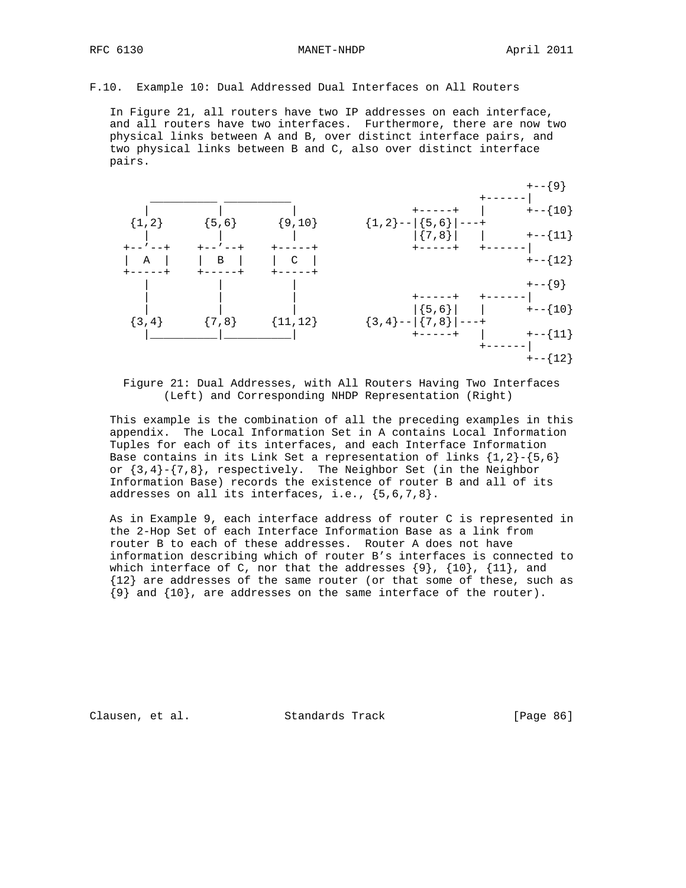F.10. Example 10: Dual Addressed Dual Interfaces on All Routers

 In Figure 21, all routers have two IP addresses on each interface, and all routers have two interfaces. Furthermore, there are now two physical links between A and B, over distinct interface pairs, and two physical links between B and C, also over distinct interface pairs.



 Figure 21: Dual Addresses, with All Routers Having Two Interfaces (Left) and Corresponding NHDP Representation (Right)

 This example is the combination of all the preceding examples in this appendix. The Local Information Set in A contains Local Information Tuples for each of its interfaces, and each Interface Information Base contains in its Link Set a representation of links  $\{1,2\}$ - $\{5,6\}$ or  $\{3,4\}$ - $\{7,8\}$ , respectively. The Neighbor Set (in the Neighbor Information Base) records the existence of router B and all of its addresses on all its interfaces, i.e., {5,6,7,8}.

 As in Example 9, each interface address of router C is represented in the 2-Hop Set of each Interface Information Base as a link from router B to each of these addresses. Router A does not have information describing which of router B's interfaces is connected to which interface of C, nor that the addresses  $\{9\}$ ,  $\{10\}$ ,  $\{11\}$ , and {12} are addresses of the same router (or that some of these, such as {9} and {10}, are addresses on the same interface of the router).

Clausen, et al. Standards Track [Page 86]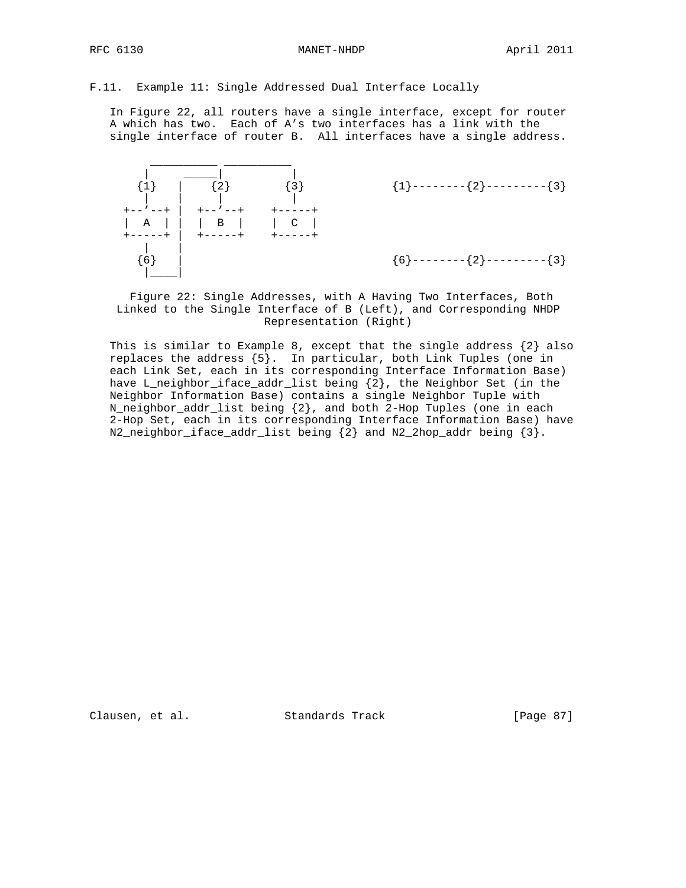F.11. Example 11: Single Addressed Dual Interface Locally

 In Figure 22, all routers have a single interface, except for router A which has two. Each of A's two interfaces has a link with the single interface of router B. All interfaces have a single address.



 Figure 22: Single Addresses, with A Having Two Interfaces, Both Linked to the Single Interface of B (Left), and Corresponding NHDP Representation (Right)

This is similar to Example 8, except that the single address  $\{2\}$  also replaces the address {5}. In particular, both Link Tuples (one in each Link Set, each in its corresponding Interface Information Base) have L\_neighbor\_iface\_addr\_list being {2}, the Neighbor Set (in the Neighbor Information Base) contains a single Neighbor Tuple with N\_neighbor\_addr\_list being {2}, and both 2-Hop Tuples (one in each 2-Hop Set, each in its corresponding Interface Information Base) have N2\_neighbor\_iface\_addr\_list being {2} and N2\_2hop\_addr being {3}.

Clausen, et al. Standards Track [Page 87]